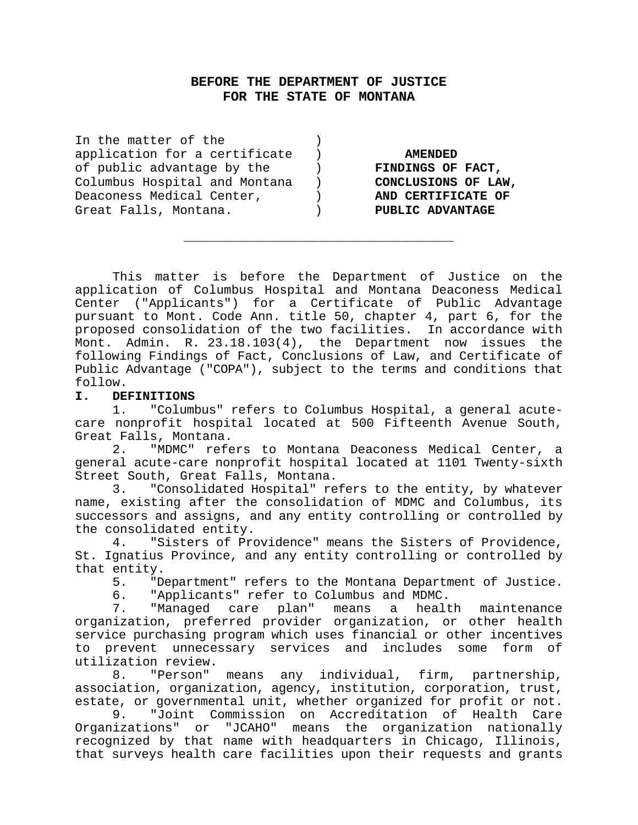## **BEFORE THE DEPARTMENT OF JUSTICE FOR THE STATE OF MONTANA**

| In the matter of the          |                     |
|-------------------------------|---------------------|
| application for a certificate | <b>AMENDED</b>      |
| of public advantage by the    | FINDINGS OF FACT,   |
| Columbus Hospital and Montana | CONCLUSIONS OF LAW, |
| Deaconess Medical Center,     | AND CERTIFICATE OF  |
| Great Falls, Montana.         | PUBLIC ADVANTAGE    |
|                               |                     |

This matter is before the Department of Justice on the application of Columbus Hospital and Montana Deaconess Medical Center ("Applicants") for a Certificate of Public Advantage pursuant to Mont. Code Ann. title 50, chapter 4, part 6, for the proposed consolidation of the two facilities. In accordance with Mont. Admin. R. 23.18.103(4), the Department now issues the following Findings of Fact, Conclusions of Law, and Certificate of Public Advantage ("COPA"), subject to the terms and conditions that follow.

\_\_\_\_\_\_\_\_\_\_\_\_\_\_\_\_\_\_\_\_\_\_\_\_\_\_\_\_\_\_\_\_\_\_\_\_

#### **I. DEFINITIONS**

1. "Columbus" refers to Columbus Hospital, a general acutecare nonprofit hospital located at 500 Fifteenth Avenue South, Great Falls, Montana.

2. "MDMC" refers to Montana Deaconess Medical Center, a general acute-care nonprofit hospital located at 1101 Twenty-sixth Street South, Great Falls, Montana.

3. "Consolidated Hospital" refers to the entity, by whatever name, existing after the consolidation of MDMC and Columbus, its successors and assigns, and any entity controlling or controlled by the consolidated entity.

4. "Sisters of Providence" means the Sisters of Providence, St. Ignatius Province, and any entity controlling or controlled by that entity.

5. "Department" refers to the Montana Department of Justice.

6. "Applicants" refer to Columbus and MDMC.

7. "Managed care plan" means a health maintenance organization, preferred provider organization, or other health service purchasing program which uses financial or other incentives to prevent unnecessary services and includes some form of utilization review.

8. "Person" means any individual, firm, partnership, association, organization, agency, institution, corporation, trust, estate, or governmental unit, whether organized for profit or not.

9. "Joint Commission on Accreditation of Health Care Organizations" or "JCAHO" means the organization nationally recognized by that name with headquarters in Chicago, Illinois, that surveys health care facilities upon their requests and grants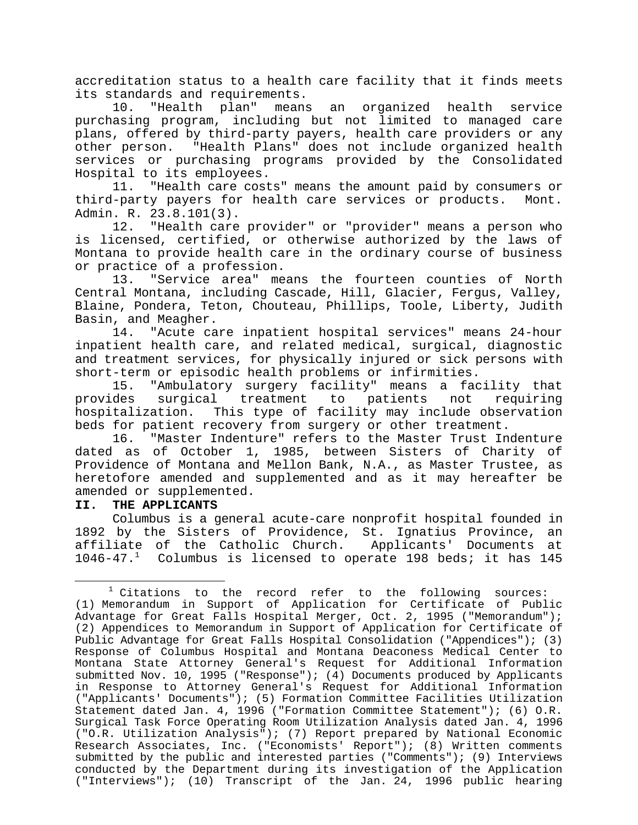accreditation status to a health care facility that it finds meets its standards and requirements.

10. "Health plan" means an organized health service purchasing program, including but not limited to managed care plans, offered by third-party payers, health care providers or any other person. "Health Plans" does not include organized health services or purchasing programs provided by the Consolidated Hospital to its employees.

11. "Health care costs" means the amount paid by consumers or third-party payers for health care services or products. Mont. Admin. R. 23.8.101(3).

12. "Health care provider" or "provider" means a person who is licensed, certified, or otherwise authorized by the laws of Montana to provide health care in the ordinary course of business or practice of a profession.

13. "Service area" means the fourteen counties of North Central Montana, including Cascade, Hill, Glacier, Fergus, Valley, Blaine, Pondera, Teton, Chouteau, Phillips, Toole, Liberty, Judith Basin, and Meagher.

14. "Acute care inpatient hospital services" means 24-hour inpatient health care, and related medical, surgical, diagnostic and treatment services, for physically injured or sick persons with short-term or episodic health problems or infirmities.

15. "Ambulatory surgery facility" means a facility that provides surgical treatment to patients not requiring hospitalization. This type of facility may include observation beds for patient recovery from surgery or other treatment.

16. "Master Indenture" refers to the Master Trust Indenture dated as of October 1, 1985, between Sisters of Charity of Providence of Montana and Mellon Bank, N.A., as Master Trustee, as heretofore amended and supplemented and as it may hereafter be amended or supplemented.

#### **II. THE APPLICANTS**

i

Columbus is a general acute-care nonprofit hospital founded in 1892 by the Sisters of Providence, St. Ignatius Province, an affiliate of the Catholic Church. Applicants' Documents at 1046-47. $^1$  Columbus is licensed to operate 198 beds; it has 145

 $1$  Citations to the record refer to the following sources: (1) Memorandum in Support of Application for Certificate of Public Advantage for Great Falls Hospital Merger, Oct. 2, 1995 ("Memorandum"); (2) Appendices to Memorandum in Support of Application for Certificate of Public Advantage for Great Falls Hospital Consolidation ("Appendices"); (3) Response of Columbus Hospital and Montana Deaconess Medical Center to Montana State Attorney General's Request for Additional Information submitted Nov. 10, 1995 ("Response");  $(4)$  Documents produced by Applicants in Response to Attorney General's Request for Additional Information ("Applicants' Documents"); (5) Formation Committee Facilities Utilization Statement dated Jan. 4, 1996 ("Formation Committee Statement"); (6) O.R. Surgical Task Force Operating Room Utilization Analysis dated Jan. 4, 1996 ("O.R. Utilization Analysis"); (7) Report prepared by National Economic Research Associates, Inc. ("Economists' Report"); (8) Written comments submitted by the public and interested parties ("Comments"); (9) Interviews conducted by the Department during its investigation of the Application ("Interviews"); (10) Transcript of the Jan. 24, 1996 public hearing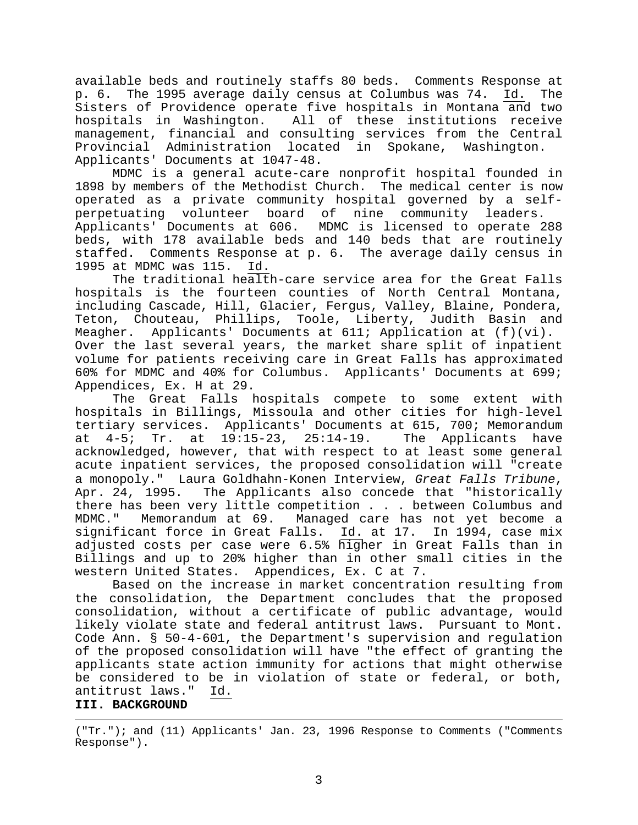available beds and routinely staffs 80 beds. Comments Response at p. 6. The 1995 average daily census at Columbus was 74. Id. The Sisters of Providence operate five hospitals in Montana and two hospitals in Washington. All of these institutions receive management, financial and consulting services from the Central Provincial Administration located in Spokane, Washington. Applicants' Documents at 1047-48.

MDMC is a general acute-care nonprofit hospital founded in 1898 by members of the Methodist Church. The medical center is now operated as a private community hospital governed by a selfperpetuating volunteer board of nine community leaders. Applicants' Documents at 606. MDMC is licensed to operate 288 beds, with 178 available beds and 140 beds that are routinely staffed. Comments Response at p. 6. The average daily census in 1995 at MDMC was 115. Id.

The traditional health-care service area for the Great Falls hospitals is the fourteen counties of North Central Montana, including Cascade, Hill, Glacier, Fergus, Valley, Blaine, Pondera, Teton, Chouteau, Phillips, Toole, Liberty, Judith Basin and Meagher. Applicants' Documents at 611; Application at (f)(vi). Over the last several years, the market share split of inpatient volume for patients receiving care in Great Falls has approximated 60% for MDMC and 40% for Columbus. Applicants' Documents at 699; Appendices, Ex. H at 29.

The Great Falls hospitals compete to some extent with hospitals in Billings, Missoula and other cities for high-level tertiary services. Applicants' Documents at 615, 700; Memorandum at 4-5; Tr. at 19:15-23, 25:14-19. The Applicants have acknowledged, however, that with respect to at least some general acute inpatient services, the proposed consolidation will "create a monopoly." Laura Goldhahn-Konen Interview, *Great Falls Tribune*, Apr. 24, 1995. The Applicants also concede that "historically there has been very little competition . . . between Columbus and MDMC." Memorandum at 69. Managed care has not yet become a significant force in Great Falls. Id. at 17. In 1994, case mix adjusted costs per case were  $6.5$ % higher in Great Falls than in Billings and up to 20% higher than in other small cities in the western United States. Appendices, Ex. C at 7.

Based on the increase in market concentration resulting from the consolidation, the Department concludes that the proposed consolidation, without a certificate of public advantage, would likely violate state and federal antitrust laws. Pursuant to Mont. Code Ann. § 50-4-601, the Department's supervision and regulation of the proposed consolidation will have "the effect of granting the applicants state action immunity for actions that might otherwise be considered to be in violation of state or federal, or both, antitrust laws." Id. **III. BACKGROUND**

("Tr."); and (11) Applicants' Jan. 23, 1996 Response to Comments ("Comments Response").

i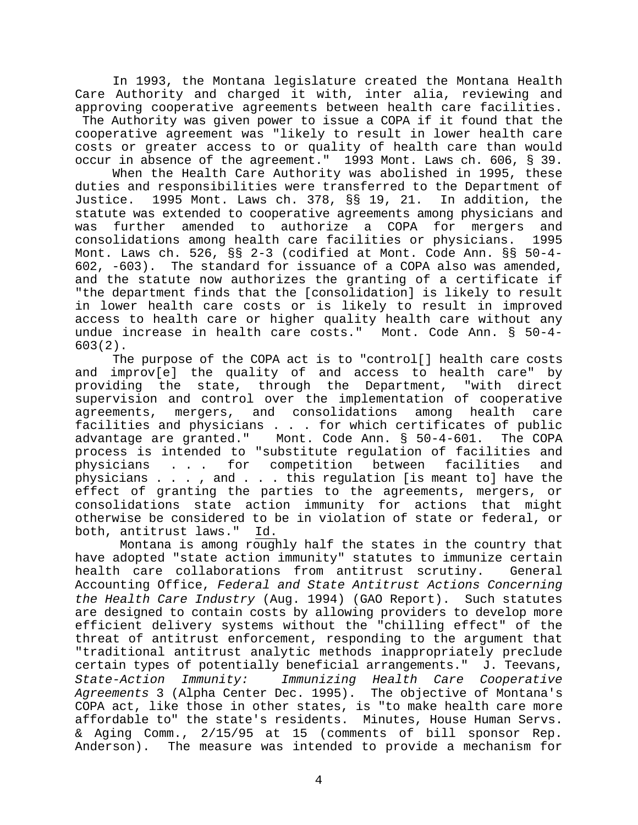In 1993, the Montana legislature created the Montana Health Care Authority and charged it with, inter alia, reviewing and approving cooperative agreements between health care facilities. The Authority was given power to issue a COPA if it found that the cooperative agreement was "likely to result in lower health care costs or greater access to or quality of health care than would occur in absence of the agreement." 1993 Mont. Laws ch. 606, § 39.

When the Health Care Authority was abolished in 1995, these duties and responsibilities were transferred to the Department of Justice. 1995 Mont. Laws ch. 378, §§ 19, 21. In addition, the statute was extended to cooperative agreements among physicians and was further amended to authorize a COPA for mergers and consolidations among health care facilities or physicians. 1995 Mont. Laws ch. 526, §§ 2-3 (codified at Mont. Code Ann. §§ 50-4- 602, -603). The standard for issuance of a COPA also was amended, and the statute now authorizes the granting of a certificate if "the department finds that the [consolidation] is likely to result in lower health care costs or is likely to result in improved access to health care or higher quality health care without any undue increase in health care costs." Mont. Code Ann. § 50-4- 603(2).

The purpose of the COPA act is to "control[] health care costs and improv[e] the quality of and access to health care" by providing the state, through the Department, "with direct supervision and control over the implementation of cooperative agreements, mergers, and consolidations among health care facilities and physicians . . . for which certificates of public advantage are granted." Mont. Code Ann. § 50-4-601. The COPA process is intended to "substitute regulation of facilities and physicians . . . for competition between facilities and physicians . . . , and . . . this regulation [is meant to] have the effect of granting the parties to the agreements, mergers, or consolidations state action immunity for actions that might otherwise be considered to be in violation of state or federal, or both, antitrust laws." Id.

Montana is among roughly half the states in the country that have adopted "state action immunity" statutes to immunize certain health care collaborations from antitrust scrutiny. General Accounting Office, *Federal and State Antitrust Actions Concerning the Health Care Industry* (Aug. 1994) (GAO Report). Such statutes are designed to contain costs by allowing providers to develop more efficient delivery systems without the "chilling effect" of the threat of antitrust enforcement, responding to the argument that "traditional antitrust analytic methods inappropriately preclude certain types of potentially beneficial arrangements." J. Teevans, *State-Action Immunity: Immunizing Health Care Cooperative Agreements* 3 (Alpha Center Dec. 1995). The objective of Montana's COPA act, like those in other states, is "to make health care more affordable to" the state's residents. Minutes, House Human Servs. & Aging Comm., 2/15/95 at 15 (comments of bill sponsor Rep. Anderson). The measure was intended to provide a mechanism for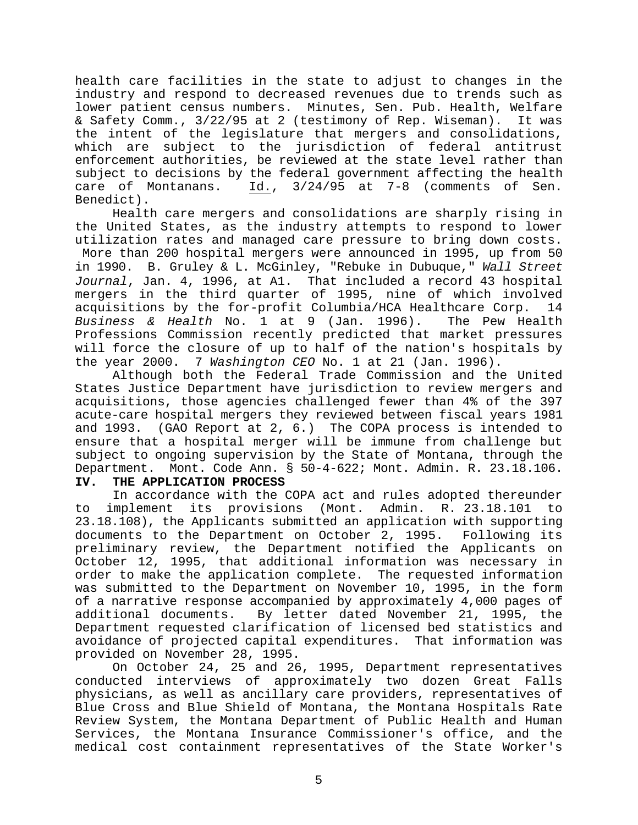health care facilities in the state to adjust to changes in the industry and respond to decreased revenues due to trends such as lower patient census numbers. Minutes, Sen. Pub. Health, Welfare & Safety Comm., 3/22/95 at 2 (testimony of Rep. Wiseman). It was the intent of the legislature that mergers and consolidations, which are subject to the jurisdiction of federal antitrust enforcement authorities, be reviewed at the state level rather than subject to decisions by the federal government affecting the health care of Montanans. Id., 3/24/95 at 7-8 (comments of Sen. Benedict).

Health care mergers and consolidations are sharply rising in the United States, as the industry attempts to respond to lower utilization rates and managed care pressure to bring down costs. More than 200 hospital mergers were announced in 1995, up from 50

in 1990. B. Gruley & L. McGinley, "Rebuke in Dubuque," *Wall Street Journal*, Jan. 4, 1996, at A1. That included a record 43 hospital mergers in the third quarter of 1995, nine of which involved acquisitions by the for-profit Columbia/HCA Healthcare Corp. 14 *Business & Health* No. 1 at 9 (Jan. 1996). The Pew Health Professions Commission recently predicted that market pressures will force the closure of up to half of the nation's hospitals by the year 2000. 7 *Washington CEO* No. 1 at 21 (Jan. 1996).

Although both the Federal Trade Commission and the United States Justice Department have jurisdiction to review mergers and acquisitions, those agencies challenged fewer than 4% of the 397 acute-care hospital mergers they reviewed between fiscal years 1981 and 1993. (GAO Report at 2, 6.) The COPA process is intended to ensure that a hospital merger will be immune from challenge but subject to ongoing supervision by the State of Montana, through the Department. Mont. Code Ann. § 50-4-622; Mont. Admin. R. 23.18.106.

## **IV. THE APPLICATION PROCESS**

In accordance with the COPA act and rules adopted thereunder to implement its provisions (Mont. Admin. R. 23.18.101 to 23.18.108), the Applicants submitted an application with supporting documents to the Department on October 2, 1995. Following its preliminary review, the Department notified the Applicants on October 12, 1995, that additional information was necessary in order to make the application complete. The requested information was submitted to the Department on November 10, 1995, in the form of a narrative response accompanied by approximately 4,000 pages of additional documents. By letter dated November 21, 1995, the Department requested clarification of licensed bed statistics and avoidance of projected capital expenditures. That information was provided on November 28, 1995.

On October 24, 25 and 26, 1995, Department representatives conducted interviews of approximately two dozen Great Falls physicians, as well as ancillary care providers, representatives of Blue Cross and Blue Shield of Montana, the Montana Hospitals Rate Review System, the Montana Department of Public Health and Human Services, the Montana Insurance Commissioner's office, and the medical cost containment representatives of the State Worker's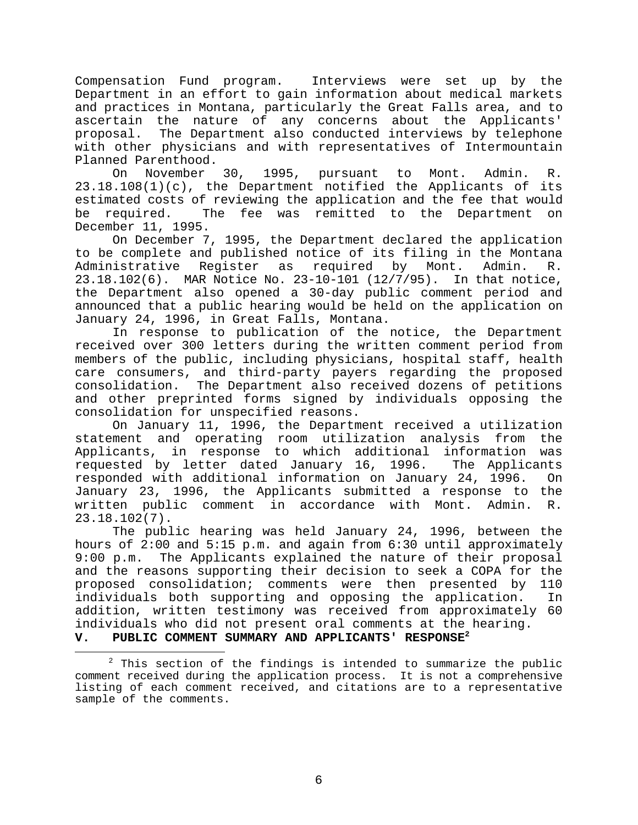Compensation Fund program. Interviews were set up by the Department in an effort to gain information about medical markets and practices in Montana, particularly the Great Falls area, and to ascertain the nature of any concerns about the Applicants' proposal. The Department also conducted interviews by telephone with other physicians and with representatives of Intermountain Planned Parenthood.

On November 30, 1995, pursuant to Mont. Admin. R. 23.18.108(1)(c), the Department notified the Applicants of its estimated costs of reviewing the application and the fee that would be required. The fee was remitted to the Department on December 11, 1995.

On December 7, 1995, the Department declared the application to be complete and published notice of its filing in the Montana Administrative Register as required by Mont. Admin. R. 23.18.102(6). MAR Notice No. 23-10-101 (12/7/95). In that notice, the Department also opened a 30-day public comment period and announced that a public hearing would be held on the application on January 24, 1996, in Great Falls, Montana.

In response to publication of the notice, the Department received over 300 letters during the written comment period from members of the public, including physicians, hospital staff, health care consumers, and third-party payers regarding the proposed consolidation. The Department also received dozens of petitions and other preprinted forms signed by individuals opposing the consolidation for unspecified reasons.

On January 11, 1996, the Department received a utilization statement and operating room utilization analysis from the Applicants, in response to which additional information was requested by letter dated January 16, 1996. The Applicants responded with additional information on January 24, 1996. On January 23, 1996, the Applicants submitted a response to the written public comment in accordance with Mont. Admin. R. 23.18.102(7).

The public hearing was held January 24, 1996, between the hours of 2:00 and 5:15 p.m. and again from 6:30 until approximately 9:00 p.m. The Applicants explained the nature of their proposal and the reasons supporting their decision to seek a COPA for the proposed consolidation; comments were then presented by 110 individuals both supporting and opposing the application. In addition, written testimony was received from approximately 60 individuals who did not present oral comments at the hearing. **V. PUBLIC COMMENT SUMMARY AND APPLICANTS' RESPONSE<sup>2</sup>**

 $2$  This section of the findings is intended to summarize the public comment received during the application process. It is not a comprehensive listing of each comment received, and citations are to a representative sample of the comments.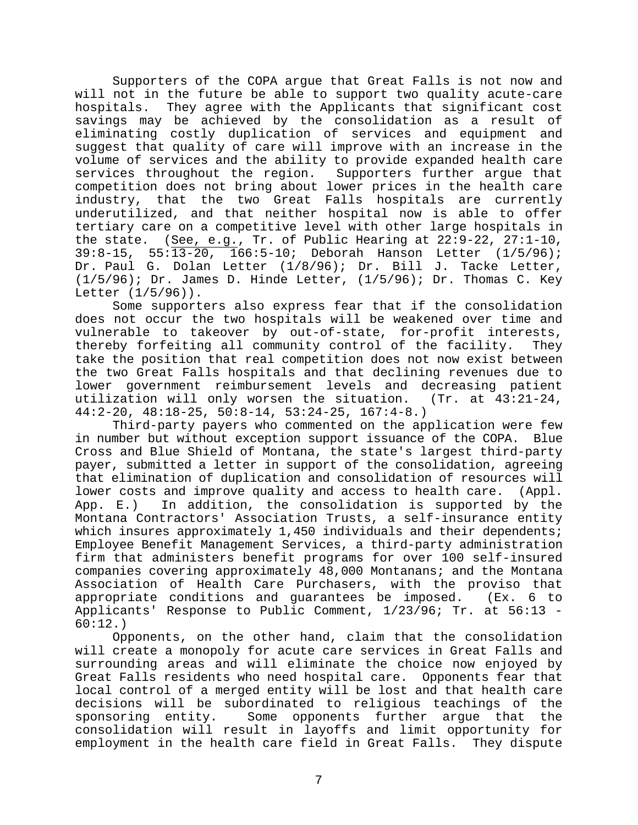Supporters of the COPA argue that Great Falls is not now and will not in the future be able to support two quality acute-care hospitals. They agree with the Applicants that significant cost savings may be achieved by the consolidation as a result of eliminating costly duplication of services and equipment and suggest that quality of care will improve with an increase in the volume of services and the ability to provide expanded health care services throughout the region. Supporters further argue that competition does not bring about lower prices in the health care industry, that the two Great Falls hospitals are currently underutilized, and that neither hospital now is able to offer tertiary care on a competitive level with other large hospitals in the state. (See, e.g., Tr. of Public Hearing at 22:9-22, 27:1-10, 39:8-15, 55:13-20, 166:5-10; Deborah Hanson Letter (1/5/96); Dr. Paul G. Dolan Letter (1/8/96); Dr. Bill J. Tacke Letter,  $(1/5/96)$ ; Dr. James D. Hinde Letter,  $(1/5/96)$ ; Dr. Thomas C. Key Letter (1/5/96)).

Some supporters also express fear that if the consolidation does not occur the two hospitals will be weakened over time and vulnerable to takeover by out-of-state, for-profit interests, thereby forfeiting all community control of the facility. They take the position that real competition does not now exist between the two Great Falls hospitals and that declining revenues due to lower government reimbursement levels and decreasing patient utilization will only worsen the situation. (Tr. at 43:21-24, 44:2-20, 48:18-25, 50:8-14, 53:24-25, 167:4-8.)

Third-party payers who commented on the application were few in number but without exception support issuance of the COPA. Blue Cross and Blue Shield of Montana, the state's largest third-party payer, submitted a letter in support of the consolidation, agreeing that elimination of duplication and consolidation of resources will lower costs and improve quality and access to health care. (Appl. App. E.) In addition, the consolidation is supported by the Montana Contractors' Association Trusts, a self-insurance entity which insures approximately 1,450 individuals and their dependents; Employee Benefit Management Services, a third-party administration firm that administers benefit programs for over 100 self-insured companies covering approximately 48,000 Montanans; and the Montana Association of Health Care Purchasers, with the proviso that appropriate conditions and guarantees be imposed. (Ex. 6 to Applicants' Response to Public Comment, 1/23/96; Tr. at 56:13 - 60:12.)

Opponents, on the other hand, claim that the consolidation will create a monopoly for acute care services in Great Falls and surrounding areas and will eliminate the choice now enjoyed by Great Falls residents who need hospital care. Opponents fear that local control of a merged entity will be lost and that health care decisions will be subordinated to religious teachings of the sponsoring entity. Some opponents further argue that the consolidation will result in layoffs and limit opportunity for employment in the health care field in Great Falls. They dispute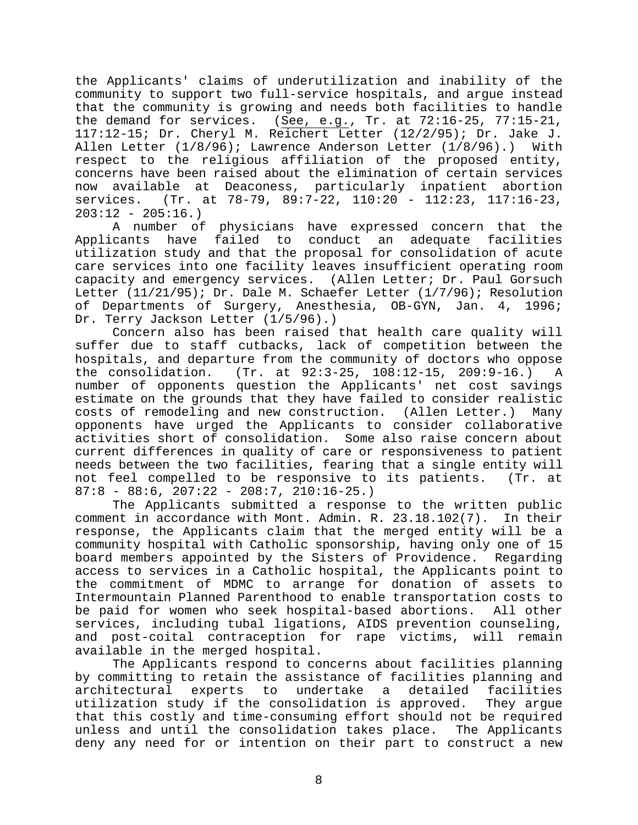the Applicants' claims of underutilization and inability of the community to support two full-service hospitals, and argue instead that the community is growing and needs both facilities to handle the demand for services. (See, e.g., Tr. at 72:16-25, 77:15-21, 117:12-15; Dr. Cheryl M. Reichert Letter (12/2/95); Dr. Jake J. Allen Letter (1/8/96); Lawrence Anderson Letter (1/8/96).) With respect to the religious affiliation of the proposed entity, concerns have been raised about the elimination of certain services now available at Deaconess, particularly inpatient abortion services. (Tr. at 78-79, 89:7-22, 110:20 - 112:23, 117:16-23,  $203:12 - 205:16.$ 

A number of physicians have expressed concern that the Applicants have failed to conduct an adequate facilities utilization study and that the proposal for consolidation of acute care services into one facility leaves insufficient operating room capacity and emergency services. (Allen Letter; Dr. Paul Gorsuch Letter (11/21/95); Dr. Dale M. Schaefer Letter (1/7/96); Resolution of Departments of Surgery, Anesthesia, OB-GYN, Jan. 4, 1996; Dr. Terry Jackson Letter (1/5/96).)

Concern also has been raised that health care quality will suffer due to staff cutbacks, lack of competition between the hospitals, and departure from the community of doctors who oppose the consolidation. (Tr. at 92:3-25, 108:12-15, 209:9-16.) A number of opponents question the Applicants' net cost savings estimate on the grounds that they have failed to consider realistic costs of remodeling and new construction. (Allen Letter.) Many opponents have urged the Applicants to consider collaborative activities short of consolidation. Some also raise concern about current differences in quality of care or responsiveness to patient needs between the two facilities, fearing that a single entity will not feel compelled to be responsive to its patients. (Tr. at  $87:8 - 88:6, 207:22 - 208:7, 210:16-25.$ 

The Applicants submitted a response to the written public comment in accordance with Mont. Admin. R. 23.18.102(7). In their response, the Applicants claim that the merged entity will be a community hospital with Catholic sponsorship, having only one of 15 board members appointed by the Sisters of Providence. Regarding access to services in a Catholic hospital, the Applicants point to the commitment of MDMC to arrange for donation of assets to Intermountain Planned Parenthood to enable transportation costs to be paid for women who seek hospital-based abortions. All other services, including tubal ligations, AIDS prevention counseling, and post-coital contraception for rape victims, will remain available in the merged hospital.

The Applicants respond to concerns about facilities planning by committing to retain the assistance of facilities planning and architectural experts to undertake a detailed facilities utilization study if the consolidation is approved. They argue that this costly and time-consuming effort should not be required unless and until the consolidation takes place. The Applicants deny any need for or intention on their part to construct a new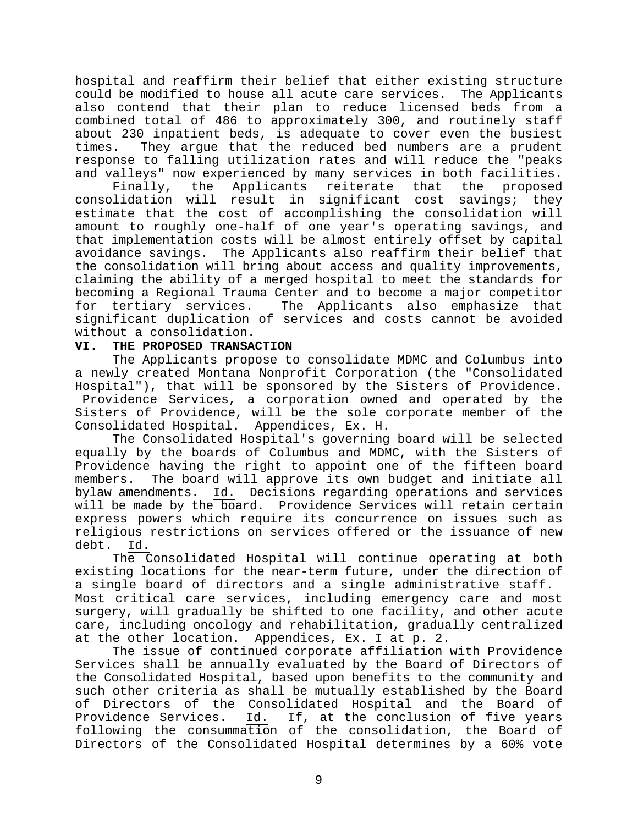hospital and reaffirm their belief that either existing structure could be modified to house all acute care services. The Applicants also contend that their plan to reduce licensed beds from a combined total of 486 to approximately 300, and routinely staff about 230 inpatient beds, is adequate to cover even the busiest times. They argue that the reduced bed numbers are a prudent response to falling utilization rates and will reduce the "peaks and valleys" now experienced by many services in both facilities.

Finally, the Applicants reiterate that the proposed consolidation will result in significant cost savings; they estimate that the cost of accomplishing the consolidation will amount to roughly one-half of one year's operating savings, and that implementation costs will be almost entirely offset by capital avoidance savings. The Applicants also reaffirm their belief that the consolidation will bring about access and quality improvements, claiming the ability of a merged hospital to meet the standards for becoming a Regional Trauma Center and to become a major competitor for tertiary services. The Applicants also emphasize that significant duplication of services and costs cannot be avoided without a consolidation.

## **VI. THE PROPOSED TRANSACTION**

The Applicants propose to consolidate MDMC and Columbus into a newly created Montana Nonprofit Corporation (the "Consolidated Hospital"), that will be sponsored by the Sisters of Providence. Providence Services, a corporation owned and operated by the Sisters of Providence, will be the sole corporate member of the Consolidated Hospital. Appendices, Ex. H.

The Consolidated Hospital's governing board will be selected equally by the boards of Columbus and MDMC, with the Sisters of Providence having the right to appoint one of the fifteen board members. The board will approve its own budget and initiate all bylaw amendments. Id. Decisions regarding operations and services will be made by the board. Providence Services will retain certain express powers which require its concurrence on issues such as religious restrictions on services offered or the issuance of new debt. Id.

The Consolidated Hospital will continue operating at both existing locations for the near-term future, under the direction of a single board of directors and a single administrative staff. Most critical care services, including emergency care and most surgery, will gradually be shifted to one facility, and other acute care, including oncology and rehabilitation, gradually centralized at the other location. Appendices, Ex. I at p. 2.

The issue of continued corporate affiliation with Providence Services shall be annually evaluated by the Board of Directors of the Consolidated Hospital, based upon benefits to the community and such other criteria as shall be mutually established by the Board of Directors of the Consolidated Hospital and the Board of Providence Services. Id. If, at the conclusion of five years following the consummation of the consolidation, the Board of Directors of the Consolidated Hospital determines by a 60% vote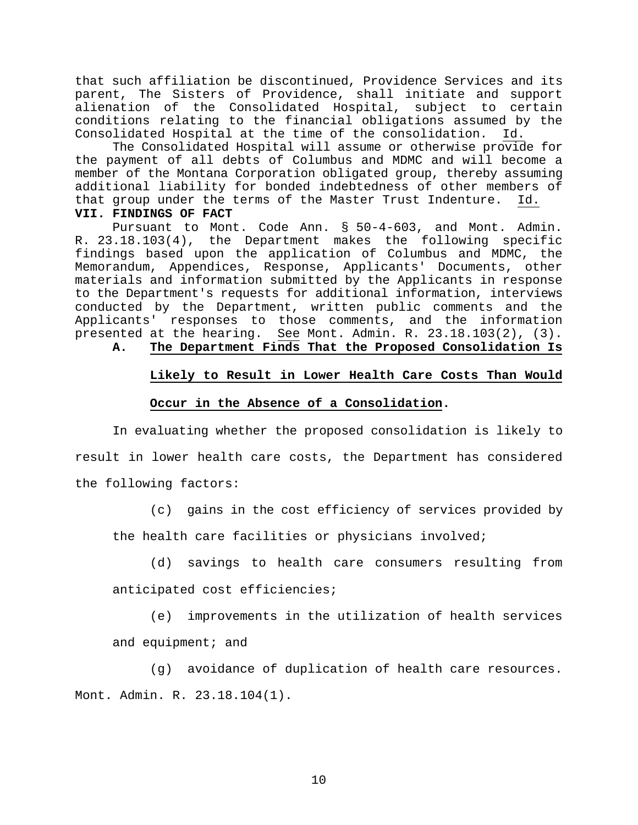that such affiliation be discontinued, Providence Services and its parent, The Sisters of Providence, shall initiate and support alienation of the Consolidated Hospital, subject to certain conditions relating to the financial obligations assumed by the Consolidated Hospital at the time of the consolidation. Id.

The Consolidated Hospital will assume or otherwise provide for the payment of all debts of Columbus and MDMC and will become a member of the Montana Corporation obligated group, thereby assuming additional liability for bonded indebtedness of other members of that group under the terms of the Master Trust Indenture. Id.

#### **VII. FINDINGS OF FACT**

Pursuant to Mont. Code Ann. § 50-4-603, and Mont. Admin. R. 23.18.103(4), the Department makes the following specific findings based upon the application of Columbus and MDMC, the Memorandum, Appendices, Response, Applicants' Documents, other materials and information submitted by the Applicants in response to the Department's requests for additional information, interviews conducted by the Department, written public comments and the Applicants' responses to those comments, and the information presented at the hearing. See Mont. Admin. R. 23.18.103(2), (3).

## **A. The Department Finds That the Proposed Consolidation Is**

#### **Likely to Result in Lower Health Care Costs Than Would**

#### **Occur in the Absence of a Consolidation.**

In evaluating whether the proposed consolidation is likely to result in lower health care costs, the Department has considered the following factors:

(c) gains in the cost efficiency of services provided by the health care facilities or physicians involved;

(d) savings to health care consumers resulting from

anticipated cost efficiencies;

(e) improvements in the utilization of health services and equipment; and

(g) avoidance of duplication of health care resources. Mont. Admin. R. 23.18.104(1).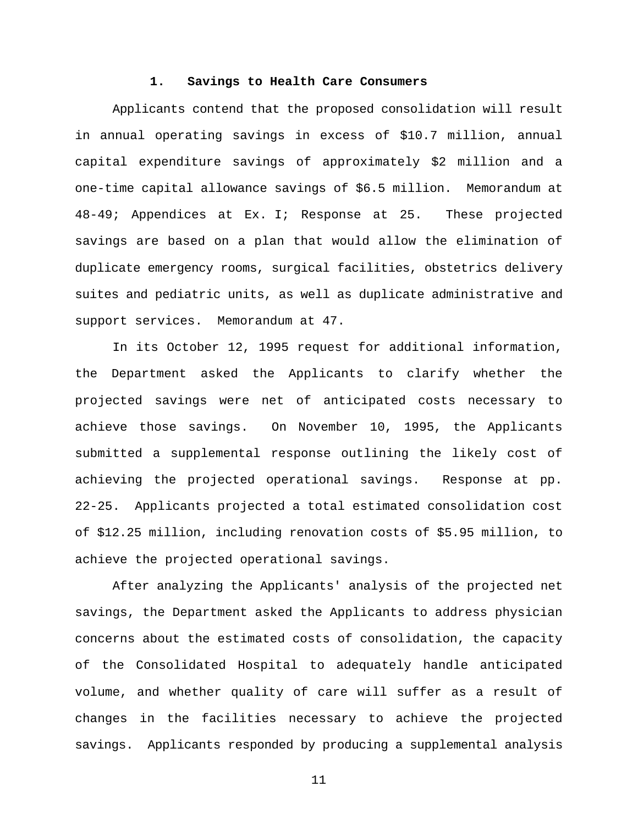#### **1. Savings to Health Care Consumers**

Applicants contend that the proposed consolidation will result in annual operating savings in excess of \$10.7 million, annual capital expenditure savings of approximately \$2 million and a one-time capital allowance savings of \$6.5 million. Memorandum at 48-49; Appendices at Ex. I; Response at 25. These projected savings are based on a plan that would allow the elimination of duplicate emergency rooms, surgical facilities, obstetrics delivery suites and pediatric units, as well as duplicate administrative and support services. Memorandum at 47.

In its October 12, 1995 request for additional information, the Department asked the Applicants to clarify whether the projected savings were net of anticipated costs necessary to achieve those savings. On November 10, 1995, the Applicants submitted a supplemental response outlining the likely cost of achieving the projected operational savings. Response at pp. 22-25. Applicants projected a total estimated consolidation cost of \$12.25 million, including renovation costs of \$5.95 million, to achieve the projected operational savings.

After analyzing the Applicants' analysis of the projected net savings, the Department asked the Applicants to address physician concerns about the estimated costs of consolidation, the capacity of the Consolidated Hospital to adequately handle anticipated volume, and whether quality of care will suffer as a result of changes in the facilities necessary to achieve the projected savings. Applicants responded by producing a supplemental analysis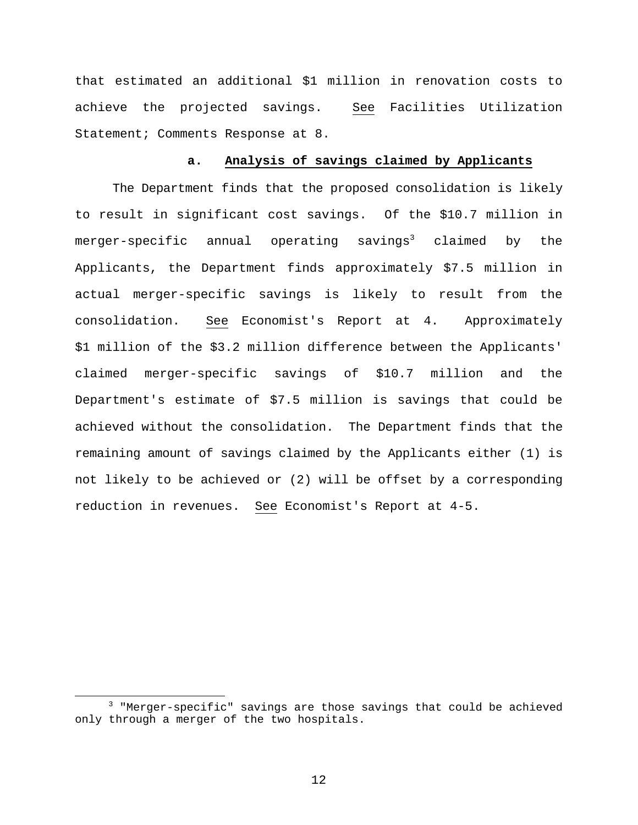that estimated an additional \$1 million in renovation costs to achieve the projected savings. See Facilities Utilization Statement; Comments Response at 8.

## **a. Analysis of savings claimed by Applicants**

The Department finds that the proposed consolidation is likely to result in significant cost savings. Of the \$10.7 million in merger-specific annual operating savings<sup>3</sup> claimed by the Applicants, the Department finds approximately \$7.5 million in actual merger-specific savings is likely to result from the consolidation. See Economist's Report at 4. Approximately \$1 million of the \$3.2 million difference between the Applicants' claimed merger-specific savings of \$10.7 million and the Department's estimate of \$7.5 million is savings that could be achieved without the consolidation. The Department finds that the remaining amount of savings claimed by the Applicants either (1) is not likely to be achieved or (2) will be offset by a corresponding reduction in revenues. See Economist's Report at 4-5.

i

<sup>3</sup> "Merger-specific" savings are those savings that could be achieved only through a merger of the two hospitals.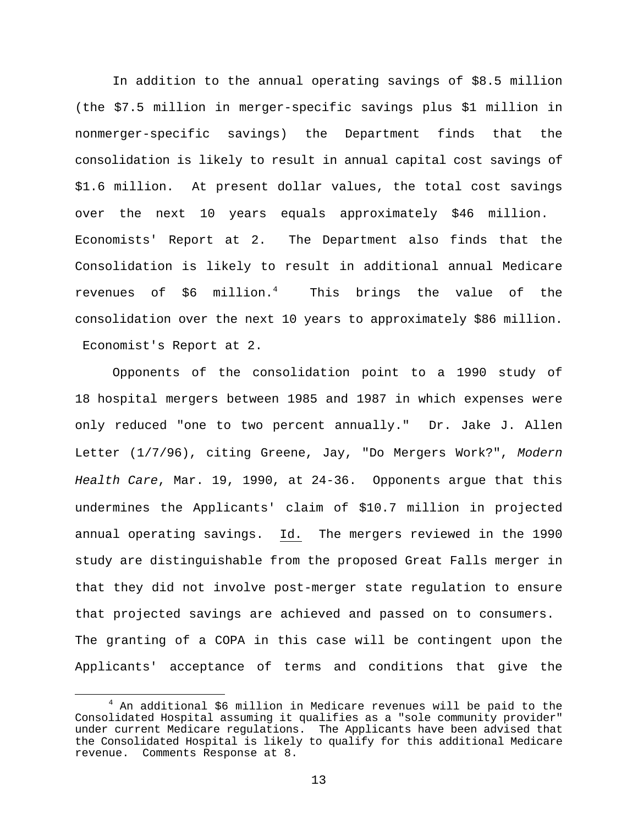In addition to the annual operating savings of \$8.5 million (the \$7.5 million in merger-specific savings plus \$1 million in nonmerger-specific savings) the Department finds that the consolidation is likely to result in annual capital cost savings of \$1.6 million. At present dollar values, the total cost savings over the next 10 years equals approximately \$46 million. Economists' Report at 2. The Department also finds that the Consolidation is likely to result in additional annual Medicare revenues of  $$6$  million.<sup>4</sup> This brings the value of the consolidation over the next 10 years to approximately \$86 million. Economist's Report at 2.

Opponents of the consolidation point to a 1990 study of 18 hospital mergers between 1985 and 1987 in which expenses were only reduced "one to two percent annually." Dr. Jake J. Allen Letter (1/7/96), citing Greene, Jay, "Do Mergers Work?", *Modern Health Care*, Mar. 19, 1990, at 24-36. Opponents argue that this undermines the Applicants' claim of \$10.7 million in projected annual operating savings. Id. The mergers reviewed in the 1990 study are distinguishable from the proposed Great Falls merger in that they did not involve post-merger state regulation to ensure that projected savings are achieved and passed on to consumers. The granting of a COPA in this case will be contingent upon the Applicants' acceptance of terms and conditions that give the

i

 $4$  An additional \$6 million in Medicare revenues will be paid to the Consolidated Hospital assuming it qualifies as a "sole community provider" under current Medicare regulations. The Applicants have been advised that the Consolidated Hospital is likely to qualify for this additional Medicare revenue. Comments Response at 8.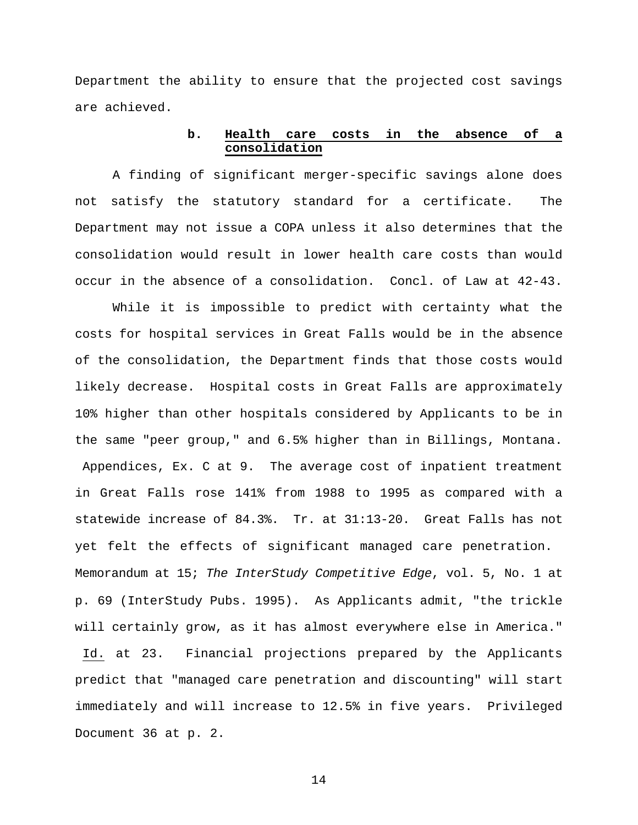Department the ability to ensure that the projected cost savings are achieved.

#### **b. Health care costs in the absence of a consolidation**

A finding of significant merger-specific savings alone does not satisfy the statutory standard for a certificate. The Department may not issue a COPA unless it also determines that the consolidation would result in lower health care costs than would occur in the absence of a consolidation. Concl. of Law at 42-43.

While it is impossible to predict with certainty what the costs for hospital services in Great Falls would be in the absence of the consolidation, the Department finds that those costs would likely decrease. Hospital costs in Great Falls are approximately 10% higher than other hospitals considered by Applicants to be in the same "peer group," and 6.5% higher than in Billings, Montana. Appendices, Ex. C at 9. The average cost of inpatient treatment in Great Falls rose 141% from 1988 to 1995 as compared with a statewide increase of 84.3%. Tr. at 31:13-20. Great Falls has not yet felt the effects of significant managed care penetration. Memorandum at 15; *The InterStudy Competitive Edge*, vol. 5, No. 1 at p. 69 (InterStudy Pubs. 1995). As Applicants admit, "the trickle will certainly grow, as it has almost everywhere else in America." Id. at 23. Financial projections prepared by the Applicants predict that "managed care penetration and discounting" will start immediately and will increase to 12.5% in five years. Privileged Document 36 at p. 2.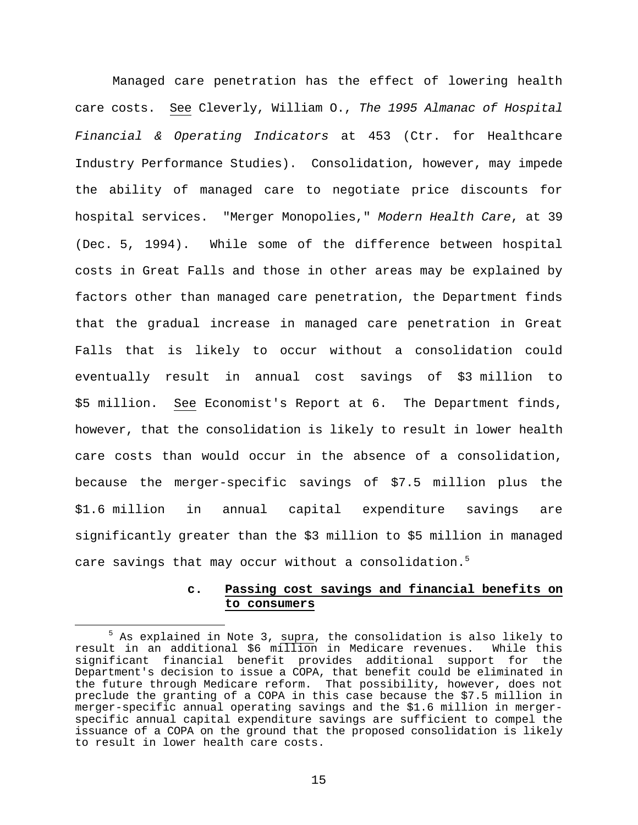Managed care penetration has the effect of lowering health care costs. See Cleverly, William O., *The 1995 Almanac of Hospital Financial & Operating Indicators* at 453 (Ctr. for Healthcare Industry Performance Studies). Consolidation, however, may impede the ability of managed care to negotiate price discounts for hospital services. "Merger Monopolies," *Modern Health Care*, at 39 (Dec. 5, 1994). While some of the difference between hospital costs in Great Falls and those in other areas may be explained by factors other than managed care penetration, the Department finds that the gradual increase in managed care penetration in Great Falls that is likely to occur without a consolidation could eventually result in annual cost savings of \$3 million to \$5 million. See Economist's Report at 6. The Department finds, however, that the consolidation is likely to result in lower health care costs than would occur in the absence of a consolidation, because the merger-specific savings of \$7.5 million plus the \$1.6 million in annual capital expenditure savings are significantly greater than the \$3 million to \$5 million in managed care savings that may occur without a consolidation.<sup>5</sup>

## **c. Passing cost savings and financial benefits on to consumers**

 $^5$  As explained in Note 3, supra, the consolidation is also likely to result in an additional \$6 million in Medicare revenues. While this significant financial benefit provides additional support for the Department's decision to issue a COPA, that benefit could be eliminated in the future through Medicare reform. That possibility, however, does not preclude the granting of a COPA in this case because the \$7.5 million in merger-specific annual operating savings and the \$1.6 million in mergerspecific annual capital expenditure savings are sufficient to compel the issuance of a COPA on the ground that the proposed consolidation is likely to result in lower health care costs.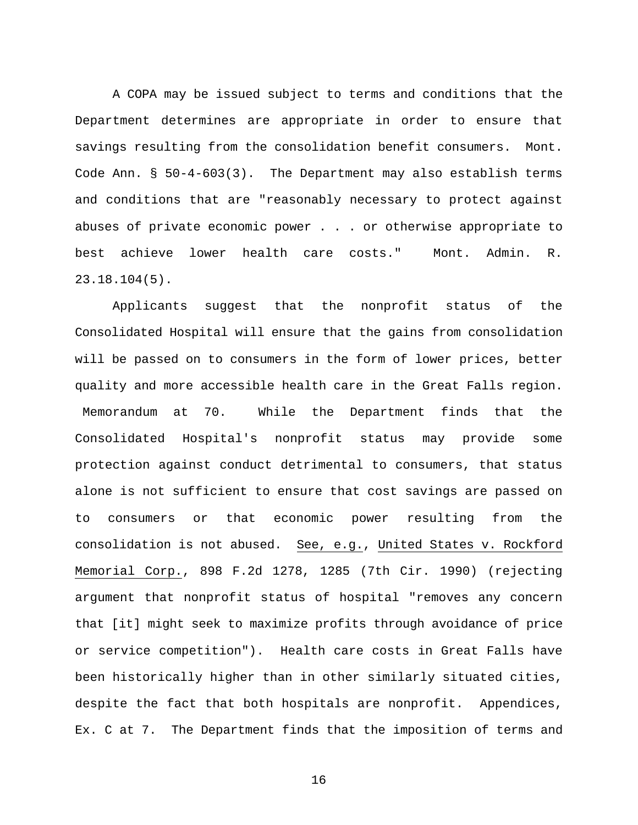A COPA may be issued subject to terms and conditions that the Department determines are appropriate in order to ensure that savings resulting from the consolidation benefit consumers. Mont. Code Ann. § 50-4-603(3). The Department may also establish terms and conditions that are "reasonably necessary to protect against abuses of private economic power . . . or otherwise appropriate to best achieve lower health care costs." Mont. Admin. R. 23.18.104(5).

Applicants suggest that the nonprofit status of the Consolidated Hospital will ensure that the gains from consolidation will be passed on to consumers in the form of lower prices, better quality and more accessible health care in the Great Falls region. Memorandum at 70. While the Department finds that the Consolidated Hospital's nonprofit status may provide some protection against conduct detrimental to consumers, that status alone is not sufficient to ensure that cost savings are passed on to consumers or that economic power resulting from the consolidation is not abused. See, e.g., United States v. Rockford Memorial Corp., 898 F.2d 1278, 1285 (7th Cir. 1990) (rejecting argument that nonprofit status of hospital "removes any concern that [it] might seek to maximize profits through avoidance of price or service competition"). Health care costs in Great Falls have been historically higher than in other similarly situated cities, despite the fact that both hospitals are nonprofit. Appendices, Ex. C at 7. The Department finds that the imposition of terms and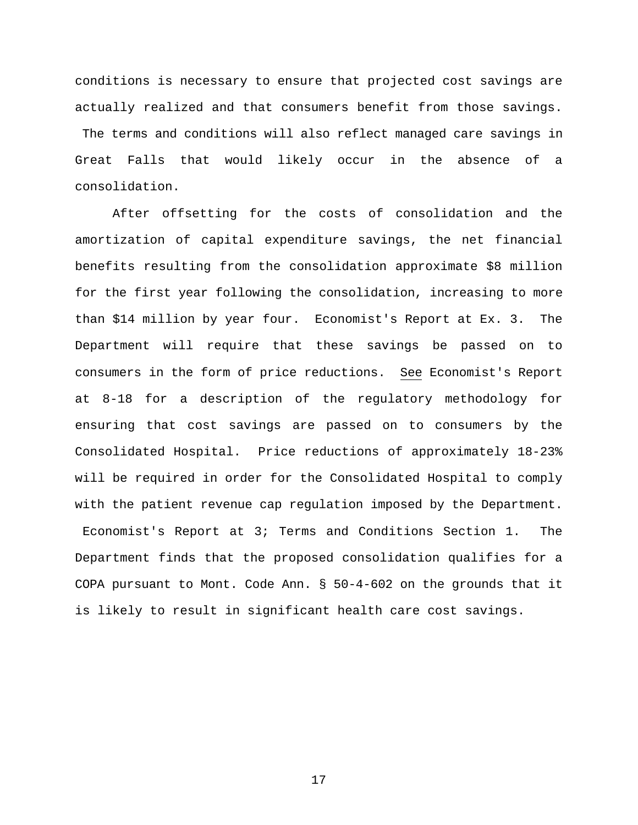conditions is necessary to ensure that projected cost savings are actually realized and that consumers benefit from those savings. The terms and conditions will also reflect managed care savings in Great Falls that would likely occur in the absence of a consolidation.

After offsetting for the costs of consolidation and the amortization of capital expenditure savings, the net financial benefits resulting from the consolidation approximate \$8 million for the first year following the consolidation, increasing to more than \$14 million by year four. Economist's Report at Ex. 3. The Department will require that these savings be passed on to consumers in the form of price reductions. See Economist's Report at 8-18 for a description of the regulatory methodology for ensuring that cost savings are passed on to consumers by the Consolidated Hospital. Price reductions of approximately 18-23% will be required in order for the Consolidated Hospital to comply with the patient revenue cap regulation imposed by the Department. Economist's Report at 3; Terms and Conditions Section 1. The Department finds that the proposed consolidation qualifies for a COPA pursuant to Mont. Code Ann. § 50-4-602 on the grounds that it is likely to result in significant health care cost savings.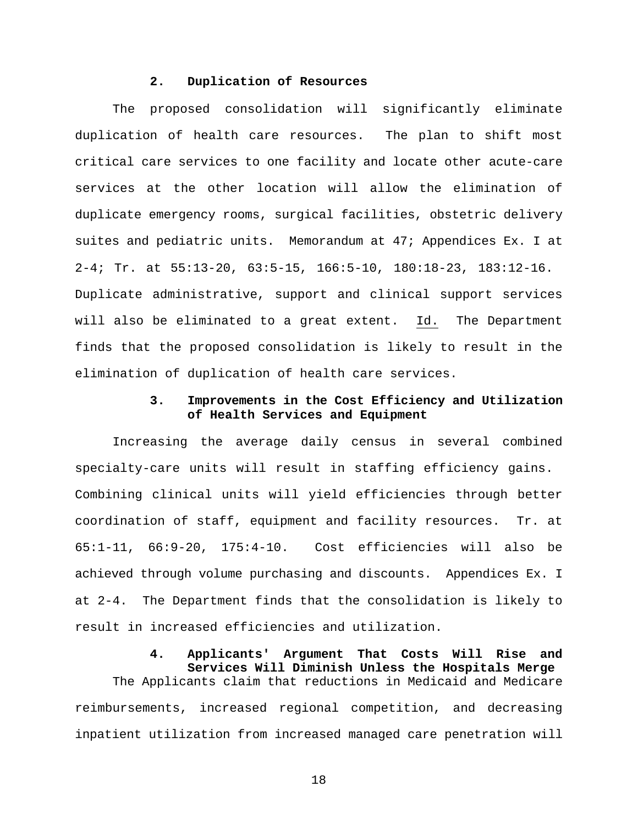#### **2. Duplication of Resources**

The proposed consolidation will significantly eliminate duplication of health care resources. The plan to shift most critical care services to one facility and locate other acute-care services at the other location will allow the elimination of duplicate emergency rooms, surgical facilities, obstetric delivery suites and pediatric units. Memorandum at 47; Appendices Ex. I at 2-4; Tr. at 55:13-20, 63:5-15, 166:5-10, 180:18-23, 183:12-16. Duplicate administrative, support and clinical support services will also be eliminated to a great extent. Id. The Department finds that the proposed consolidation is likely to result in the elimination of duplication of health care services.

## **3. Improvements in the Cost Efficiency and Utilization of Health Services and Equipment**

Increasing the average daily census in several combined specialty-care units will result in staffing efficiency gains. Combining clinical units will yield efficiencies through better coordination of staff, equipment and facility resources. Tr. at 65:1-11, 66:9-20, 175:4-10. Cost efficiencies will also be achieved through volume purchasing and discounts. Appendices Ex. I at 2-4. The Department finds that the consolidation is likely to result in increased efficiencies and utilization.

> **4. Applicants' Argument That Costs Will Rise and Services Will Diminish Unless the Hospitals Merge**

The Applicants claim that reductions in Medicaid and Medicare reimbursements, increased regional competition, and decreasing inpatient utilization from increased managed care penetration will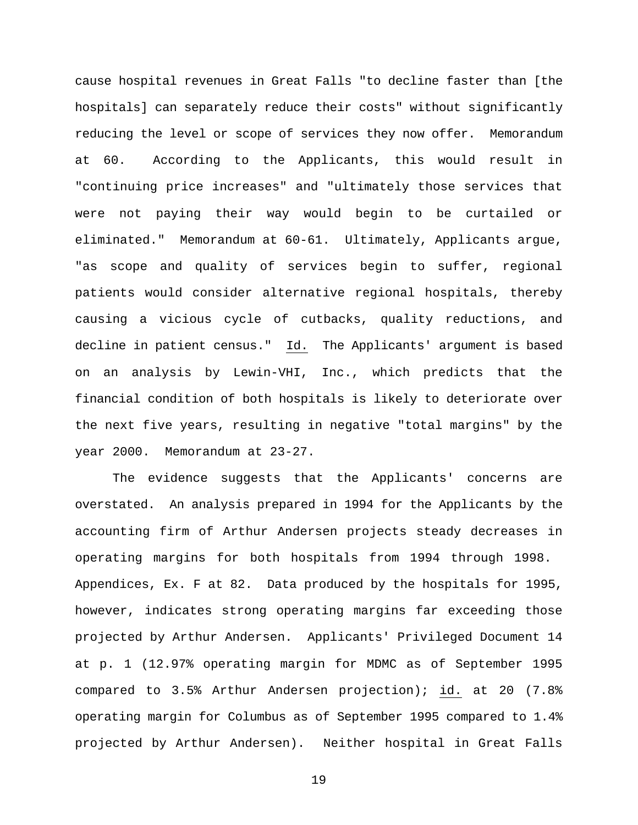cause hospital revenues in Great Falls "to decline faster than [the hospitals] can separately reduce their costs" without significantly reducing the level or scope of services they now offer. Memorandum at 60. According to the Applicants, this would result in "continuing price increases" and "ultimately those services that were not paying their way would begin to be curtailed or eliminated." Memorandum at 60-61. Ultimately, Applicants argue, "as scope and quality of services begin to suffer, regional patients would consider alternative regional hospitals, thereby causing a vicious cycle of cutbacks, quality reductions, and decline in patient census." Id. The Applicants' argument is based on an analysis by Lewin-VHI, Inc., which predicts that the financial condition of both hospitals is likely to deteriorate over the next five years, resulting in negative "total margins" by the year 2000. Memorandum at 23-27.

The evidence suggests that the Applicants' concerns are overstated. An analysis prepared in 1994 for the Applicants by the accounting firm of Arthur Andersen projects steady decreases in operating margins for both hospitals from 1994 through 1998. Appendices, Ex. F at 82. Data produced by the hospitals for 1995, however, indicates strong operating margins far exceeding those projected by Arthur Andersen. Applicants' Privileged Document 14 at p. 1 (12.97% operating margin for MDMC as of September 1995 compared to 3.5% Arthur Andersen projection); id. at 20 (7.8% operating margin for Columbus as of September 1995 compared to 1.4% projected by Arthur Andersen). Neither hospital in Great Falls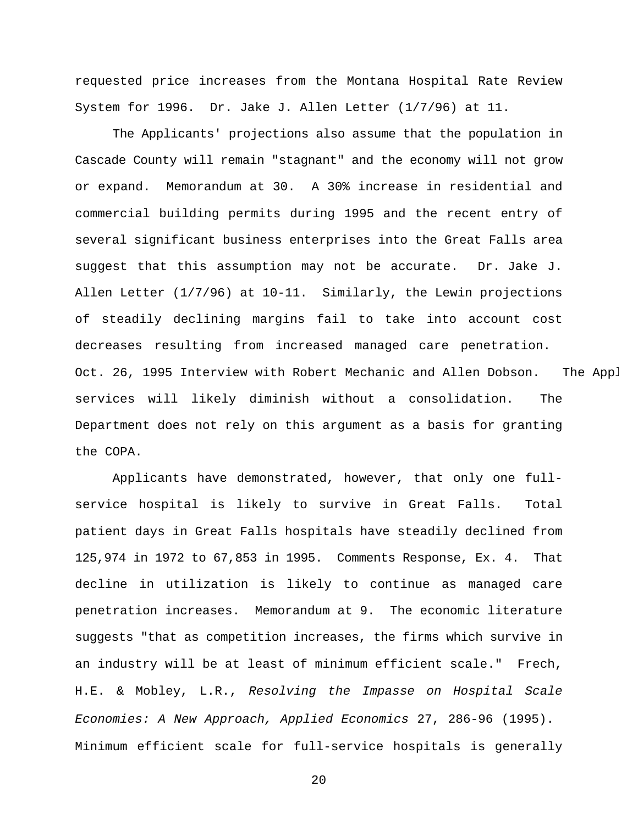requested price increases from the Montana Hospital Rate Review System for 1996. Dr. Jake J. Allen Letter (1/7/96) at 11.

The Applicants' projections also assume that the population in Cascade County will remain "stagnant" and the economy will not grow or expand. Memorandum at 30. A 30% increase in residential and commercial building permits during 1995 and the recent entry of several significant business enterprises into the Great Falls area suggest that this assumption may not be accurate. Dr. Jake J. Allen Letter (1/7/96) at 10-11. Similarly, the Lewin projections of steadily declining margins fail to take into account cost decreases resulting from increased managed care penetration. Oct. 26, 1995 Interview with Robert Mechanic and Allen Dobson. The Appl services will likely diminish without a consolidation. The Department does not rely on this argument as a basis for granting the COPA.

Applicants have demonstrated, however, that only one fullservice hospital is likely to survive in Great Falls. Total patient days in Great Falls hospitals have steadily declined from 125,974 in 1972 to 67,853 in 1995. Comments Response, Ex. 4. That decline in utilization is likely to continue as managed care penetration increases. Memorandum at 9. The economic literature suggests "that as competition increases, the firms which survive in an industry will be at least of minimum efficient scale." Frech, H.E. & Mobley, L.R., *Resolving the Impasse on Hospital Scale Economies: A New Approach, Applied Economics* 27, 286-96 (1995). Minimum efficient scale for full-service hospitals is generally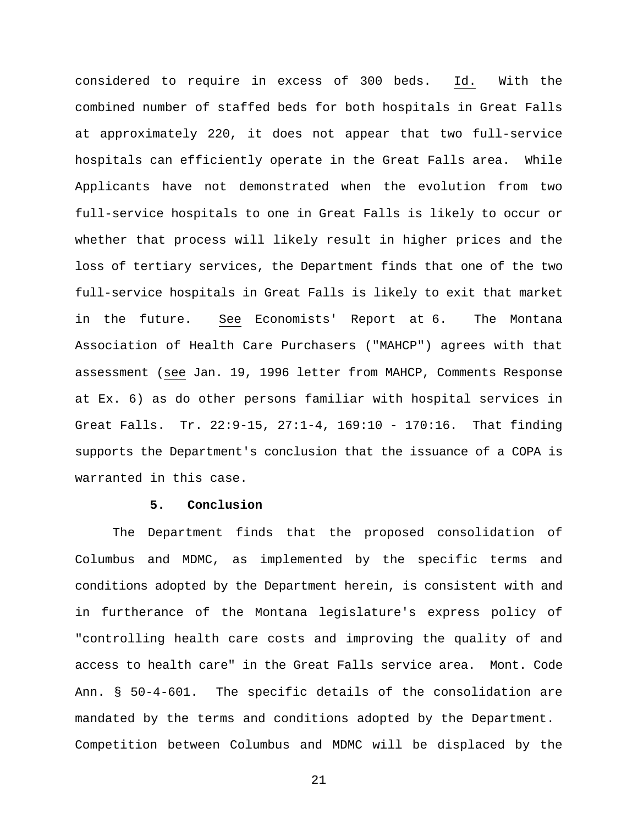considered to require in excess of 300 beds. Id. With the combined number of staffed beds for both hospitals in Great Falls at approximately 220, it does not appear that two full-service hospitals can efficiently operate in the Great Falls area. While Applicants have not demonstrated when the evolution from two full-service hospitals to one in Great Falls is likely to occur or whether that process will likely result in higher prices and the loss of tertiary services, the Department finds that one of the two full-service hospitals in Great Falls is likely to exit that market in the future. See Economists' Report at 6. The Montana Association of Health Care Purchasers ("MAHCP") agrees with that assessment (see Jan. 19, 1996 letter from MAHCP, Comments Response at Ex. 6) as do other persons familiar with hospital services in Great Falls. Tr. 22:9-15, 27:1-4, 169:10 - 170:16. That finding supports the Department's conclusion that the issuance of a COPA is warranted in this case.

#### **5. Conclusion**

The Department finds that the proposed consolidation of Columbus and MDMC, as implemented by the specific terms and conditions adopted by the Department herein, is consistent with and in furtherance of the Montana legislature's express policy of "controlling health care costs and improving the quality of and access to health care" in the Great Falls service area. Mont. Code Ann. § 50-4-601. The specific details of the consolidation are mandated by the terms and conditions adopted by the Department. Competition between Columbus and MDMC will be displaced by the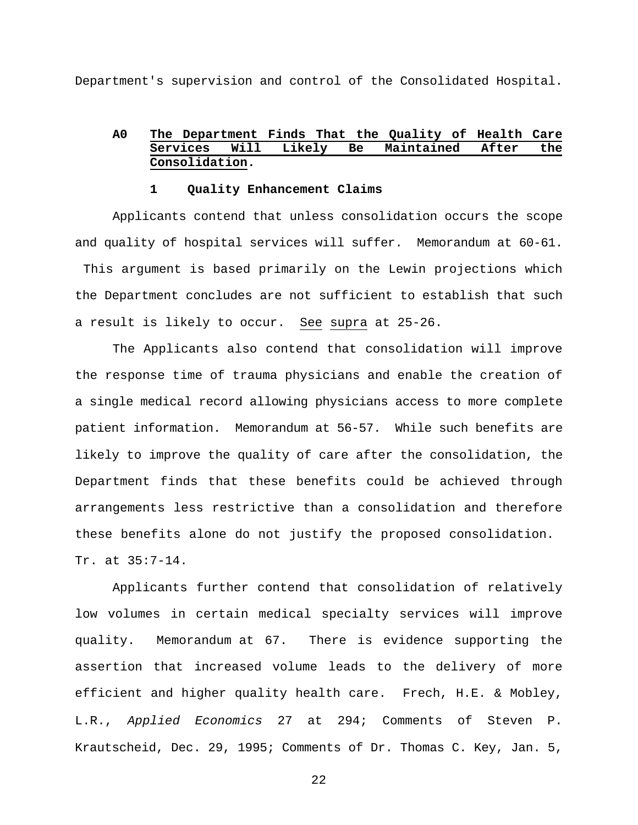Department's supervision and control of the Consolidated Hospital.

## **A0 The Department Finds That the Quality of Health Care Services Will Likely Be Maintained After the Consolidation.**

#### **1 Quality Enhancement Claims**

Applicants contend that unless consolidation occurs the scope and quality of hospital services will suffer. Memorandum at 60-61. This argument is based primarily on the Lewin projections which the Department concludes are not sufficient to establish that such a result is likely to occur. See supra at 25-26.

The Applicants also contend that consolidation will improve the response time of trauma physicians and enable the creation of a single medical record allowing physicians access to more complete patient information. Memorandum at 56-57. While such benefits are likely to improve the quality of care after the consolidation, the Department finds that these benefits could be achieved through arrangements less restrictive than a consolidation and therefore these benefits alone do not justify the proposed consolidation. Tr. at 35:7-14.

Applicants further contend that consolidation of relatively low volumes in certain medical specialty services will improve quality. Memorandum at 67. There is evidence supporting the assertion that increased volume leads to the delivery of more efficient and higher quality health care. Frech, H.E. & Mobley, L.R., *Applied Economics* 27 at 294; Comments of Steven P. Krautscheid, Dec. 29, 1995; Comments of Dr. Thomas C. Key, Jan. 5,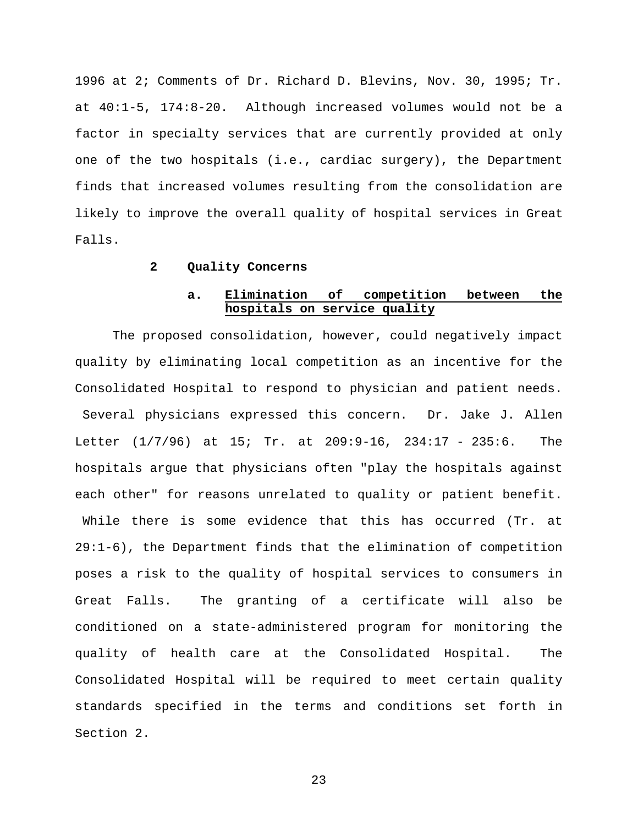1996 at 2; Comments of Dr. Richard D. Blevins, Nov. 30, 1995; Tr. at 40:1-5, 174:8-20. Although increased volumes would not be a factor in specialty services that are currently provided at only one of the two hospitals (i.e., cardiac surgery), the Department finds that increased volumes resulting from the consolidation are likely to improve the overall quality of hospital services in Great Falls.

#### **2 Quality Concerns**

## **a. Elimination of competition between the hospitals on service quality**

The proposed consolidation, however, could negatively impact quality by eliminating local competition as an incentive for the Consolidated Hospital to respond to physician and patient needs. Several physicians expressed this concern. Dr. Jake J. Allen Letter (1/7/96) at 15; Tr. at 209:9-16, 234:17 - 235:6. The hospitals argue that physicians often "play the hospitals against each other" for reasons unrelated to quality or patient benefit. While there is some evidence that this has occurred (Tr. at 29:1-6), the Department finds that the elimination of competition poses a risk to the quality of hospital services to consumers in Great Falls. The granting of a certificate will also be conditioned on a state-administered program for monitoring the quality of health care at the Consolidated Hospital. The Consolidated Hospital will be required to meet certain quality standards specified in the terms and conditions set forth in Section 2.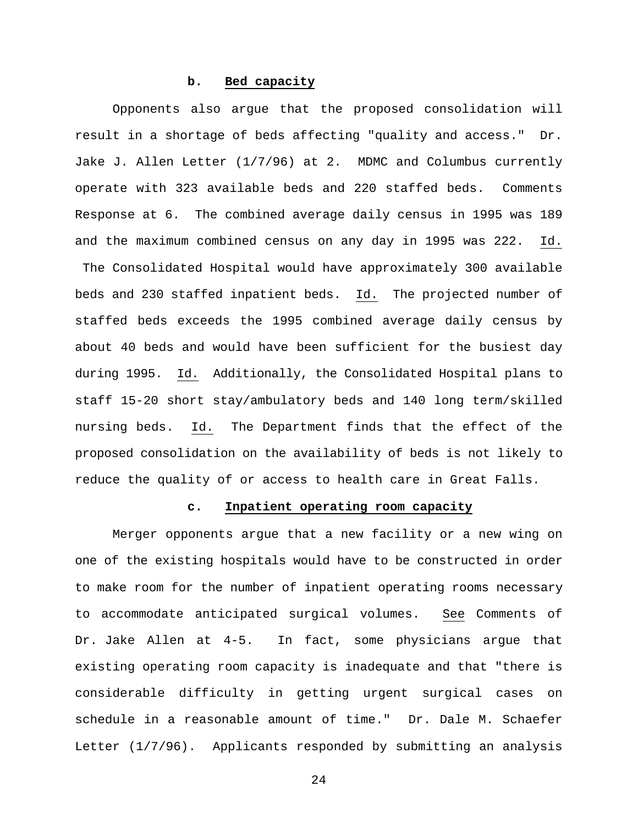#### **b. Bed capacity**

Opponents also argue that the proposed consolidation will result in a shortage of beds affecting "quality and access." Dr. Jake J. Allen Letter (1/7/96) at 2. MDMC and Columbus currently operate with 323 available beds and 220 staffed beds. Comments Response at 6. The combined average daily census in 1995 was 189 and the maximum combined census on any day in 1995 was 222. Id. The Consolidated Hospital would have approximately 300 available beds and 230 staffed inpatient beds. Id. The projected number of staffed beds exceeds the 1995 combined average daily census by about 40 beds and would have been sufficient for the busiest day during 1995. Id. Additionally, the Consolidated Hospital plans to staff 15-20 short stay/ambulatory beds and 140 long term/skilled nursing beds. Id. The Department finds that the effect of the proposed consolidation on the availability of beds is not likely to reduce the quality of or access to health care in Great Falls.

#### **c. Inpatient operating room capacity**

Merger opponents argue that a new facility or a new wing on one of the existing hospitals would have to be constructed in order to make room for the number of inpatient operating rooms necessary to accommodate anticipated surgical volumes. See Comments of Dr. Jake Allen at 4-5. In fact, some physicians argue that existing operating room capacity is inadequate and that "there is considerable difficulty in getting urgent surgical cases on schedule in a reasonable amount of time." Dr. Dale M. Schaefer Letter (1/7/96). Applicants responded by submitting an analysis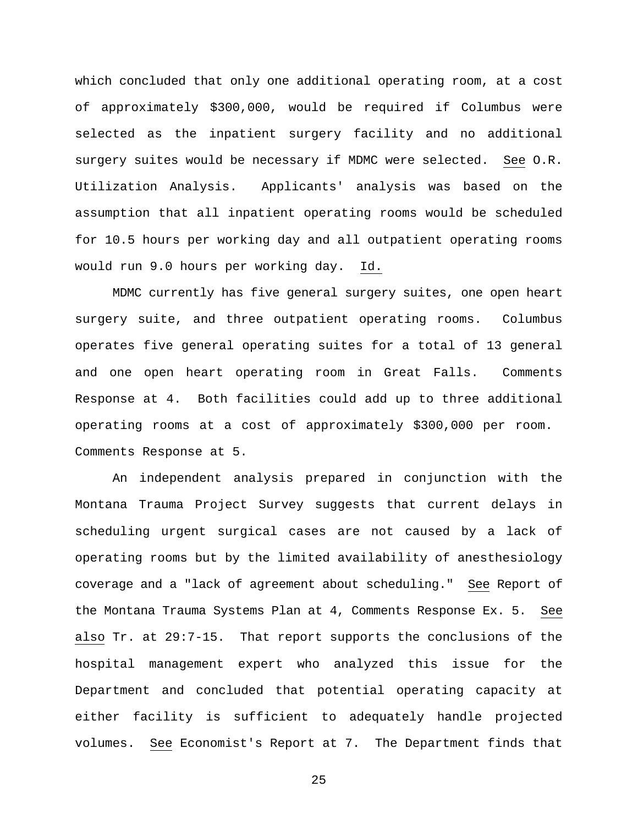which concluded that only one additional operating room, at a cost of approximately \$300,000, would be required if Columbus were selected as the inpatient surgery facility and no additional surgery suites would be necessary if MDMC were selected. See O.R. Utilization Analysis. Applicants' analysis was based on the assumption that all inpatient operating rooms would be scheduled for 10.5 hours per working day and all outpatient operating rooms would run 9.0 hours per working day. Id.

MDMC currently has five general surgery suites, one open heart surgery suite, and three outpatient operating rooms. Columbus operates five general operating suites for a total of 13 general and one open heart operating room in Great Falls. Comments Response at 4. Both facilities could add up to three additional operating rooms at a cost of approximately \$300,000 per room. Comments Response at 5.

An independent analysis prepared in conjunction with the Montana Trauma Project Survey suggests that current delays in scheduling urgent surgical cases are not caused by a lack of operating rooms but by the limited availability of anesthesiology coverage and a "lack of agreement about scheduling." See Report of the Montana Trauma Systems Plan at 4, Comments Response Ex. 5. See also Tr. at 29:7-15. That report supports the conclusions of the hospital management expert who analyzed this issue for the Department and concluded that potential operating capacity at either facility is sufficient to adequately handle projected volumes. See Economist's Report at 7. The Department finds that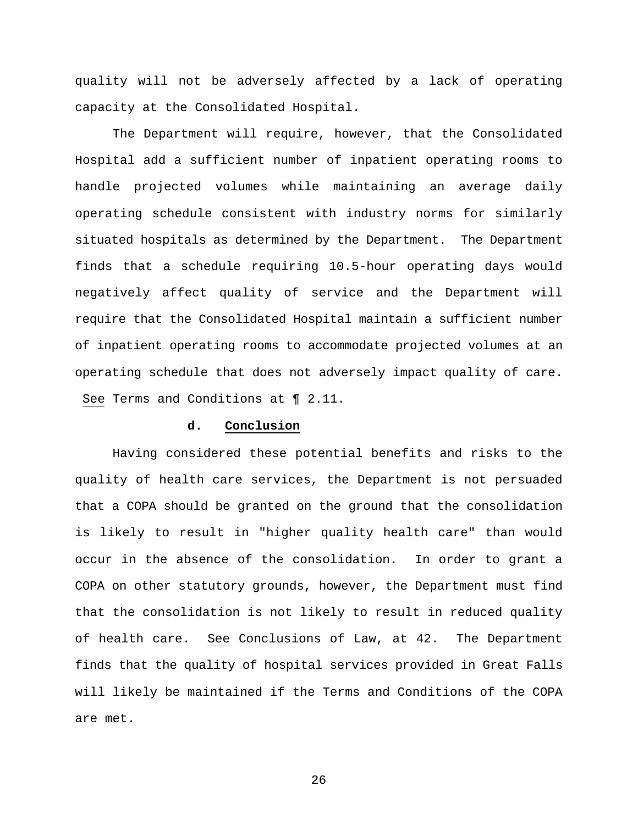quality will not be adversely affected by a lack of operating capacity at the Consolidated Hospital.

The Department will require, however, that the Consolidated Hospital add a sufficient number of inpatient operating rooms to handle projected volumes while maintaining an average daily operating schedule consistent with industry norms for similarly situated hospitals as determined by the Department. The Department finds that a schedule requiring 10.5-hour operating days would negatively affect quality of service and the Department will require that the Consolidated Hospital maintain a sufficient number of inpatient operating rooms to accommodate projected volumes at an operating schedule that does not adversely impact quality of care. See Terms and Conditions at ¶ 2.11.

#### **d. Conclusion**

Having considered these potential benefits and risks to the quality of health care services, the Department is not persuaded that a COPA should be granted on the ground that the consolidation is likely to result in "higher quality health care" than would occur in the absence of the consolidation. In order to grant a COPA on other statutory grounds, however, the Department must find that the consolidation is not likely to result in reduced quality of health care. See Conclusions of Law, at 42. The Department finds that the quality of hospital services provided in Great Falls will likely be maintained if the Terms and Conditions of the COPA are met.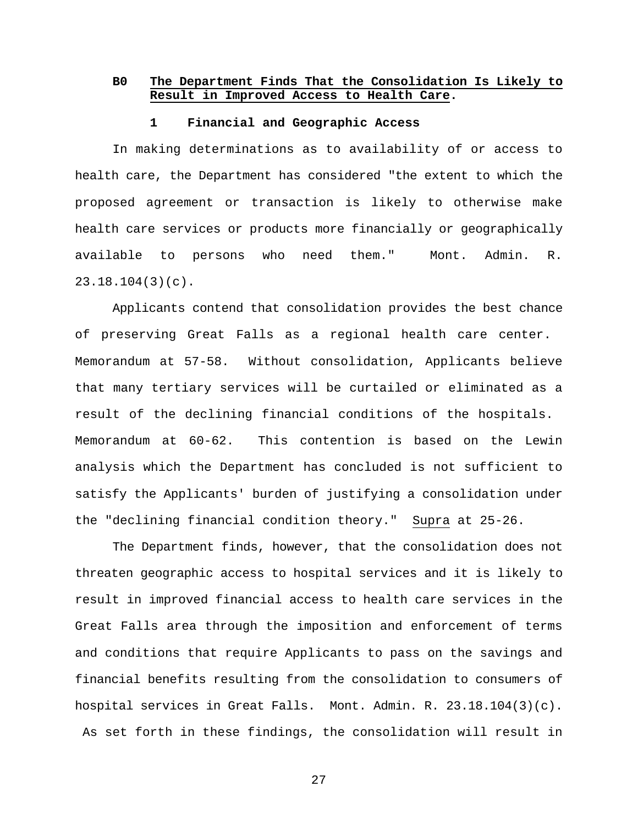## **B0 The Department Finds That the Consolidation Is Likely to Result in Improved Access to Health Care.**

#### **1 Financial and Geographic Access**

In making determinations as to availability of or access to health care, the Department has considered "the extent to which the proposed agreement or transaction is likely to otherwise make health care services or products more financially or geographically available to persons who need them." Mont. Admin. R. 23.18.104(3)(c).

Applicants contend that consolidation provides the best chance of preserving Great Falls as a regional health care center. Memorandum at 57-58. Without consolidation, Applicants believe that many tertiary services will be curtailed or eliminated as a result of the declining financial conditions of the hospitals. Memorandum at 60-62. This contention is based on the Lewin analysis which the Department has concluded is not sufficient to satisfy the Applicants' burden of justifying a consolidation under the "declining financial condition theory." Supra at 25-26.

The Department finds, however, that the consolidation does not threaten geographic access to hospital services and it is likely to result in improved financial access to health care services in the Great Falls area through the imposition and enforcement of terms and conditions that require Applicants to pass on the savings and financial benefits resulting from the consolidation to consumers of hospital services in Great Falls. Mont. Admin. R. 23.18.104(3)(c). As set forth in these findings, the consolidation will result in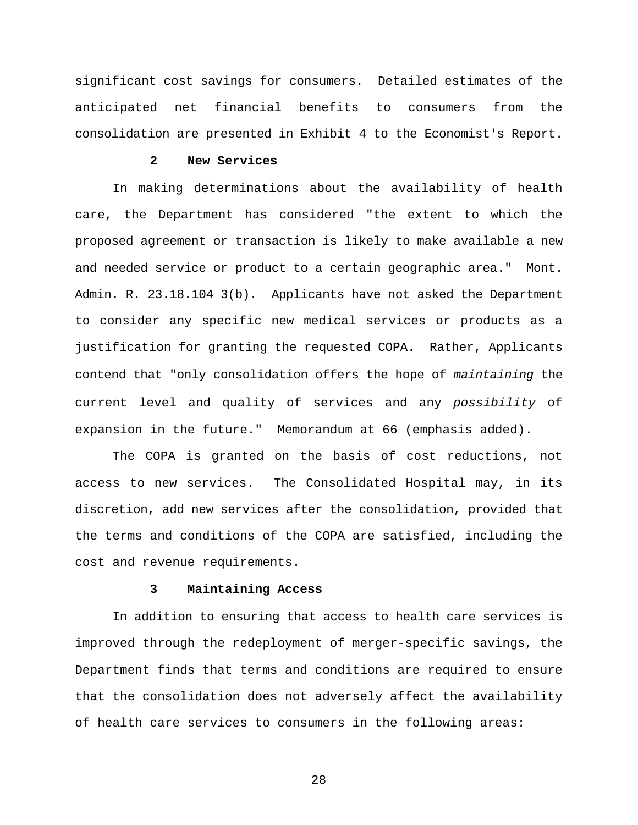significant cost savings for consumers. Detailed estimates of the anticipated net financial benefits to consumers from the consolidation are presented in Exhibit 4 to the Economist's Report.

## **2 New Services**

In making determinations about the availability of health care, the Department has considered "the extent to which the proposed agreement or transaction is likely to make available a new and needed service or product to a certain geographic area." Mont. Admin. R. 23.18.104 3(b). Applicants have not asked the Department to consider any specific new medical services or products as a justification for granting the requested COPA. Rather, Applicants contend that "only consolidation offers the hope of *maintaining* the current level and quality of services and any *possibility* of expansion in the future." Memorandum at 66 (emphasis added).

The COPA is granted on the basis of cost reductions, not access to new services. The Consolidated Hospital may, in its discretion, add new services after the consolidation, provided that the terms and conditions of the COPA are satisfied, including the cost and revenue requirements.

#### **3 Maintaining Access**

In addition to ensuring that access to health care services is improved through the redeployment of merger-specific savings, the Department finds that terms and conditions are required to ensure that the consolidation does not adversely affect the availability of health care services to consumers in the following areas: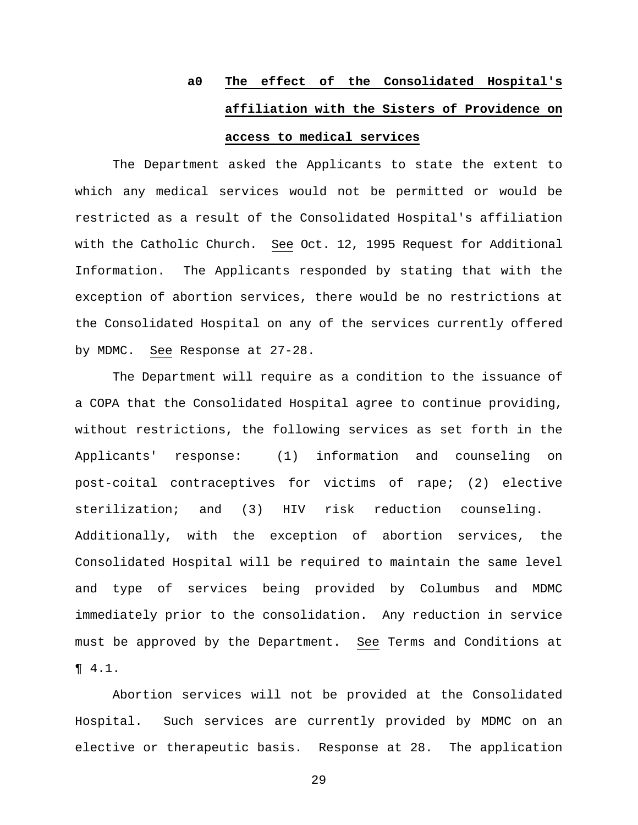# **a0 The effect of the Consolidated Hospital's affiliation with the Sisters of Providence on**

## **access to medical services**

The Department asked the Applicants to state the extent to which any medical services would not be permitted or would be restricted as a result of the Consolidated Hospital's affiliation with the Catholic Church. See Oct. 12, 1995 Request for Additional Information. The Applicants responded by stating that with the exception of abortion services, there would be no restrictions at the Consolidated Hospital on any of the services currently offered by MDMC. See Response at 27-28.

The Department will require as a condition to the issuance of a COPA that the Consolidated Hospital agree to continue providing, without restrictions, the following services as set forth in the Applicants' response: (1) information and counseling on post-coital contraceptives for victims of rape; (2) elective sterilization; and (3) HIV risk reduction counseling. Additionally, with the exception of abortion services, the Consolidated Hospital will be required to maintain the same level and type of services being provided by Columbus and MDMC immediately prior to the consolidation. Any reduction in service must be approved by the Department. See Terms and Conditions at ¶ 4.1.

Abortion services will not be provided at the Consolidated Hospital. Such services are currently provided by MDMC on an elective or therapeutic basis. Response at 28. The application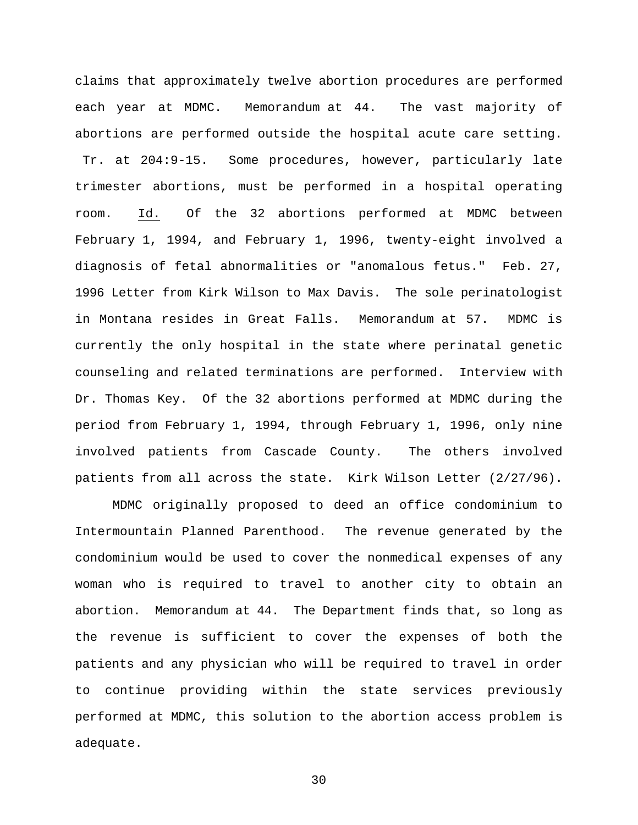claims that approximately twelve abortion procedures are performed each year at MDMC. Memorandum at 44. The vast majority of abortions are performed outside the hospital acute care setting. Tr. at 204:9-15. Some procedures, however, particularly late trimester abortions, must be performed in a hospital operating room. Id. Of the 32 abortions performed at MDMC between February 1, 1994, and February 1, 1996, twenty-eight involved a diagnosis of fetal abnormalities or "anomalous fetus." Feb. 27, 1996 Letter from Kirk Wilson to Max Davis. The sole perinatologist in Montana resides in Great Falls. Memorandum at 57. MDMC is currently the only hospital in the state where perinatal genetic counseling and related terminations are performed. Interview with Dr. Thomas Key. Of the 32 abortions performed at MDMC during the period from February 1, 1994, through February 1, 1996, only nine involved patients from Cascade County. The others involved patients from all across the state. Kirk Wilson Letter (2/27/96).

MDMC originally proposed to deed an office condominium to Intermountain Planned Parenthood. The revenue generated by the condominium would be used to cover the nonmedical expenses of any woman who is required to travel to another city to obtain an abortion. Memorandum at 44. The Department finds that, so long as the revenue is sufficient to cover the expenses of both the patients and any physician who will be required to travel in order to continue providing within the state services previously performed at MDMC, this solution to the abortion access problem is adequate.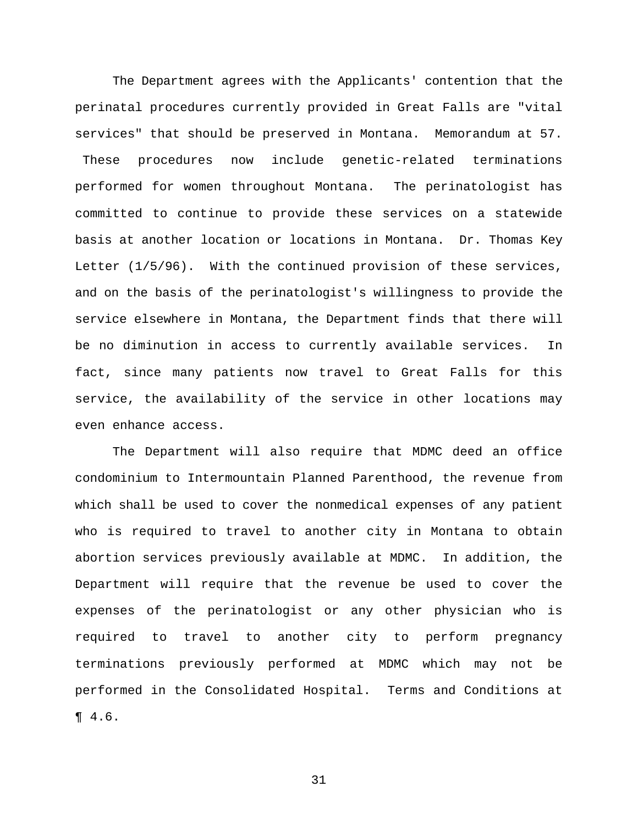The Department agrees with the Applicants' contention that the perinatal procedures currently provided in Great Falls are "vital services" that should be preserved in Montana. Memorandum at 57. These procedures now include genetic-related terminations performed for women throughout Montana. The perinatologist has committed to continue to provide these services on a statewide basis at another location or locations in Montana. Dr. Thomas Key Letter (1/5/96). With the continued provision of these services, and on the basis of the perinatologist's willingness to provide the service elsewhere in Montana, the Department finds that there will be no diminution in access to currently available services. In fact, since many patients now travel to Great Falls for this service, the availability of the service in other locations may even enhance access.

The Department will also require that MDMC deed an office condominium to Intermountain Planned Parenthood, the revenue from which shall be used to cover the nonmedical expenses of any patient who is required to travel to another city in Montana to obtain abortion services previously available at MDMC. In addition, the Department will require that the revenue be used to cover the expenses of the perinatologist or any other physician who is required to travel to another city to perform pregnancy terminations previously performed at MDMC which may not be performed in the Consolidated Hospital. Terms and Conditions at ¶ 4.6.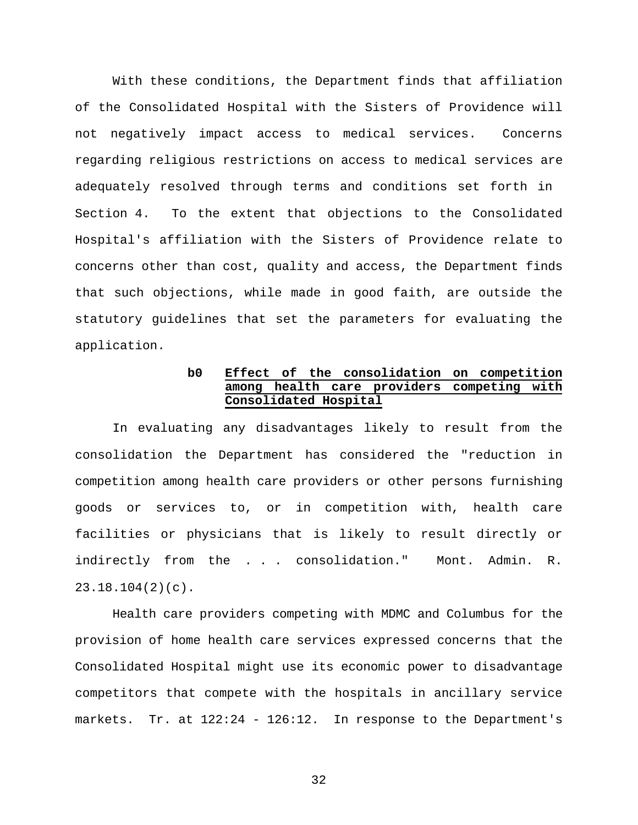With these conditions, the Department finds that affiliation of the Consolidated Hospital with the Sisters of Providence will not negatively impact access to medical services. Concerns regarding religious restrictions on access to medical services are adequately resolved through terms and conditions set forth in Section 4. To the extent that objections to the Consolidated Hospital's affiliation with the Sisters of Providence relate to concerns other than cost, quality and access, the Department finds that such objections, while made in good faith, are outside the statutory guidelines that set the parameters for evaluating the application.

## **b0 Effect of the consolidation on competition among health care providers competing with Consolidated Hospital**

In evaluating any disadvantages likely to result from the consolidation the Department has considered the "reduction in competition among health care providers or other persons furnishing goods or services to, or in competition with, health care facilities or physicians that is likely to result directly or indirectly from the . . . consolidation." Mont. Admin. R. 23.18.104(2)(c).

Health care providers competing with MDMC and Columbus for the provision of home health care services expressed concerns that the Consolidated Hospital might use its economic power to disadvantage competitors that compete with the hospitals in ancillary service markets. Tr. at 122:24 - 126:12. In response to the Department's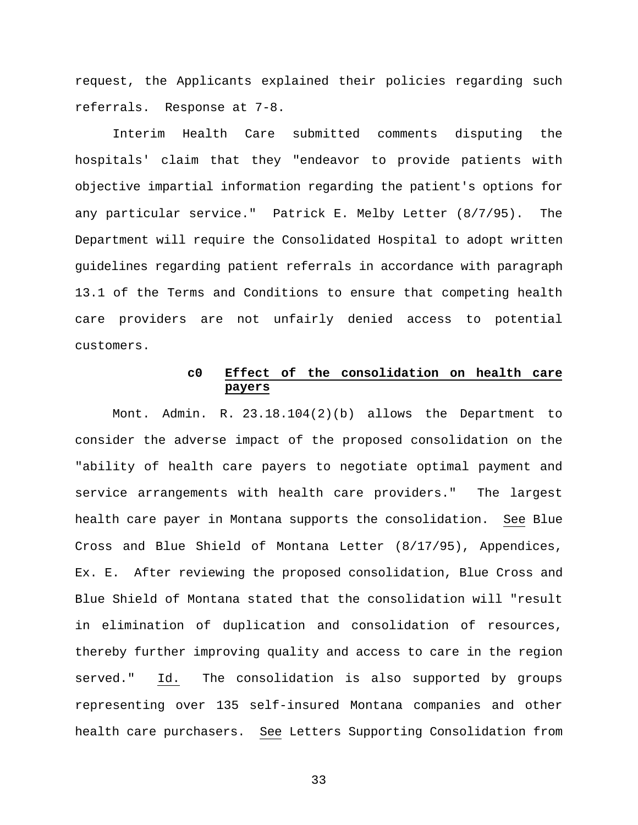request, the Applicants explained their policies regarding such referrals. Response at 7-8.

Interim Health Care submitted comments disputing the hospitals' claim that they "endeavor to provide patients with objective impartial information regarding the patient's options for any particular service." Patrick E. Melby Letter (8/7/95). The Department will require the Consolidated Hospital to adopt written guidelines regarding patient referrals in accordance with paragraph 13.1 of the Terms and Conditions to ensure that competing health care providers are not unfairly denied access to potential customers.

## **c0 Effect of the consolidation on health care payers**

Mont. Admin. R. 23.18.104(2)(b) allows the Department to consider the adverse impact of the proposed consolidation on the "ability of health care payers to negotiate optimal payment and service arrangements with health care providers." The largest health care payer in Montana supports the consolidation. See Blue Cross and Blue Shield of Montana Letter (8/17/95), Appendices, Ex. E. After reviewing the proposed consolidation, Blue Cross and Blue Shield of Montana stated that the consolidation will "result in elimination of duplication and consolidation of resources, thereby further improving quality and access to care in the region served." Id. The consolidation is also supported by groups representing over 135 self-insured Montana companies and other health care purchasers. See Letters Supporting Consolidation from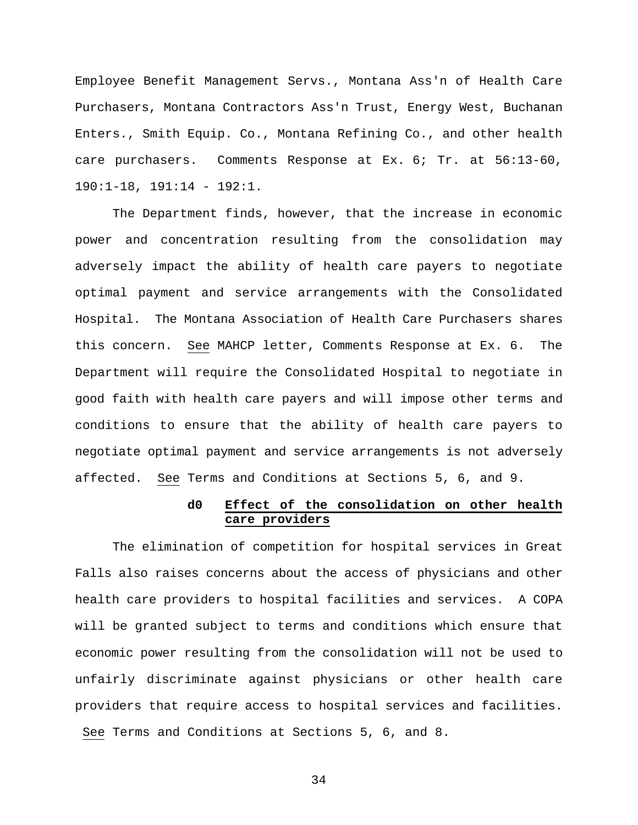Employee Benefit Management Servs., Montana Ass'n of Health Care Purchasers, Montana Contractors Ass'n Trust, Energy West, Buchanan Enters., Smith Equip. Co., Montana Refining Co., and other health care purchasers. Comments Response at Ex. 6; Tr. at 56:13-60,  $190:1-18$ ,  $191:14 - 192:1$ .

The Department finds, however, that the increase in economic power and concentration resulting from the consolidation may adversely impact the ability of health care payers to negotiate optimal payment and service arrangements with the Consolidated Hospital. The Montana Association of Health Care Purchasers shares this concern. See MAHCP letter, Comments Response at Ex. 6. The Department will require the Consolidated Hospital to negotiate in good faith with health care payers and will impose other terms and conditions to ensure that the ability of health care payers to negotiate optimal payment and service arrangements is not adversely affected. See Terms and Conditions at Sections 5, 6, and 9.

## **d0 Effect of the consolidation on other health care providers**

The elimination of competition for hospital services in Great Falls also raises concerns about the access of physicians and other health care providers to hospital facilities and services. A COPA will be granted subject to terms and conditions which ensure that economic power resulting from the consolidation will not be used to unfairly discriminate against physicians or other health care providers that require access to hospital services and facilities. See Terms and Conditions at Sections 5, 6, and 8.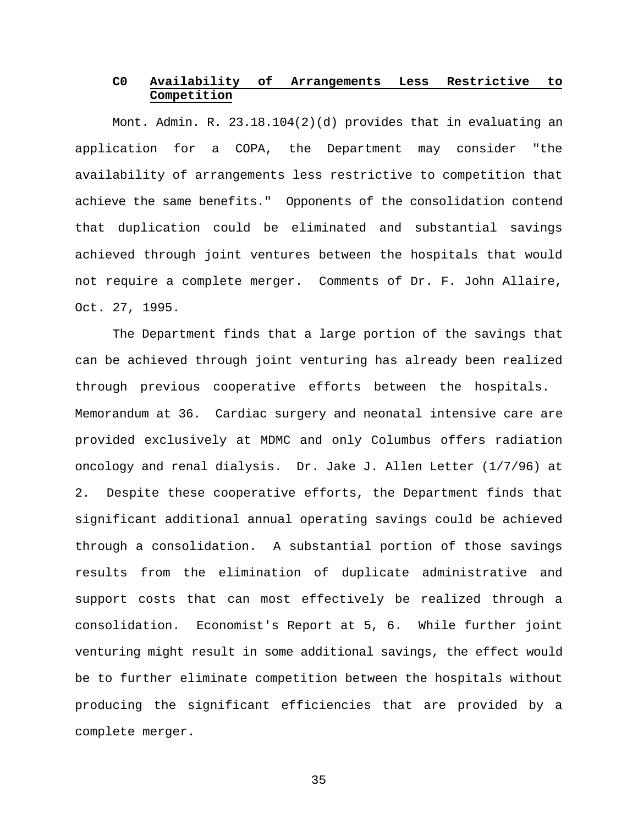## **C0 Availability of Arrangements Less Restrictive to Competition**

Mont. Admin. R. 23.18.104(2)(d) provides that in evaluating an application for a COPA, the Department may consider "the availability of arrangements less restrictive to competition that achieve the same benefits." Opponents of the consolidation contend that duplication could be eliminated and substantial savings achieved through joint ventures between the hospitals that would not require a complete merger. Comments of Dr. F. John Allaire, Oct. 27, 1995.

The Department finds that a large portion of the savings that can be achieved through joint venturing has already been realized through previous cooperative efforts between the hospitals. Memorandum at 36. Cardiac surgery and neonatal intensive care are provided exclusively at MDMC and only Columbus offers radiation oncology and renal dialysis. Dr. Jake J. Allen Letter (1/7/96) at 2. Despite these cooperative efforts, the Department finds that significant additional annual operating savings could be achieved through a consolidation. A substantial portion of those savings results from the elimination of duplicate administrative and support costs that can most effectively be realized through a consolidation. Economist's Report at 5, 6. While further joint venturing might result in some additional savings, the effect would be to further eliminate competition between the hospitals without producing the significant efficiencies that are provided by a complete merger.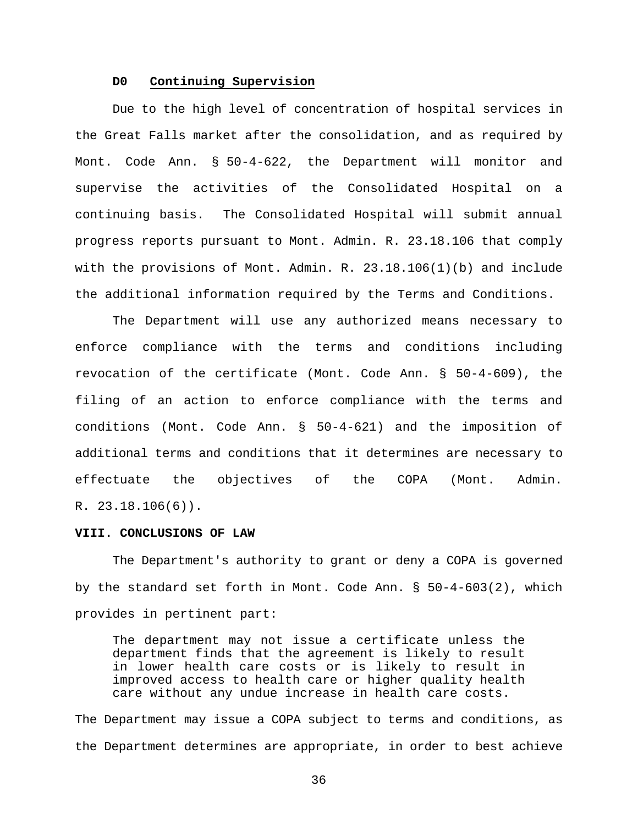## **D0 Continuing Supervision**

Due to the high level of concentration of hospital services in the Great Falls market after the consolidation, and as required by Mont. Code Ann. § 50-4-622, the Department will monitor and supervise the activities of the Consolidated Hospital on a continuing basis. The Consolidated Hospital will submit annual progress reports pursuant to Mont. Admin. R. 23.18.106 that comply with the provisions of Mont. Admin. R. 23.18.106(1)(b) and include the additional information required by the Terms and Conditions.

The Department will use any authorized means necessary to enforce compliance with the terms and conditions including revocation of the certificate (Mont. Code Ann. § 50-4-609), the filing of an action to enforce compliance with the terms and conditions (Mont. Code Ann. § 50-4-621) and the imposition of additional terms and conditions that it determines are necessary to effectuate the objectives of the COPA (Mont. Admin. R. 23.18.106(6)).

#### **VIII. CONCLUSIONS OF LAW**

The Department's authority to grant or deny a COPA is governed by the standard set forth in Mont. Code Ann. § 50-4-603(2), which provides in pertinent part:

The department may not issue a certificate unless the department finds that the agreement is likely to result in lower health care costs or is likely to result in improved access to health care or higher quality health care without any undue increase in health care costs.

The Department may issue a COPA subject to terms and conditions, as the Department determines are appropriate, in order to best achieve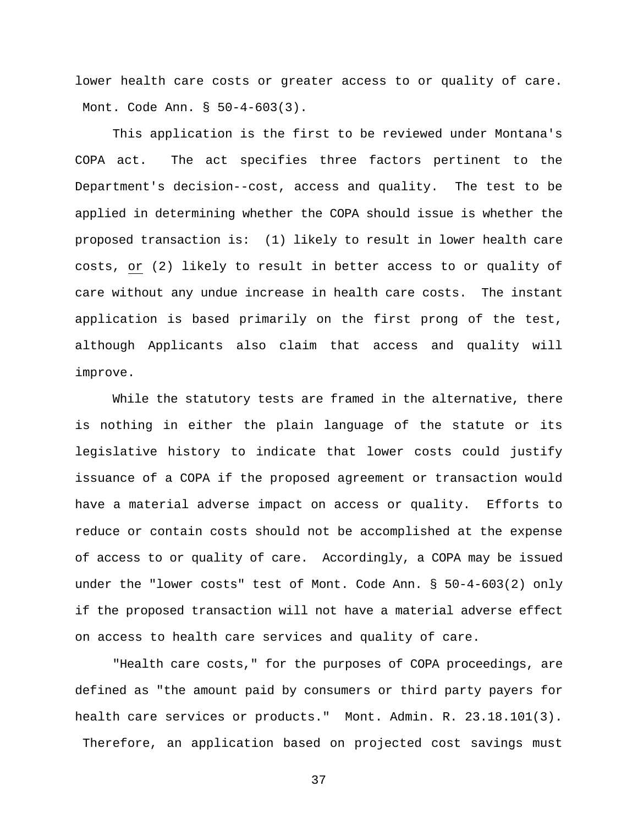lower health care costs or greater access to or quality of care. Mont. Code Ann. § 50-4-603(3).

This application is the first to be reviewed under Montana's COPA act. The act specifies three factors pertinent to the Department's decision--cost, access and quality. The test to be applied in determining whether the COPA should issue is whether the proposed transaction is: (1) likely to result in lower health care costs, or (2) likely to result in better access to or quality of care without any undue increase in health care costs. The instant application is based primarily on the first prong of the test, although Applicants also claim that access and quality will improve.

While the statutory tests are framed in the alternative, there is nothing in either the plain language of the statute or its legislative history to indicate that lower costs could justify issuance of a COPA if the proposed agreement or transaction would have a material adverse impact on access or quality. Efforts to reduce or contain costs should not be accomplished at the expense of access to or quality of care. Accordingly, a COPA may be issued under the "lower costs" test of Mont. Code Ann. § 50-4-603(2) only if the proposed transaction will not have a material adverse effect on access to health care services and quality of care.

"Health care costs," for the purposes of COPA proceedings, are defined as "the amount paid by consumers or third party payers for health care services or products." Mont. Admin. R. 23.18.101(3). Therefore, an application based on projected cost savings must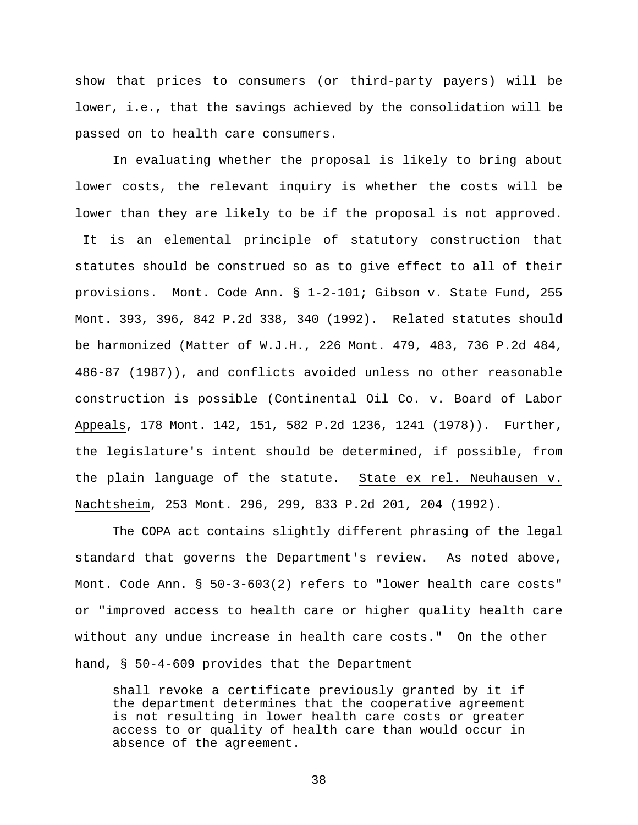show that prices to consumers (or third-party payers) will be lower, i.e., that the savings achieved by the consolidation will be passed on to health care consumers.

In evaluating whether the proposal is likely to bring about lower costs, the relevant inquiry is whether the costs will be lower than they are likely to be if the proposal is not approved. It is an elemental principle of statutory construction that statutes should be construed so as to give effect to all of their provisions. Mont. Code Ann. § 1-2-101; Gibson v. State Fund, 255 Mont. 393, 396, 842 P.2d 338, 340 (1992). Related statutes should be harmonized (Matter of W.J.H., 226 Mont. 479, 483, 736 P.2d 484, 486-87 (1987)), and conflicts avoided unless no other reasonable construction is possible (Continental Oil Co. v. Board of Labor Appeals, 178 Mont. 142, 151, 582 P.2d 1236, 1241 (1978)). Further, the legislature's intent should be determined, if possible, from the plain language of the statute. State ex rel. Neuhausen v. Nachtsheim, 253 Mont. 296, 299, 833 P.2d 201, 204 (1992).

The COPA act contains slightly different phrasing of the legal standard that governs the Department's review. As noted above, Mont. Code Ann. § 50-3-603(2) refers to "lower health care costs" or "improved access to health care or higher quality health care without any undue increase in health care costs." On the other hand, § 50-4-609 provides that the Department

shall revoke a certificate previously granted by it if the department determines that the cooperative agreement is not resulting in lower health care costs or greater access to or quality of health care than would occur in absence of the agreement.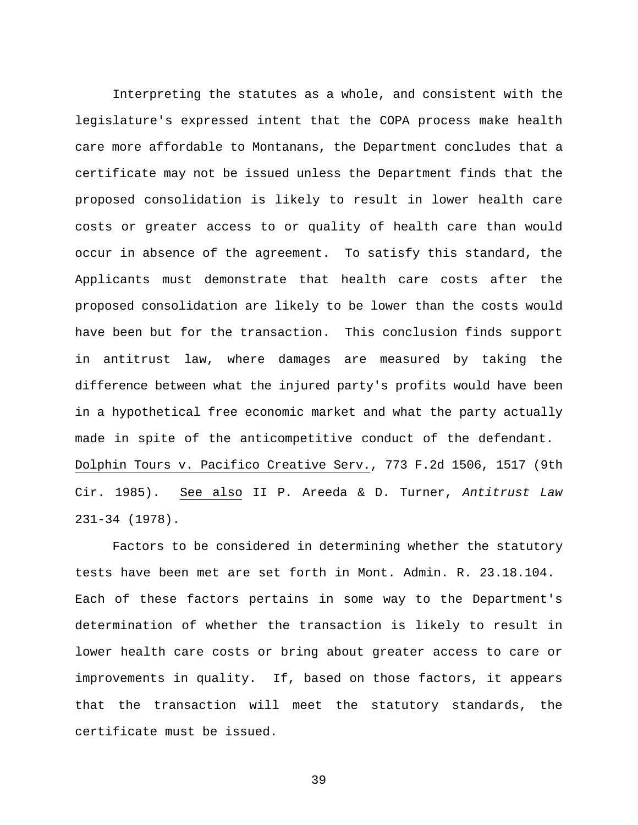Interpreting the statutes as a whole, and consistent with the legislature's expressed intent that the COPA process make health care more affordable to Montanans, the Department concludes that a certificate may not be issued unless the Department finds that the proposed consolidation is likely to result in lower health care costs or greater access to or quality of health care than would occur in absence of the agreement. To satisfy this standard, the Applicants must demonstrate that health care costs after the proposed consolidation are likely to be lower than the costs would have been but for the transaction. This conclusion finds support in antitrust law, where damages are measured by taking the difference between what the injured party's profits would have been in a hypothetical free economic market and what the party actually made in spite of the anticompetitive conduct of the defendant. Dolphin Tours v. Pacifico Creative Serv., 773 F.2d 1506, 1517 (9th Cir. 1985). See also II P. Areeda & D. Turner, *Antitrust Law* 231-34 (1978).

Factors to be considered in determining whether the statutory tests have been met are set forth in Mont. Admin. R. 23.18.104. Each of these factors pertains in some way to the Department's determination of whether the transaction is likely to result in lower health care costs or bring about greater access to care or improvements in quality. If, based on those factors, it appears that the transaction will meet the statutory standards, the certificate must be issued.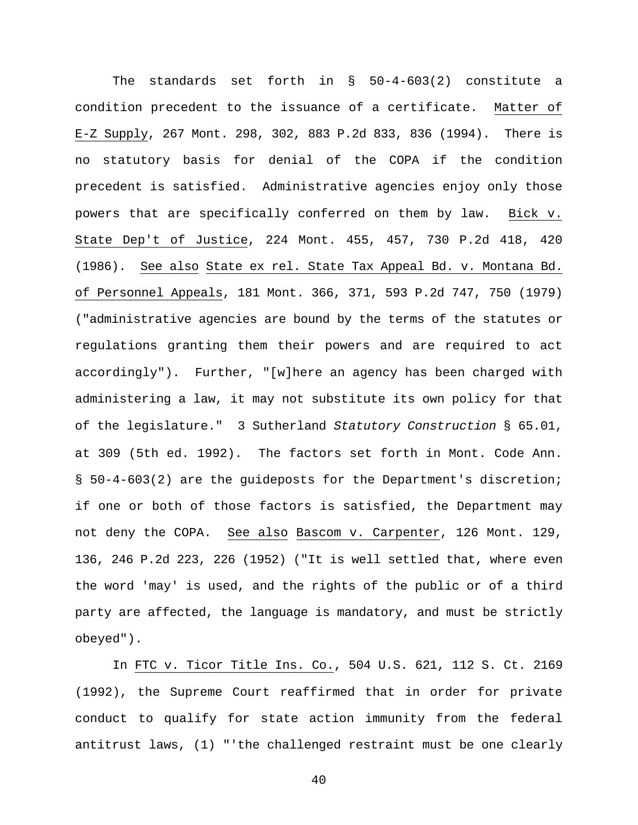The standards set forth in § 50-4-603(2) constitute a condition precedent to the issuance of a certificate. Matter of E-Z Supply, 267 Mont. 298, 302, 883 P.2d 833, 836 (1994). There is no statutory basis for denial of the COPA if the condition precedent is satisfied. Administrative agencies enjoy only those powers that are specifically conferred on them by law. Bick v. State Dep't of Justice, 224 Mont. 455, 457, 730 P.2d 418, 420 (1986). See also State ex rel. State Tax Appeal Bd. v. Montana Bd. of Personnel Appeals, 181 Mont. 366, 371, 593 P.2d 747, 750 (1979) ("administrative agencies are bound by the terms of the statutes or regulations granting them their powers and are required to act accordingly"). Further, "[w]here an agency has been charged with administering a law, it may not substitute its own policy for that of the legislature." 3 Sutherland *Statutory Construction* § 65.01, at 309 (5th ed. 1992). The factors set forth in Mont. Code Ann. § 50-4-603(2) are the guideposts for the Department's discretion; if one or both of those factors is satisfied, the Department may not deny the COPA. See also Bascom v. Carpenter, 126 Mont. 129, 136, 246 P.2d 223, 226 (1952) ("It is well settled that, where even the word 'may' is used, and the rights of the public or of a third party are affected, the language is mandatory, and must be strictly obeyed").

In FTC v. Ticor Title Ins. Co., 504 U.S. 621, 112 S. Ct. 2169 (1992), the Supreme Court reaffirmed that in order for private conduct to qualify for state action immunity from the federal antitrust laws, (1) "'the challenged restraint must be one clearly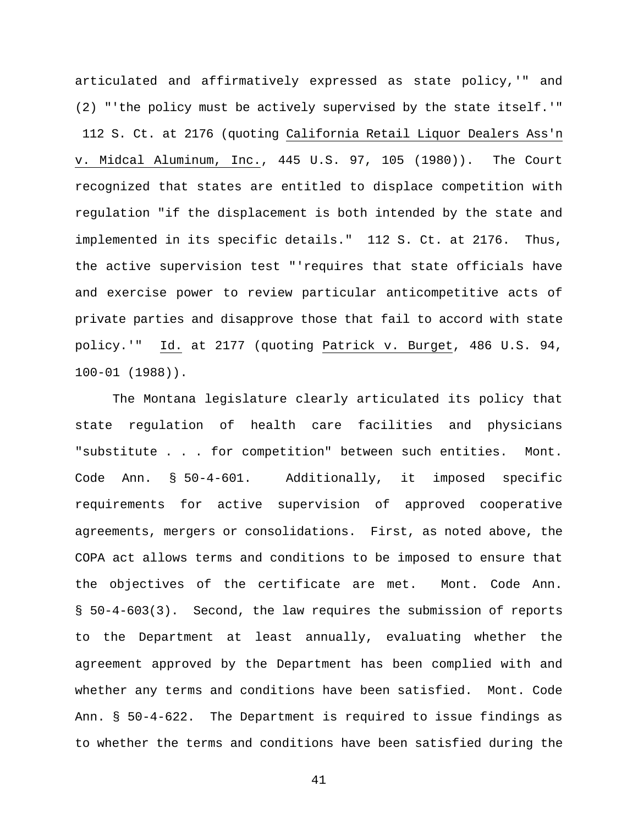articulated and affirmatively expressed as state policy,'" and (2) "'the policy must be actively supervised by the state itself.'" 112 S. Ct. at 2176 (quoting California Retail Liquor Dealers Ass'n v. Midcal Aluminum, Inc., 445 U.S. 97, 105 (1980)). The Court recognized that states are entitled to displace competition with regulation "if the displacement is both intended by the state and implemented in its specific details." 112 S. Ct. at 2176. Thus, the active supervision test "'requires that state officials have and exercise power to review particular anticompetitive acts of private parties and disapprove those that fail to accord with state policy.'" Id. at 2177 (quoting Patrick v. Burget, 486 U.S. 94, 100-01 (1988)).

The Montana legislature clearly articulated its policy that state regulation of health care facilities and physicians "substitute . . . for competition" between such entities. Mont. Code Ann. § 50-4-601. Additionally, it imposed specific requirements for active supervision of approved cooperative agreements, mergers or consolidations. First, as noted above, the COPA act allows terms and conditions to be imposed to ensure that the objectives of the certificate are met. Mont. Code Ann. § 50-4-603(3). Second, the law requires the submission of reports to the Department at least annually, evaluating whether the agreement approved by the Department has been complied with and whether any terms and conditions have been satisfied. Mont. Code Ann. § 50-4-622. The Department is required to issue findings as to whether the terms and conditions have been satisfied during the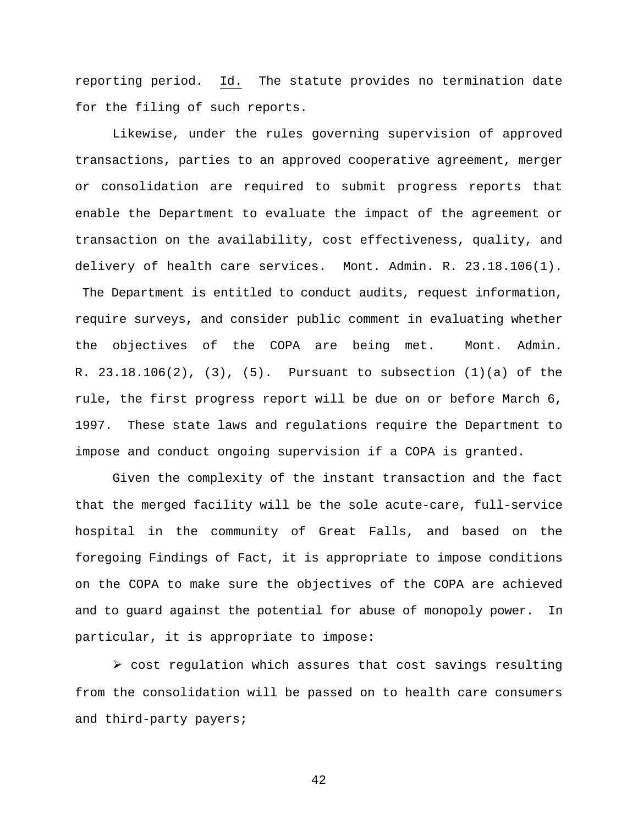reporting period. Id. The statute provides no termination date for the filing of such reports.

Likewise, under the rules governing supervision of approved transactions, parties to an approved cooperative agreement, merger or consolidation are required to submit progress reports that enable the Department to evaluate the impact of the agreement or transaction on the availability, cost effectiveness, quality, and delivery of health care services. Mont. Admin. R. 23.18.106(1). The Department is entitled to conduct audits, request information, require surveys, and consider public comment in evaluating whether the objectives of the COPA are being met. Mont. Admin. R. 23.18.106(2), (3), (5). Pursuant to subsection (1)(a) of the rule, the first progress report will be due on or before March 6, 1997. These state laws and regulations require the Department to impose and conduct ongoing supervision if a COPA is granted.

Given the complexity of the instant transaction and the fact that the merged facility will be the sole acute-care, full-service hospital in the community of Great Falls, and based on the foregoing Findings of Fact, it is appropriate to impose conditions on the COPA to make sure the objectives of the COPA are achieved and to guard against the potential for abuse of monopoly power. In particular, it is appropriate to impose:

 $\triangleright$  cost regulation which assures that cost savings resulting from the consolidation will be passed on to health care consumers and third-party payers;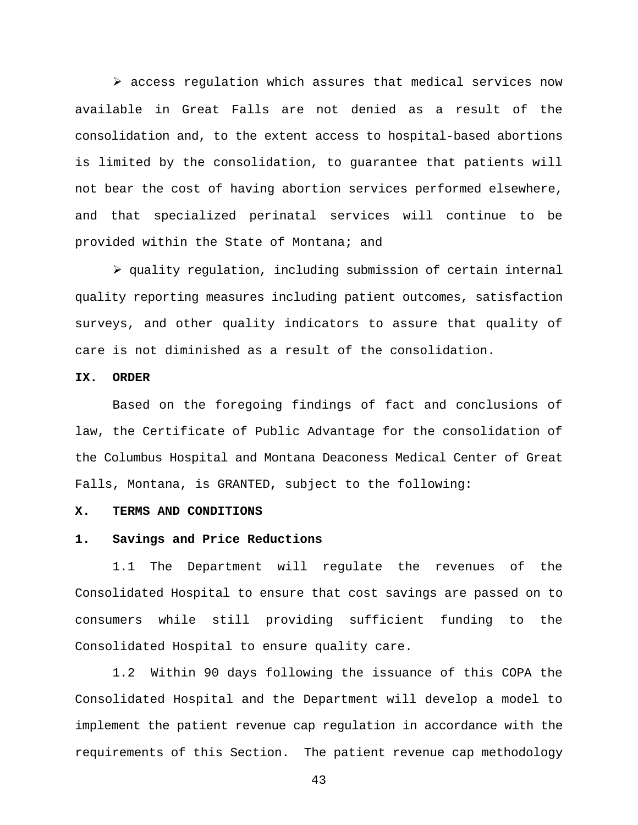$\triangleright$  access regulation which assures that medical services now available in Great Falls are not denied as a result of the consolidation and, to the extent access to hospital-based abortions is limited by the consolidation, to guarantee that patients will not bear the cost of having abortion services performed elsewhere, and that specialized perinatal services will continue to be provided within the State of Montana; and

 $\triangleright$  quality regulation, including submission of certain internal quality reporting measures including patient outcomes, satisfaction surveys, and other quality indicators to assure that quality of care is not diminished as a result of the consolidation.

# **IX. ORDER**

Based on the foregoing findings of fact and conclusions of law, the Certificate of Public Advantage for the consolidation of the Columbus Hospital and Montana Deaconess Medical Center of Great Falls, Montana, is GRANTED, subject to the following:

#### **X. TERMS AND CONDITIONS**

#### **1. Savings and Price Reductions**

1.1 The Department will regulate the revenues of the Consolidated Hospital to ensure that cost savings are passed on to consumers while still providing sufficient funding to the Consolidated Hospital to ensure quality care.

1.2 Within 90 days following the issuance of this COPA the Consolidated Hospital and the Department will develop a model to implement the patient revenue cap regulation in accordance with the requirements of this Section. The patient revenue cap methodology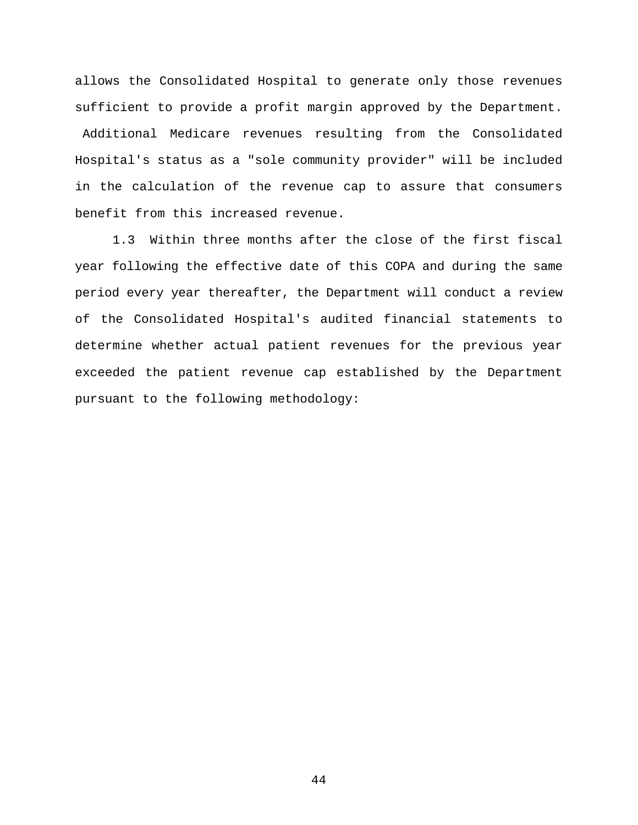allows the Consolidated Hospital to generate only those revenues sufficient to provide a profit margin approved by the Department. Additional Medicare revenues resulting from the Consolidated Hospital's status as a "sole community provider" will be included in the calculation of the revenue cap to assure that consumers benefit from this increased revenue.

1.3 Within three months after the close of the first fiscal year following the effective date of this COPA and during the same period every year thereafter, the Department will conduct a review of the Consolidated Hospital's audited financial statements to determine whether actual patient revenues for the previous year exceeded the patient revenue cap established by the Department pursuant to the following methodology: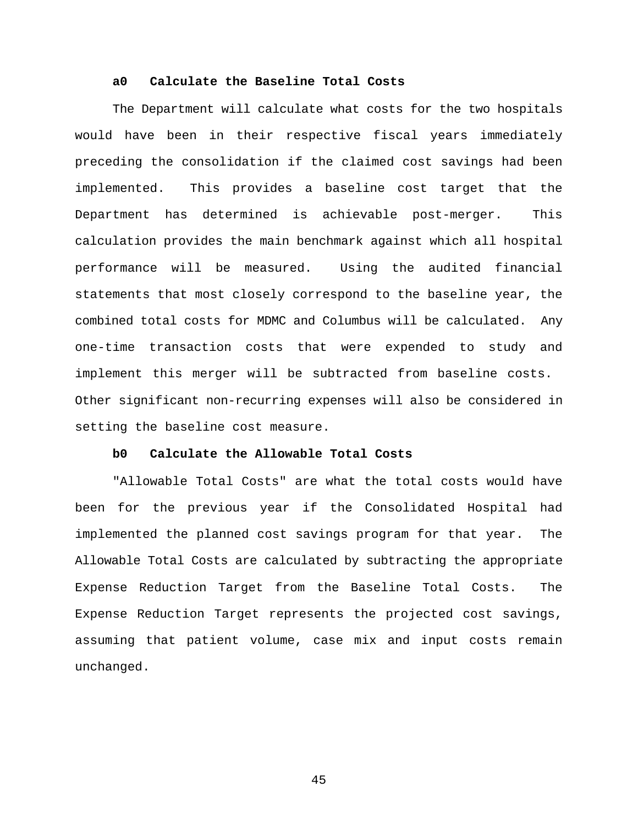### **a0 Calculate the Baseline Total Costs**

The Department will calculate what costs for the two hospitals would have been in their respective fiscal years immediately preceding the consolidation if the claimed cost savings had been implemented. This provides a baseline cost target that the Department has determined is achievable post-merger. This calculation provides the main benchmark against which all hospital performance will be measured. Using the audited financial statements that most closely correspond to the baseline year, the combined total costs for MDMC and Columbus will be calculated. Any one-time transaction costs that were expended to study and implement this merger will be subtracted from baseline costs. Other significant non-recurring expenses will also be considered in setting the baseline cost measure.

#### **b0 Calculate the Allowable Total Costs**

"Allowable Total Costs" are what the total costs would have been for the previous year if the Consolidated Hospital had implemented the planned cost savings program for that year. The Allowable Total Costs are calculated by subtracting the appropriate Expense Reduction Target from the Baseline Total Costs. The Expense Reduction Target represents the projected cost savings, assuming that patient volume, case mix and input costs remain unchanged.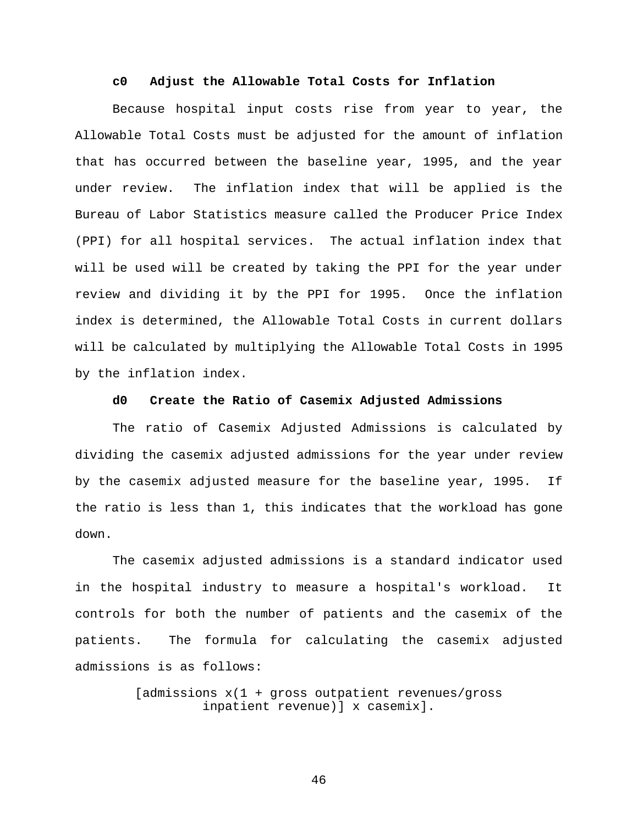#### **c0 Adjust the Allowable Total Costs for Inflation**

Because hospital input costs rise from year to year, the Allowable Total Costs must be adjusted for the amount of inflation that has occurred between the baseline year, 1995, and the year under review. The inflation index that will be applied is the Bureau of Labor Statistics measure called the Producer Price Index (PPI) for all hospital services. The actual inflation index that will be used will be created by taking the PPI for the year under review and dividing it by the PPI for 1995. Once the inflation index is determined, the Allowable Total Costs in current dollars will be calculated by multiplying the Allowable Total Costs in 1995 by the inflation index.

# **d0 Create the Ratio of Casemix Adjusted Admissions**

The ratio of Casemix Adjusted Admissions is calculated by dividing the casemix adjusted admissions for the year under review by the casemix adjusted measure for the baseline year, 1995. If the ratio is less than 1, this indicates that the workload has gone down.

The casemix adjusted admissions is a standard indicator used in the hospital industry to measure a hospital's workload. It controls for both the number of patients and the casemix of the patients. The formula for calculating the casemix adjusted admissions is as follows:

> [admissions x(1 + gross outpatient revenues/gross inpatient revenue)] x casemix].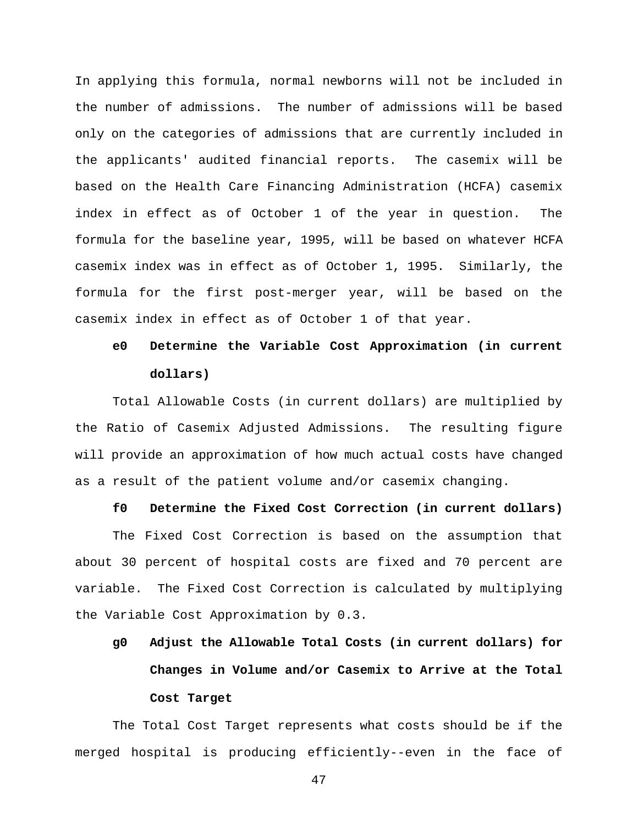In applying this formula, normal newborns will not be included in the number of admissions. The number of admissions will be based only on the categories of admissions that are currently included in the applicants' audited financial reports. The casemix will be based on the Health Care Financing Administration (HCFA) casemix index in effect as of October 1 of the year in question. The formula for the baseline year, 1995, will be based on whatever HCFA casemix index was in effect as of October 1, 1995. Similarly, the formula for the first post-merger year, will be based on the casemix index in effect as of October 1 of that year.

# **e0 Determine the Variable Cost Approximation (in current dollars)**

Total Allowable Costs (in current dollars) are multiplied by the Ratio of Casemix Adjusted Admissions. The resulting figure will provide an approximation of how much actual costs have changed as a result of the patient volume and/or casemix changing.

#### **f0 Determine the Fixed Cost Correction (in current dollars)**

The Fixed Cost Correction is based on the assumption that about 30 percent of hospital costs are fixed and 70 percent are variable. The Fixed Cost Correction is calculated by multiplying the Variable Cost Approximation by 0.3.

# **g0 Adjust the Allowable Total Costs (in current dollars) for Changes in Volume and/or Casemix to Arrive at the Total Cost Target**

The Total Cost Target represents what costs should be if the merged hospital is producing efficiently--even in the face of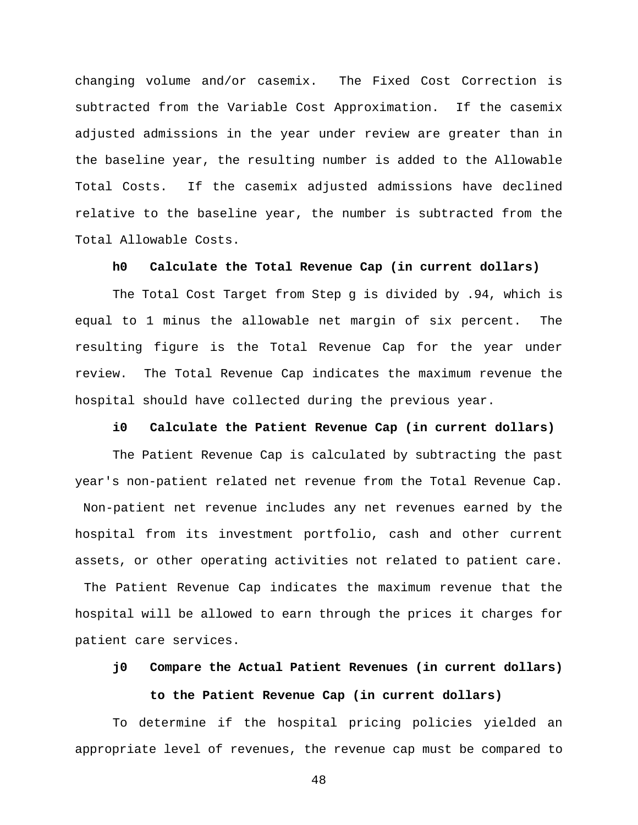changing volume and/or casemix. The Fixed Cost Correction is subtracted from the Variable Cost Approximation. If the casemix adjusted admissions in the year under review are greater than in the baseline year, the resulting number is added to the Allowable Total Costs. If the casemix adjusted admissions have declined relative to the baseline year, the number is subtracted from the Total Allowable Costs.

#### **h0 Calculate the Total Revenue Cap (in current dollars)**

The Total Cost Target from Step g is divided by .94, which is equal to 1 minus the allowable net margin of six percent. The resulting figure is the Total Revenue Cap for the year under review. The Total Revenue Cap indicates the maximum revenue the hospital should have collected during the previous year.

#### **i0 Calculate the Patient Revenue Cap (in current dollars)**

The Patient Revenue Cap is calculated by subtracting the past year's non-patient related net revenue from the Total Revenue Cap. Non-patient net revenue includes any net revenues earned by the hospital from its investment portfolio, cash and other current assets, or other operating activities not related to patient care.

 The Patient Revenue Cap indicates the maximum revenue that the hospital will be allowed to earn through the prices it charges for patient care services.

# **j0 Compare the Actual Patient Revenues (in current dollars) to the Patient Revenue Cap (in current dollars)**

To determine if the hospital pricing policies yielded an appropriate level of revenues, the revenue cap must be compared to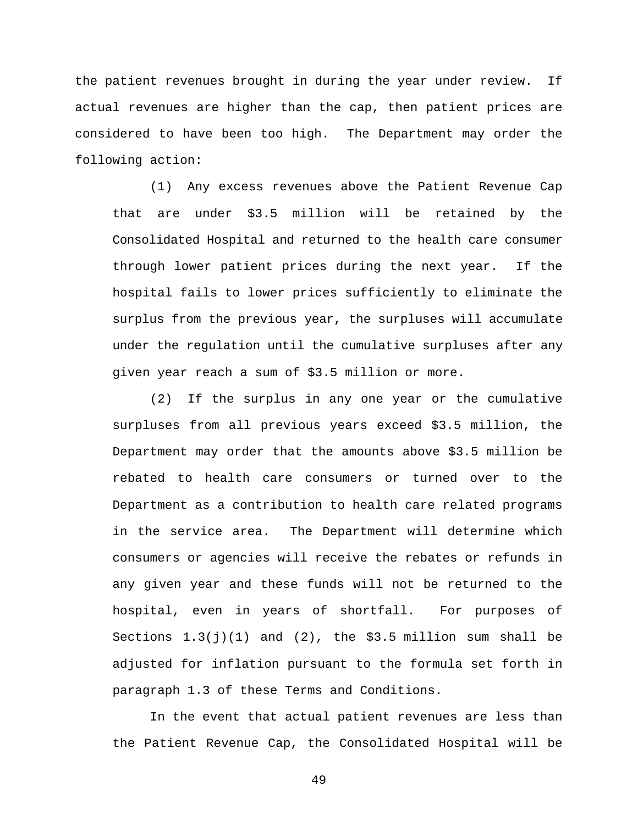the patient revenues brought in during the year under review. If actual revenues are higher than the cap, then patient prices are considered to have been too high. The Department may order the following action:

(1) Any excess revenues above the Patient Revenue Cap that are under \$3.5 million will be retained by the Consolidated Hospital and returned to the health care consumer through lower patient prices during the next year. If the hospital fails to lower prices sufficiently to eliminate the surplus from the previous year, the surpluses will accumulate under the regulation until the cumulative surpluses after any given year reach a sum of \$3.5 million or more.

(2) If the surplus in any one year or the cumulative surpluses from all previous years exceed \$3.5 million, the Department may order that the amounts above \$3.5 million be rebated to health care consumers or turned over to the Department as a contribution to health care related programs in the service area. The Department will determine which consumers or agencies will receive the rebates or refunds in any given year and these funds will not be returned to the hospital, even in years of shortfall. For purposes of Sections  $1.3(j)(1)$  and  $(2)$ , the \$3.5 million sum shall be adjusted for inflation pursuant to the formula set forth in paragraph 1.3 of these Terms and Conditions.

In the event that actual patient revenues are less than the Patient Revenue Cap, the Consolidated Hospital will be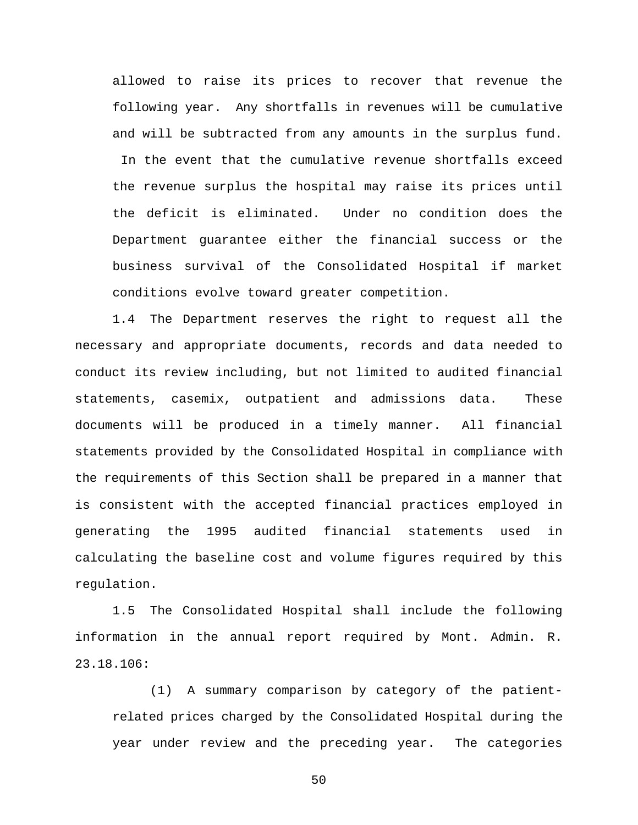allowed to raise its prices to recover that revenue the following year. Any shortfalls in revenues will be cumulative and will be subtracted from any amounts in the surplus fund.

 In the event that the cumulative revenue shortfalls exceed the revenue surplus the hospital may raise its prices until the deficit is eliminated. Under no condition does the Department guarantee either the financial success or the business survival of the Consolidated Hospital if market conditions evolve toward greater competition.

1.4 The Department reserves the right to request all the necessary and appropriate documents, records and data needed to conduct its review including, but not limited to audited financial statements, casemix, outpatient and admissions data. These documents will be produced in a timely manner. All financial statements provided by the Consolidated Hospital in compliance with the requirements of this Section shall be prepared in a manner that is consistent with the accepted financial practices employed in generating the 1995 audited financial statements used in calculating the baseline cost and volume figures required by this regulation.

1.5 The Consolidated Hospital shall include the following information in the annual report required by Mont. Admin. R. 23.18.106:

(1) A summary comparison by category of the patientrelated prices charged by the Consolidated Hospital during the year under review and the preceding year. The categories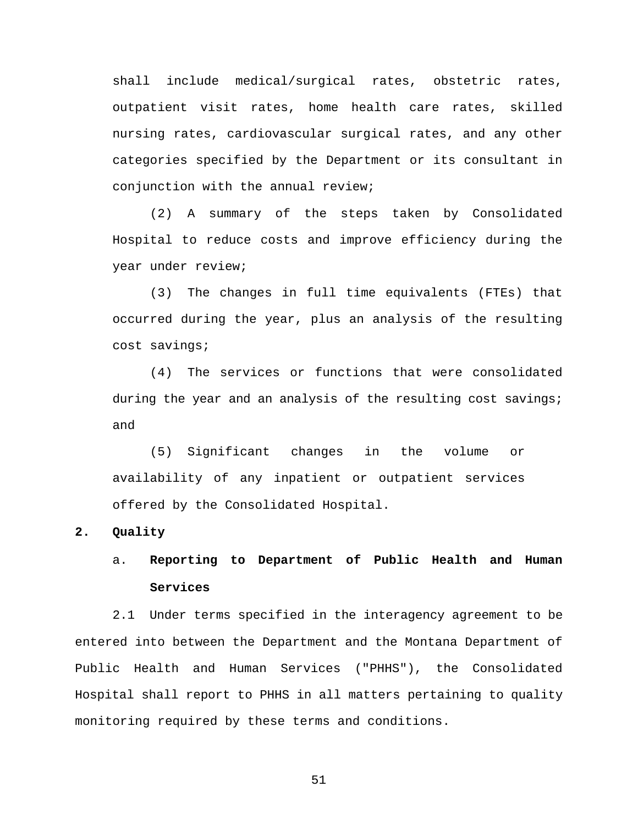shall include medical/surgical rates, obstetric rates, outpatient visit rates, home health care rates, skilled nursing rates, cardiovascular surgical rates, and any other categories specified by the Department or its consultant in conjunction with the annual review;

(2) A summary of the steps taken by Consolidated Hospital to reduce costs and improve efficiency during the year under review;

(3) The changes in full time equivalents (FTEs) that occurred during the year, plus an analysis of the resulting cost savings;

(4) The services or functions that were consolidated during the year and an analysis of the resulting cost savings; and

(5) Significant changes in the volume or availability of any inpatient or outpatient services offered by the Consolidated Hospital.

# **2. Quality**

# a. **Reporting to Department of Public Health and Human Services**

2.1 Under terms specified in the interagency agreement to be entered into between the Department and the Montana Department of Public Health and Human Services ("PHHS"), the Consolidated Hospital shall report to PHHS in all matters pertaining to quality monitoring required by these terms and conditions.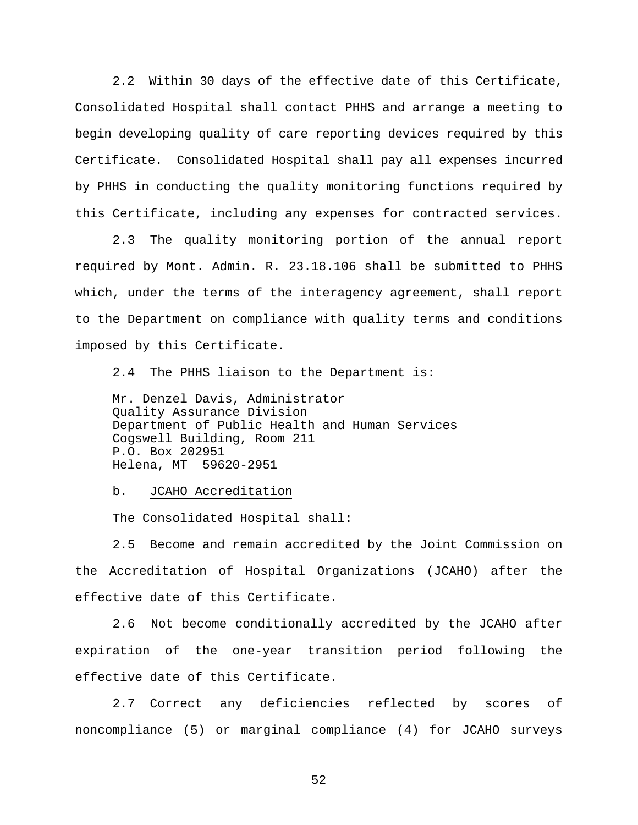2.2 Within 30 days of the effective date of this Certificate, Consolidated Hospital shall contact PHHS and arrange a meeting to begin developing quality of care reporting devices required by this Certificate. Consolidated Hospital shall pay all expenses incurred by PHHS in conducting the quality monitoring functions required by this Certificate, including any expenses for contracted services.

2.3 The quality monitoring portion of the annual report required by Mont. Admin. R. 23.18.106 shall be submitted to PHHS which, under the terms of the interagency agreement, shall report to the Department on compliance with quality terms and conditions imposed by this Certificate.

2.4 The PHHS liaison to the Department is:

Mr. Denzel Davis, Administrator Quality Assurance Division Department of Public Health and Human Services Cogswell Building, Room 211 P.O. Box 202951 Helena, MT 59620-2951

b. JCAHO Accreditation

The Consolidated Hospital shall:

2.5 Become and remain accredited by the Joint Commission on the Accreditation of Hospital Organizations (JCAHO) after the effective date of this Certificate.

2.6 Not become conditionally accredited by the JCAHO after expiration of the one-year transition period following the effective date of this Certificate.

2.7 Correct any deficiencies reflected by scores of noncompliance (5) or marginal compliance (4) for JCAHO surveys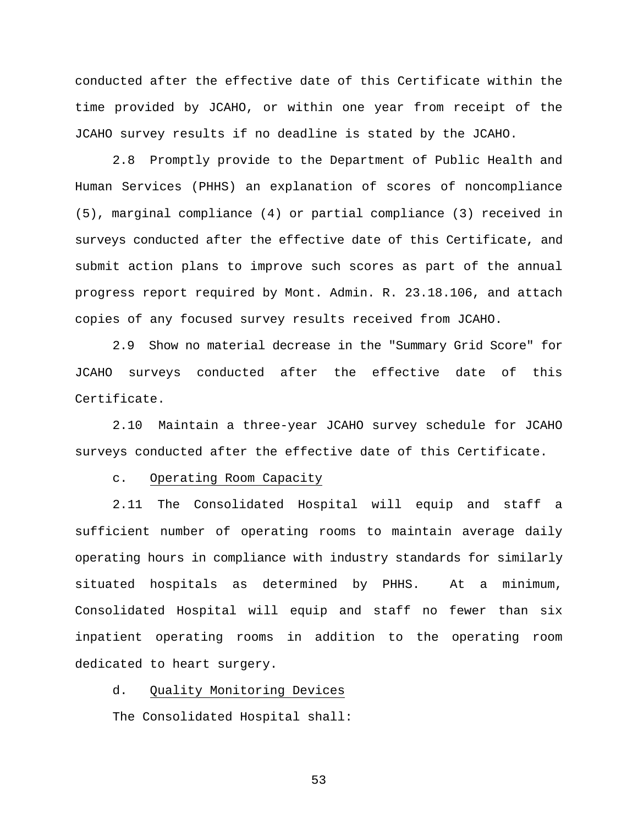conducted after the effective date of this Certificate within the time provided by JCAHO, or within one year from receipt of the JCAHO survey results if no deadline is stated by the JCAHO.

2.8 Promptly provide to the Department of Public Health and Human Services (PHHS) an explanation of scores of noncompliance (5), marginal compliance (4) or partial compliance (3) received in surveys conducted after the effective date of this Certificate, and submit action plans to improve such scores as part of the annual progress report required by Mont. Admin. R. 23.18.106, and attach copies of any focused survey results received from JCAHO.

2.9 Show no material decrease in the "Summary Grid Score" for JCAHO surveys conducted after the effective date of this Certificate.

2.10 Maintain a three-year JCAHO survey schedule for JCAHO surveys conducted after the effective date of this Certificate.

c. Operating Room Capacity

2.11 The Consolidated Hospital will equip and staff a sufficient number of operating rooms to maintain average daily operating hours in compliance with industry standards for similarly situated hospitals as determined by PHHS. At a minimum, Consolidated Hospital will equip and staff no fewer than six inpatient operating rooms in addition to the operating room dedicated to heart surgery.

d. Quality Monitoring Devices

The Consolidated Hospital shall: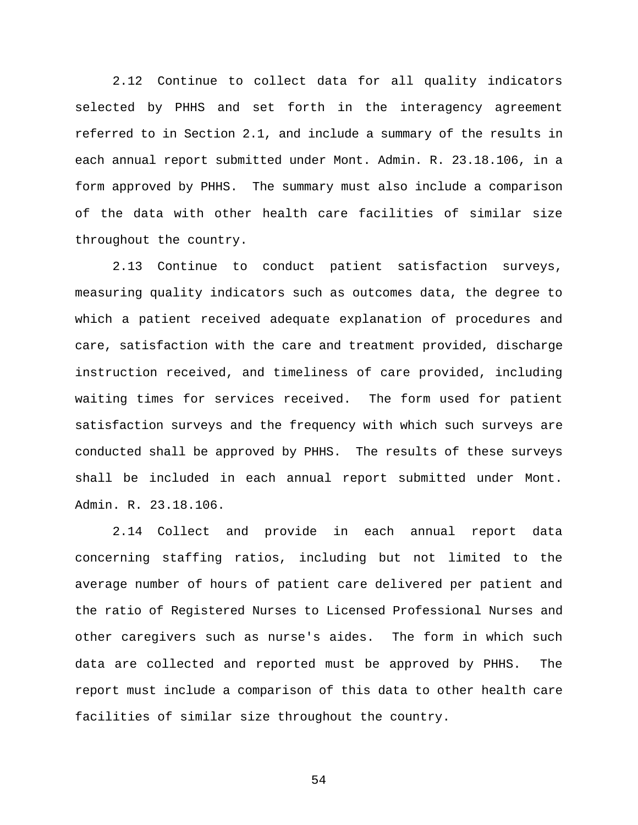2.12 Continue to collect data for all quality indicators selected by PHHS and set forth in the interagency agreement referred to in Section 2.1, and include a summary of the results in each annual report submitted under Mont. Admin. R. 23.18.106, in a form approved by PHHS. The summary must also include a comparison of the data with other health care facilities of similar size throughout the country.

2.13 Continue to conduct patient satisfaction surveys, measuring quality indicators such as outcomes data, the degree to which a patient received adequate explanation of procedures and care, satisfaction with the care and treatment provided, discharge instruction received, and timeliness of care provided, including waiting times for services received. The form used for patient satisfaction surveys and the frequency with which such surveys are conducted shall be approved by PHHS. The results of these surveys shall be included in each annual report submitted under Mont. Admin. R. 23.18.106.

2.14 Collect and provide in each annual report data concerning staffing ratios, including but not limited to the average number of hours of patient care delivered per patient and the ratio of Registered Nurses to Licensed Professional Nurses and other caregivers such as nurse's aides. The form in which such data are collected and reported must be approved by PHHS. The report must include a comparison of this data to other health care facilities of similar size throughout the country.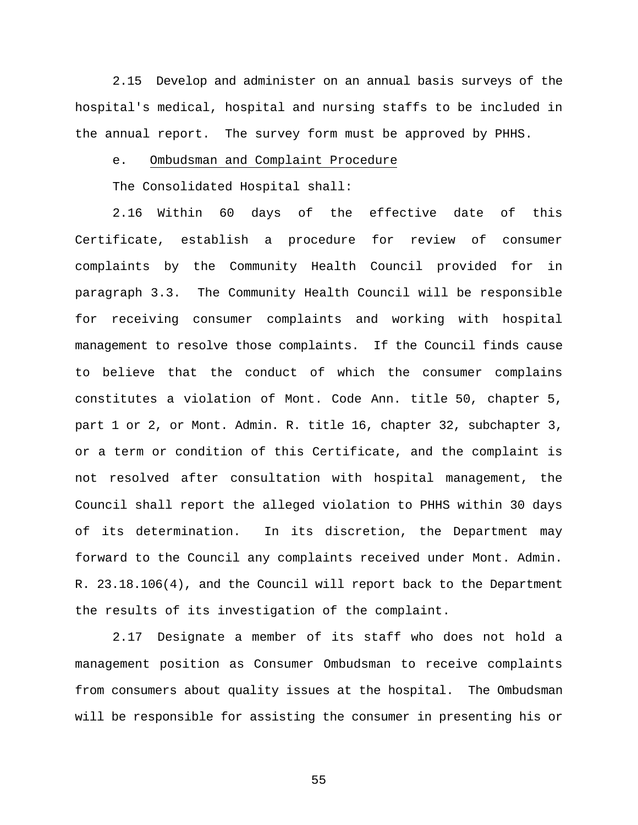2.15 Develop and administer on an annual basis surveys of the hospital's medical, hospital and nursing staffs to be included in the annual report. The survey form must be approved by PHHS.

# e. Ombudsman and Complaint Procedure

The Consolidated Hospital shall:

2.16 Within 60 days of the effective date of this Certificate, establish a procedure for review of consumer complaints by the Community Health Council provided for in paragraph 3.3. The Community Health Council will be responsible for receiving consumer complaints and working with hospital management to resolve those complaints. If the Council finds cause to believe that the conduct of which the consumer complains constitutes a violation of Mont. Code Ann. title 50, chapter 5, part 1 or 2, or Mont. Admin. R. title 16, chapter 32, subchapter 3, or a term or condition of this Certificate, and the complaint is not resolved after consultation with hospital management, the Council shall report the alleged violation to PHHS within 30 days of its determination. In its discretion, the Department may forward to the Council any complaints received under Mont. Admin. R. 23.18.106(4), and the Council will report back to the Department the results of its investigation of the complaint.

2.17 Designate a member of its staff who does not hold a management position as Consumer Ombudsman to receive complaints from consumers about quality issues at the hospital. The Ombudsman will be responsible for assisting the consumer in presenting his or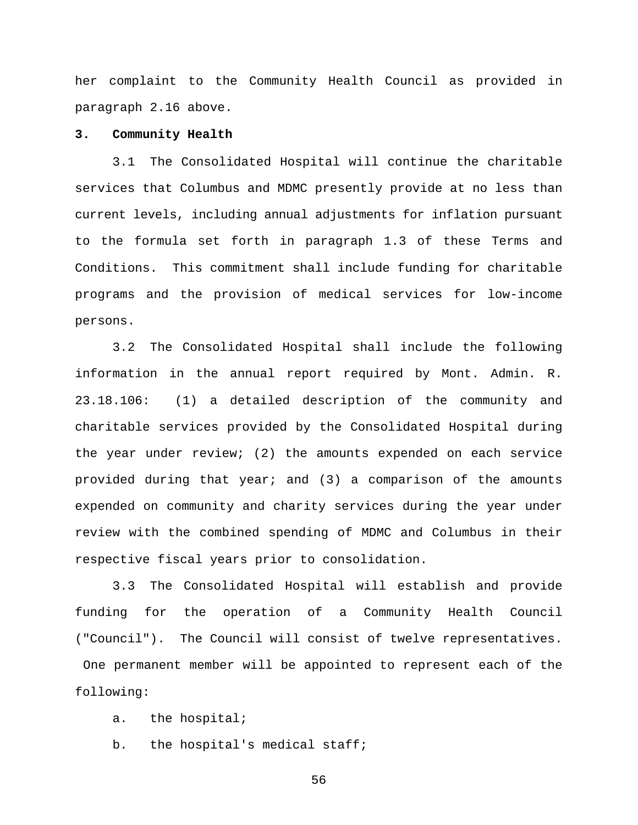her complaint to the Community Health Council as provided in paragraph 2.16 above.

#### **3. Community Health**

3.1 The Consolidated Hospital will continue the charitable services that Columbus and MDMC presently provide at no less than current levels, including annual adjustments for inflation pursuant to the formula set forth in paragraph 1.3 of these Terms and Conditions. This commitment shall include funding for charitable programs and the provision of medical services for low-income persons.

3.2 The Consolidated Hospital shall include the following information in the annual report required by Mont. Admin. R. 23.18.106: (1) a detailed description of the community and charitable services provided by the Consolidated Hospital during the year under review; (2) the amounts expended on each service provided during that year; and (3) a comparison of the amounts expended on community and charity services during the year under review with the combined spending of MDMC and Columbus in their respective fiscal years prior to consolidation.

3.3 The Consolidated Hospital will establish and provide funding for the operation of a Community Health Council ("Council"). The Council will consist of twelve representatives. One permanent member will be appointed to represent each of the following:

a. the hospital;

b. the hospital's medical staff;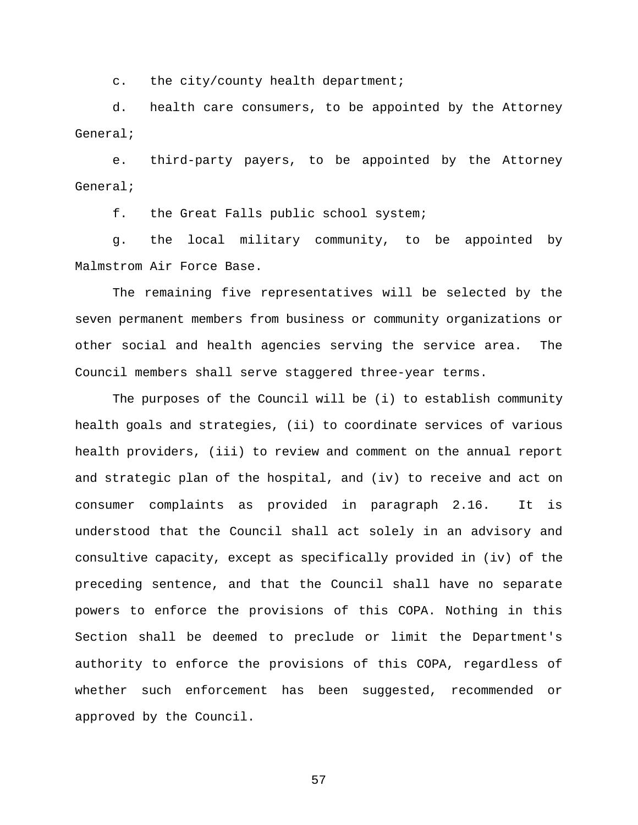c. the city/county health department;

d. health care consumers, to be appointed by the Attorney General;

e. third-party payers, to be appointed by the Attorney General;

f. the Great Falls public school system;

g. the local military community, to be appointed by Malmstrom Air Force Base.

The remaining five representatives will be selected by the seven permanent members from business or community organizations or other social and health agencies serving the service area. The Council members shall serve staggered three-year terms.

The purposes of the Council will be (i) to establish community health goals and strategies, (ii) to coordinate services of various health providers, (iii) to review and comment on the annual report and strategic plan of the hospital, and (iv) to receive and act on consumer complaints as provided in paragraph 2.16. It is understood that the Council shall act solely in an advisory and consultive capacity, except as specifically provided in (iv) of the preceding sentence, and that the Council shall have no separate powers to enforce the provisions of this COPA. Nothing in this Section shall be deemed to preclude or limit the Department's authority to enforce the provisions of this COPA, regardless of whether such enforcement has been suggested, recommended or approved by the Council.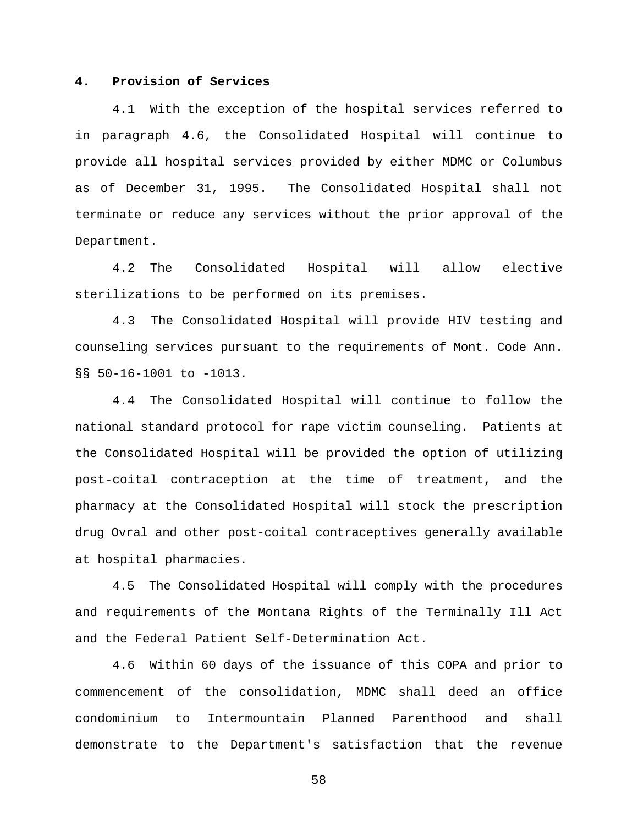#### **4. Provision of Services**

4.1 With the exception of the hospital services referred to in paragraph 4.6, the Consolidated Hospital will continue to provide all hospital services provided by either MDMC or Columbus as of December 31, 1995. The Consolidated Hospital shall not terminate or reduce any services without the prior approval of the Department.

4.2 The Consolidated Hospital will allow elective sterilizations to be performed on its premises.

4.3 The Consolidated Hospital will provide HIV testing and counseling services pursuant to the requirements of Mont. Code Ann. §§ 50-16-1001 to -1013.

4.4 The Consolidated Hospital will continue to follow the national standard protocol for rape victim counseling. Patients at the Consolidated Hospital will be provided the option of utilizing post-coital contraception at the time of treatment, and the pharmacy at the Consolidated Hospital will stock the prescription drug Ovral and other post-coital contraceptives generally available at hospital pharmacies.

4.5 The Consolidated Hospital will comply with the procedures and requirements of the Montana Rights of the Terminally Ill Act and the Federal Patient Self-Determination Act.

4.6 Within 60 days of the issuance of this COPA and prior to commencement of the consolidation, MDMC shall deed an office condominium to Intermountain Planned Parenthood and shall demonstrate to the Department's satisfaction that the revenue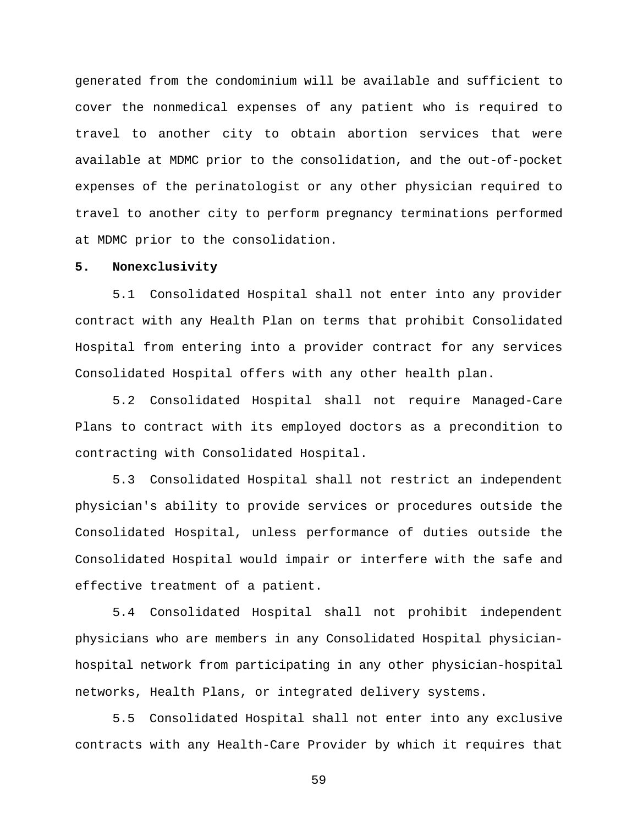generated from the condominium will be available and sufficient to cover the nonmedical expenses of any patient who is required to travel to another city to obtain abortion services that were available at MDMC prior to the consolidation, and the out-of-pocket expenses of the perinatologist or any other physician required to travel to another city to perform pregnancy terminations performed at MDMC prior to the consolidation.

#### **5. Nonexclusivity**

5.1 Consolidated Hospital shall not enter into any provider contract with any Health Plan on terms that prohibit Consolidated Hospital from entering into a provider contract for any services Consolidated Hospital offers with any other health plan.

5.2 Consolidated Hospital shall not require Managed-Care Plans to contract with its employed doctors as a precondition to contracting with Consolidated Hospital.

5.3 Consolidated Hospital shall not restrict an independent physician's ability to provide services or procedures outside the Consolidated Hospital, unless performance of duties outside the Consolidated Hospital would impair or interfere with the safe and effective treatment of a patient.

5.4 Consolidated Hospital shall not prohibit independent physicians who are members in any Consolidated Hospital physicianhospital network from participating in any other physician-hospital networks, Health Plans, or integrated delivery systems.

5.5 Consolidated Hospital shall not enter into any exclusive contracts with any Health-Care Provider by which it requires that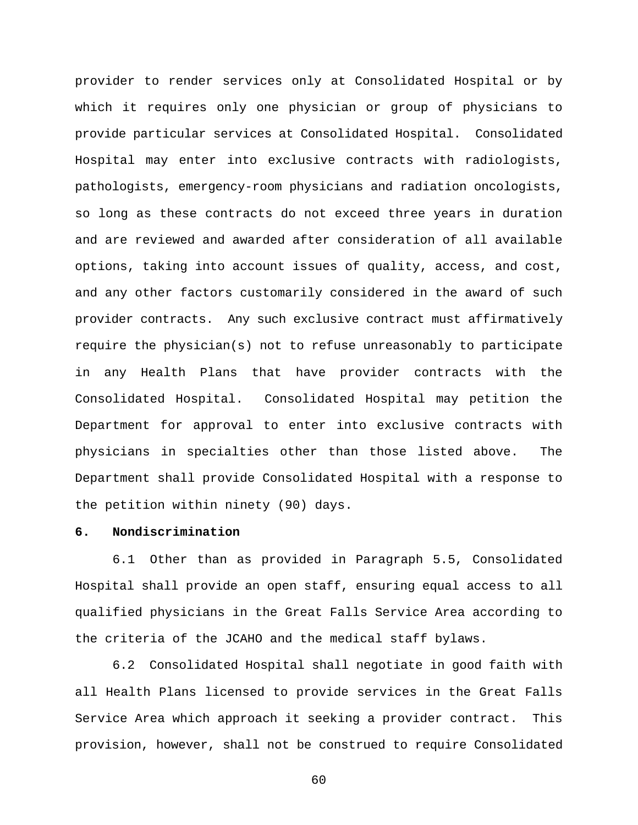provider to render services only at Consolidated Hospital or by which it requires only one physician or group of physicians to provide particular services at Consolidated Hospital. Consolidated Hospital may enter into exclusive contracts with radiologists, pathologists, emergency-room physicians and radiation oncologists, so long as these contracts do not exceed three years in duration and are reviewed and awarded after consideration of all available options, taking into account issues of quality, access, and cost, and any other factors customarily considered in the award of such provider contracts. Any such exclusive contract must affirmatively require the physician(s) not to refuse unreasonably to participate in any Health Plans that have provider contracts with the Consolidated Hospital. Consolidated Hospital may petition the Department for approval to enter into exclusive contracts with physicians in specialties other than those listed above. The Department shall provide Consolidated Hospital with a response to the petition within ninety (90) days.

#### **6. Nondiscrimination**

6.1 Other than as provided in Paragraph 5.5, Consolidated Hospital shall provide an open staff, ensuring equal access to all qualified physicians in the Great Falls Service Area according to the criteria of the JCAHO and the medical staff bylaws.

6.2 Consolidated Hospital shall negotiate in good faith with all Health Plans licensed to provide services in the Great Falls Service Area which approach it seeking a provider contract. This provision, however, shall not be construed to require Consolidated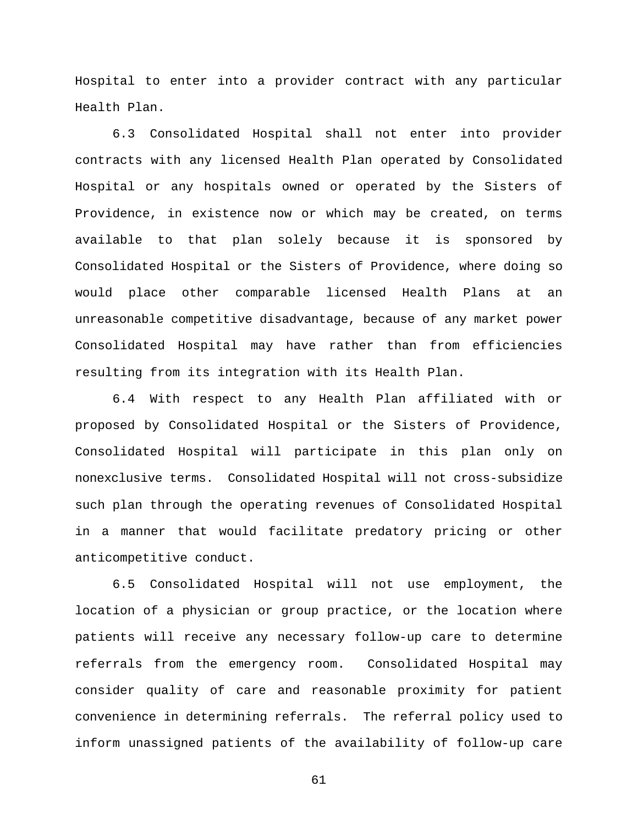Hospital to enter into a provider contract with any particular Health Plan.

6.3 Consolidated Hospital shall not enter into provider contracts with any licensed Health Plan operated by Consolidated Hospital or any hospitals owned or operated by the Sisters of Providence, in existence now or which may be created, on terms available to that plan solely because it is sponsored by Consolidated Hospital or the Sisters of Providence, where doing so would place other comparable licensed Health Plans at an unreasonable competitive disadvantage, because of any market power Consolidated Hospital may have rather than from efficiencies resulting from its integration with its Health Plan.

6.4 With respect to any Health Plan affiliated with or proposed by Consolidated Hospital or the Sisters of Providence, Consolidated Hospital will participate in this plan only on nonexclusive terms. Consolidated Hospital will not cross-subsidize such plan through the operating revenues of Consolidated Hospital in a manner that would facilitate predatory pricing or other anticompetitive conduct.

6.5 Consolidated Hospital will not use employment, the location of a physician or group practice, or the location where patients will receive any necessary follow-up care to determine referrals from the emergency room. Consolidated Hospital may consider quality of care and reasonable proximity for patient convenience in determining referrals. The referral policy used to inform unassigned patients of the availability of follow-up care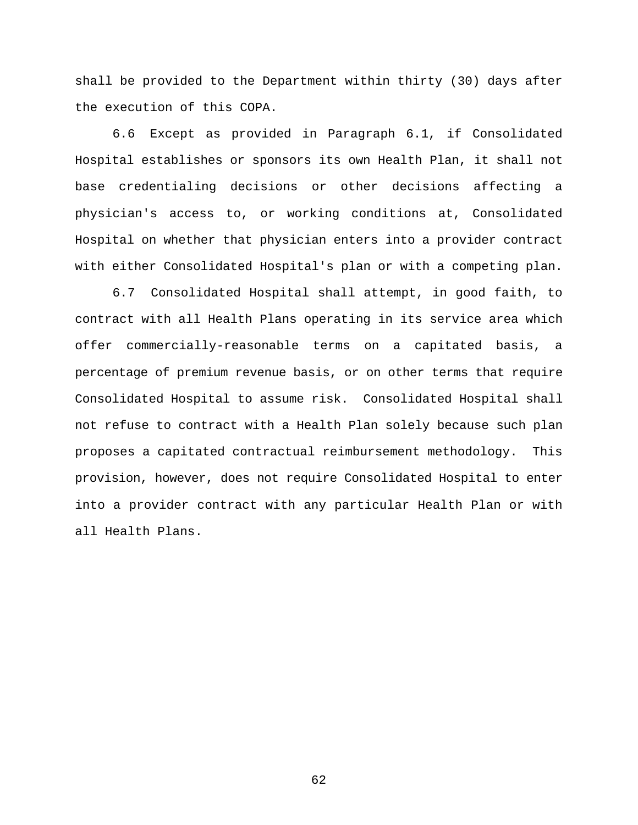shall be provided to the Department within thirty (30) days after the execution of this COPA.

6.6 Except as provided in Paragraph 6.1, if Consolidated Hospital establishes or sponsors its own Health Plan, it shall not base credentialing decisions or other decisions affecting a physician's access to, or working conditions at, Consolidated Hospital on whether that physician enters into a provider contract with either Consolidated Hospital's plan or with a competing plan.

6.7 Consolidated Hospital shall attempt, in good faith, to contract with all Health Plans operating in its service area which offer commercially-reasonable terms on a capitated basis, a percentage of premium revenue basis, or on other terms that require Consolidated Hospital to assume risk. Consolidated Hospital shall not refuse to contract with a Health Plan solely because such plan proposes a capitated contractual reimbursement methodology. This provision, however, does not require Consolidated Hospital to enter into a provider contract with any particular Health Plan or with all Health Plans.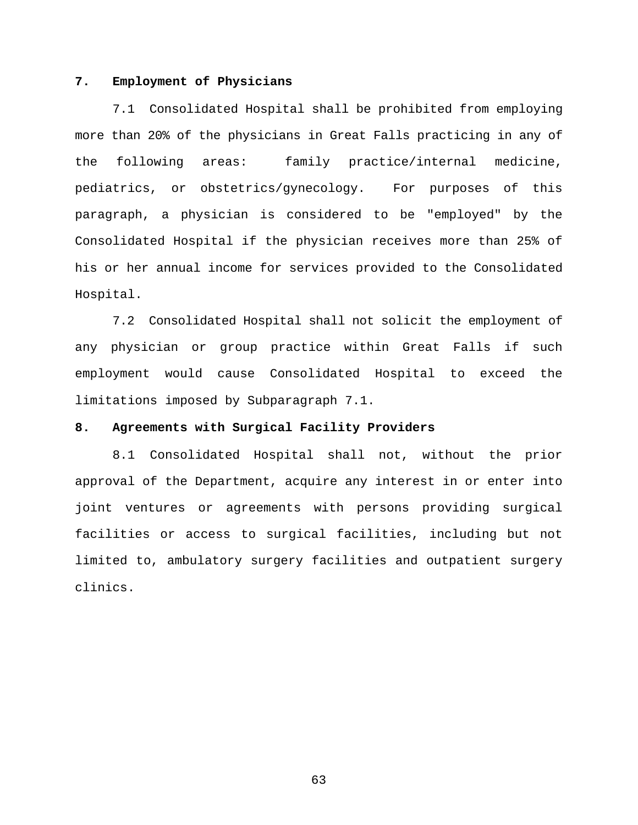#### **7. Employment of Physicians**

7.1 Consolidated Hospital shall be prohibited from employing more than 20% of the physicians in Great Falls practicing in any of the following areas: family practice/internal medicine, pediatrics, or obstetrics/gynecology. For purposes of this paragraph, a physician is considered to be "employed" by the Consolidated Hospital if the physician receives more than 25% of his or her annual income for services provided to the Consolidated Hospital.

7.2 Consolidated Hospital shall not solicit the employment of any physician or group practice within Great Falls if such employment would cause Consolidated Hospital to exceed the limitations imposed by Subparagraph 7.1.

# **8. Agreements with Surgical Facility Providers**

8.1 Consolidated Hospital shall not, without the prior approval of the Department, acquire any interest in or enter into joint ventures or agreements with persons providing surgical facilities or access to surgical facilities, including but not limited to, ambulatory surgery facilities and outpatient surgery clinics.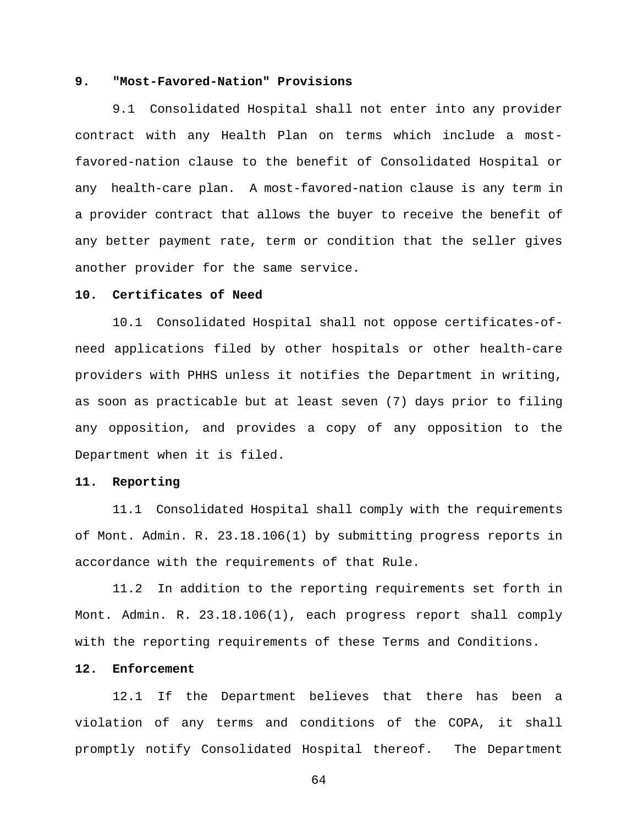#### **9. "Most-Favored-Nation" Provisions**

9.1 Consolidated Hospital shall not enter into any provider contract with any Health Plan on terms which include a mostfavored-nation clause to the benefit of Consolidated Hospital or any health-care plan. A most-favored-nation clause is any term in a provider contract that allows the buyer to receive the benefit of any better payment rate, term or condition that the seller gives another provider for the same service.

### **10. Certificates of Need**

10.1 Consolidated Hospital shall not oppose certificates-ofneed applications filed by other hospitals or other health-care providers with PHHS unless it notifies the Department in writing, as soon as practicable but at least seven (7) days prior to filing any opposition, and provides a copy of any opposition to the Department when it is filed.

#### **11. Reporting**

11.1 Consolidated Hospital shall comply with the requirements of Mont. Admin. R. 23.18.106(1) by submitting progress reports in accordance with the requirements of that Rule.

11.2 In addition to the reporting requirements set forth in Mont. Admin. R. 23.18.106(1), each progress report shall comply with the reporting requirements of these Terms and Conditions.

#### **12. Enforcement**

12.1 If the Department believes that there has been a violation of any terms and conditions of the COPA, it shall promptly notify Consolidated Hospital thereof. The Department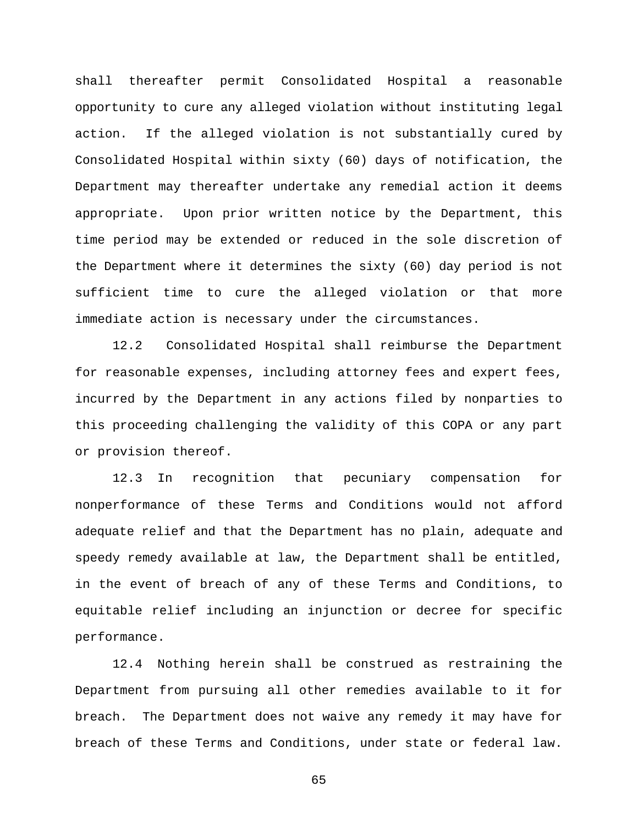shall thereafter permit Consolidated Hospital a reasonable opportunity to cure any alleged violation without instituting legal action. If the alleged violation is not substantially cured by Consolidated Hospital within sixty (60) days of notification, the Department may thereafter undertake any remedial action it deems appropriate. Upon prior written notice by the Department, this time period may be extended or reduced in the sole discretion of the Department where it determines the sixty (60) day period is not sufficient time to cure the alleged violation or that more immediate action is necessary under the circumstances.

12.2 Consolidated Hospital shall reimburse the Department for reasonable expenses, including attorney fees and expert fees, incurred by the Department in any actions filed by nonparties to this proceeding challenging the validity of this COPA or any part or provision thereof.

12.3 In recognition that pecuniary compensation for nonperformance of these Terms and Conditions would not afford adequate relief and that the Department has no plain, adequate and speedy remedy available at law, the Department shall be entitled, in the event of breach of any of these Terms and Conditions, to equitable relief including an injunction or decree for specific performance.

12.4 Nothing herein shall be construed as restraining the Department from pursuing all other remedies available to it for breach. The Department does not waive any remedy it may have for breach of these Terms and Conditions, under state or federal law.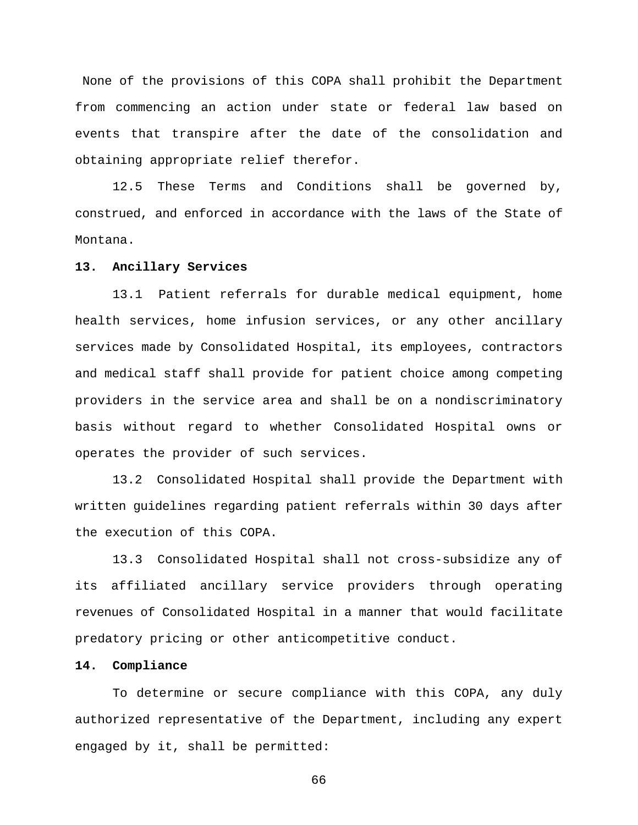None of the provisions of this COPA shall prohibit the Department from commencing an action under state or federal law based on events that transpire after the date of the consolidation and obtaining appropriate relief therefor.

12.5 These Terms and Conditions shall be governed by, construed, and enforced in accordance with the laws of the State of Montana.

#### **13. Ancillary Services**

13.1 Patient referrals for durable medical equipment, home health services, home infusion services, or any other ancillary services made by Consolidated Hospital, its employees, contractors and medical staff shall provide for patient choice among competing providers in the service area and shall be on a nondiscriminatory basis without regard to whether Consolidated Hospital owns or operates the provider of such services.

13.2 Consolidated Hospital shall provide the Department with written guidelines regarding patient referrals within 30 days after the execution of this COPA.

13.3 Consolidated Hospital shall not cross-subsidize any of its affiliated ancillary service providers through operating revenues of Consolidated Hospital in a manner that would facilitate predatory pricing or other anticompetitive conduct.

# **14. Compliance**

To determine or secure compliance with this COPA, any duly authorized representative of the Department, including any expert engaged by it, shall be permitted: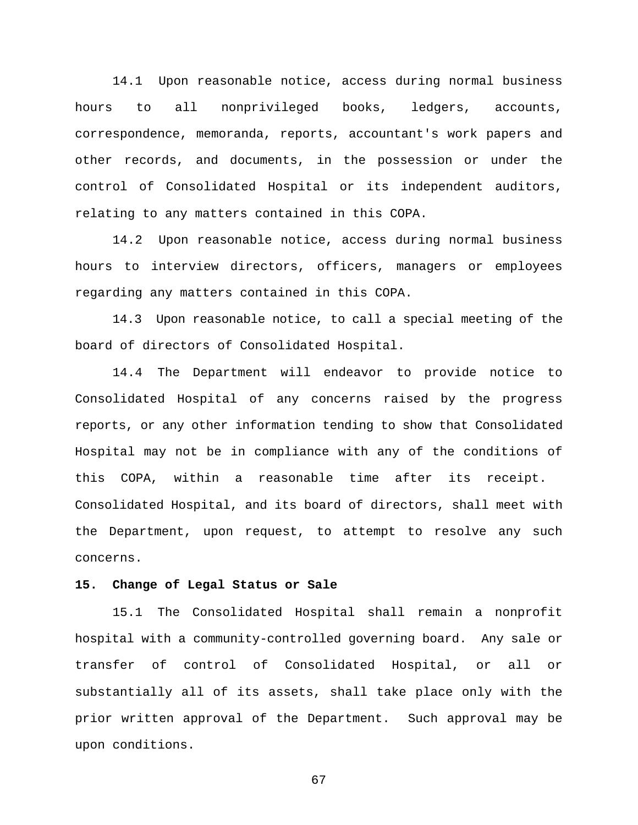14.1 Upon reasonable notice, access during normal business hours to all nonprivileged books, ledgers, accounts, correspondence, memoranda, reports, accountant's work papers and other records, and documents, in the possession or under the control of Consolidated Hospital or its independent auditors, relating to any matters contained in this COPA.

14.2 Upon reasonable notice, access during normal business hours to interview directors, officers, managers or employees regarding any matters contained in this COPA.

14.3 Upon reasonable notice, to call a special meeting of the board of directors of Consolidated Hospital.

14.4 The Department will endeavor to provide notice to Consolidated Hospital of any concerns raised by the progress reports, or any other information tending to show that Consolidated Hospital may not be in compliance with any of the conditions of this COPA, within a reasonable time after its receipt. Consolidated Hospital, and its board of directors, shall meet with the Department, upon request, to attempt to resolve any such concerns.

# **15. Change of Legal Status or Sale**

15.1 The Consolidated Hospital shall remain a nonprofit hospital with a community-controlled governing board. Any sale or transfer of control of Consolidated Hospital, or all or substantially all of its assets, shall take place only with the prior written approval of the Department. Such approval may be upon conditions.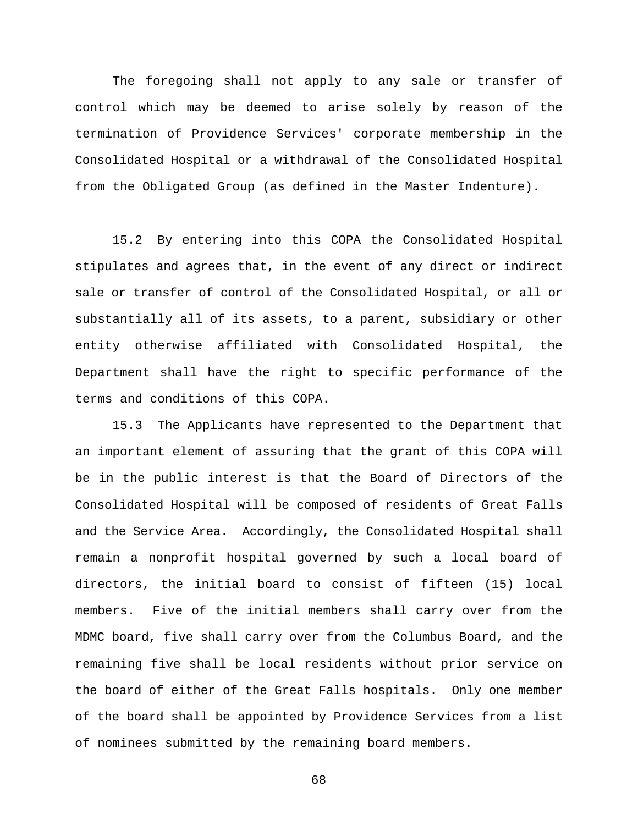The foregoing shall not apply to any sale or transfer of control which may be deemed to arise solely by reason of the termination of Providence Services' corporate membership in the Consolidated Hospital or a withdrawal of the Consolidated Hospital from the Obligated Group (as defined in the Master Indenture).

15.2 By entering into this COPA the Consolidated Hospital stipulates and agrees that, in the event of any direct or indirect sale or transfer of control of the Consolidated Hospital, or all or substantially all of its assets, to a parent, subsidiary or other entity otherwise affiliated with Consolidated Hospital, the Department shall have the right to specific performance of the terms and conditions of this COPA.

15.3 The Applicants have represented to the Department that an important element of assuring that the grant of this COPA will be in the public interest is that the Board of Directors of the Consolidated Hospital will be composed of residents of Great Falls and the Service Area. Accordingly, the Consolidated Hospital shall remain a nonprofit hospital governed by such a local board of directors, the initial board to consist of fifteen (15) local members. Five of the initial members shall carry over from the MDMC board, five shall carry over from the Columbus Board, and the remaining five shall be local residents without prior service on the board of either of the Great Falls hospitals. Only one member of the board shall be appointed by Providence Services from a list of nominees submitted by the remaining board members.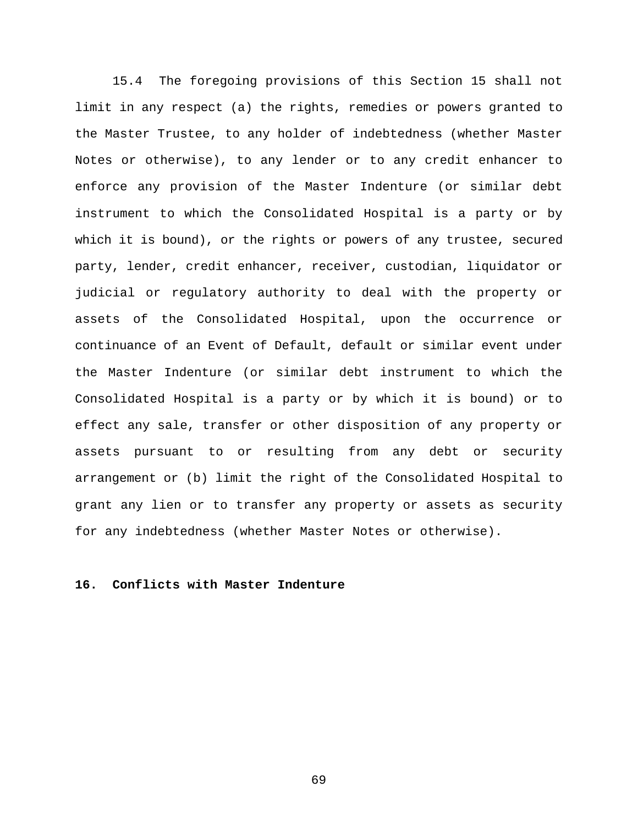15.4 The foregoing provisions of this Section 15 shall not limit in any respect (a) the rights, remedies or powers granted to the Master Trustee, to any holder of indebtedness (whether Master Notes or otherwise), to any lender or to any credit enhancer to enforce any provision of the Master Indenture (or similar debt instrument to which the Consolidated Hospital is a party or by which it is bound), or the rights or powers of any trustee, secured party, lender, credit enhancer, receiver, custodian, liquidator or judicial or regulatory authority to deal with the property or assets of the Consolidated Hospital, upon the occurrence or continuance of an Event of Default, default or similar event under the Master Indenture (or similar debt instrument to which the Consolidated Hospital is a party or by which it is bound) or to effect any sale, transfer or other disposition of any property or assets pursuant to or resulting from any debt or security arrangement or (b) limit the right of the Consolidated Hospital to grant any lien or to transfer any property or assets as security for any indebtedness (whether Master Notes or otherwise).

# **16. Conflicts with Master Indenture**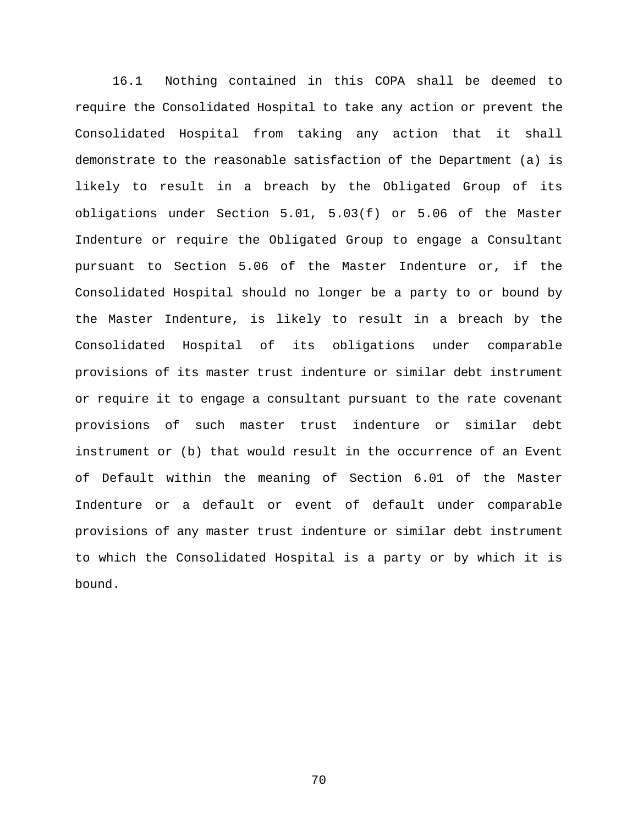16.1 Nothing contained in this COPA shall be deemed to require the Consolidated Hospital to take any action or prevent the Consolidated Hospital from taking any action that it shall demonstrate to the reasonable satisfaction of the Department (a) is likely to result in a breach by the Obligated Group of its obligations under Section 5.01, 5.03(f) or 5.06 of the Master Indenture or require the Obligated Group to engage a Consultant pursuant to Section 5.06 of the Master Indenture or, if the Consolidated Hospital should no longer be a party to or bound by the Master Indenture, is likely to result in a breach by the Consolidated Hospital of its obligations under comparable provisions of its master trust indenture or similar debt instrument or require it to engage a consultant pursuant to the rate covenant provisions of such master trust indenture or similar debt instrument or (b) that would result in the occurrence of an Event of Default within the meaning of Section 6.01 of the Master Indenture or a default or event of default under comparable provisions of any master trust indenture or similar debt instrument to which the Consolidated Hospital is a party or by which it is bound.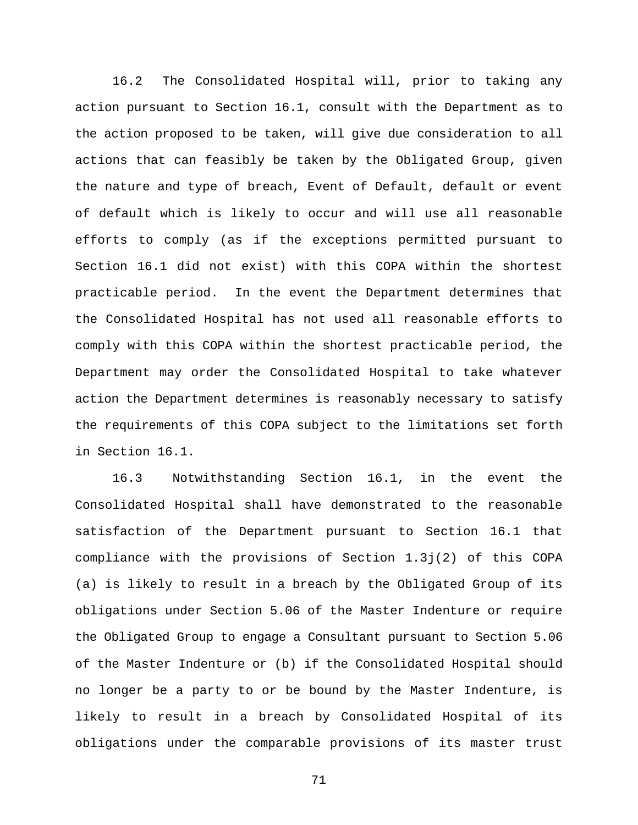16.2 The Consolidated Hospital will, prior to taking any action pursuant to Section 16.1, consult with the Department as to the action proposed to be taken, will give due consideration to all actions that can feasibly be taken by the Obligated Group, given the nature and type of breach, Event of Default, default or event of default which is likely to occur and will use all reasonable efforts to comply (as if the exceptions permitted pursuant to Section 16.1 did not exist) with this COPA within the shortest practicable period. In the event the Department determines that the Consolidated Hospital has not used all reasonable efforts to comply with this COPA within the shortest practicable period, the Department may order the Consolidated Hospital to take whatever action the Department determines is reasonably necessary to satisfy the requirements of this COPA subject to the limitations set forth in Section 16.1.

16.3 Notwithstanding Section 16.1, in the event the Consolidated Hospital shall have demonstrated to the reasonable satisfaction of the Department pursuant to Section 16.1 that compliance with the provisions of Section 1.3j(2) of this COPA (a) is likely to result in a breach by the Obligated Group of its obligations under Section 5.06 of the Master Indenture or require the Obligated Group to engage a Consultant pursuant to Section 5.06 of the Master Indenture or (b) if the Consolidated Hospital should no longer be a party to or be bound by the Master Indenture, is likely to result in a breach by Consolidated Hospital of its obligations under the comparable provisions of its master trust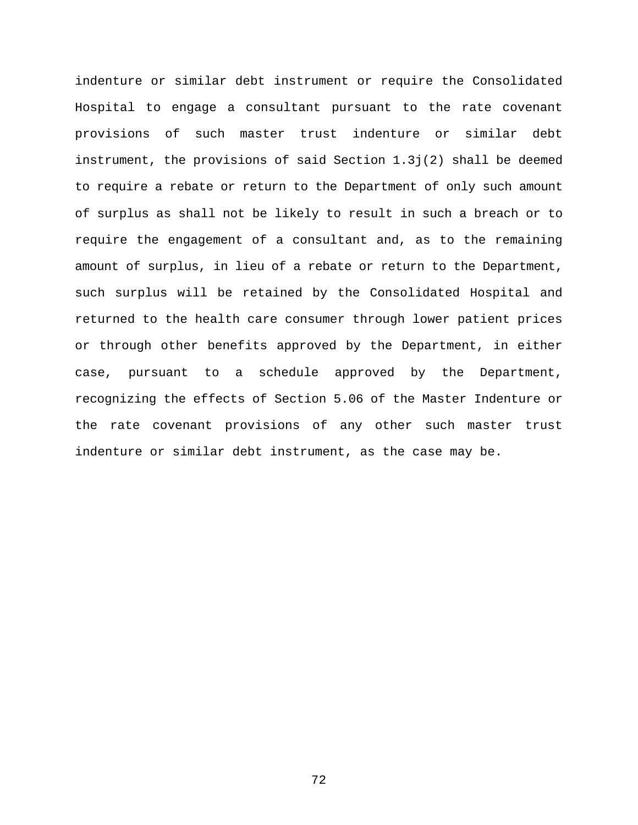indenture or similar debt instrument or require the Consolidated Hospital to engage a consultant pursuant to the rate covenant provisions of such master trust indenture or similar debt instrument, the provisions of said Section 1.3j(2) shall be deemed to require a rebate or return to the Department of only such amount of surplus as shall not be likely to result in such a breach or to require the engagement of a consultant and, as to the remaining amount of surplus, in lieu of a rebate or return to the Department, such surplus will be retained by the Consolidated Hospital and returned to the health care consumer through lower patient prices or through other benefits approved by the Department, in either case, pursuant to a schedule approved by the Department, recognizing the effects of Section 5.06 of the Master Indenture or the rate covenant provisions of any other such master trust indenture or similar debt instrument, as the case may be.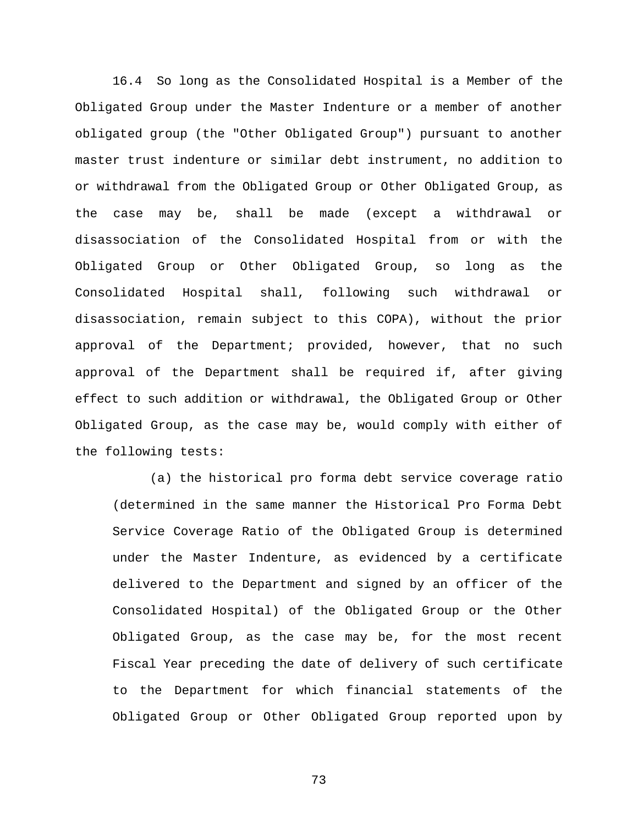16.4 So long as the Consolidated Hospital is a Member of the Obligated Group under the Master Indenture or a member of another obligated group (the "Other Obligated Group") pursuant to another master trust indenture or similar debt instrument, no addition to or withdrawal from the Obligated Group or Other Obligated Group, as the case may be, shall be made (except a withdrawal or disassociation of the Consolidated Hospital from or with the Obligated Group or Other Obligated Group, so long as the Consolidated Hospital shall, following such withdrawal or disassociation, remain subject to this COPA), without the prior approval of the Department; provided, however, that no such approval of the Department shall be required if, after giving effect to such addition or withdrawal, the Obligated Group or Other Obligated Group, as the case may be, would comply with either of the following tests:

(a) the historical pro forma debt service coverage ratio (determined in the same manner the Historical Pro Forma Debt Service Coverage Ratio of the Obligated Group is determined under the Master Indenture, as evidenced by a certificate delivered to the Department and signed by an officer of the Consolidated Hospital) of the Obligated Group or the Other Obligated Group, as the case may be, for the most recent Fiscal Year preceding the date of delivery of such certificate to the Department for which financial statements of the Obligated Group or Other Obligated Group reported upon by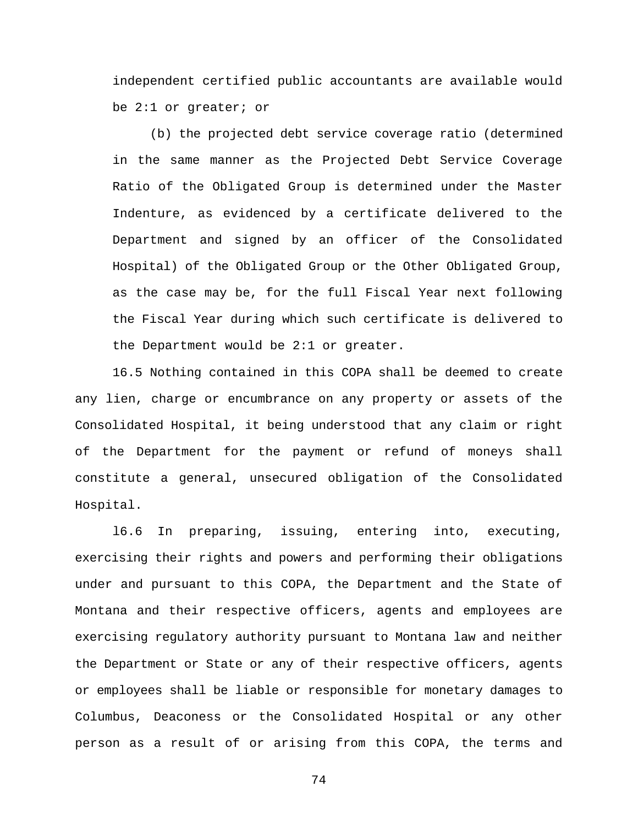independent certified public accountants are available would be 2:1 or greater; or

(b) the projected debt service coverage ratio (determined in the same manner as the Projected Debt Service Coverage Ratio of the Obligated Group is determined under the Master Indenture, as evidenced by a certificate delivered to the Department and signed by an officer of the Consolidated Hospital) of the Obligated Group or the Other Obligated Group, as the case may be, for the full Fiscal Year next following the Fiscal Year during which such certificate is delivered to the Department would be 2:1 or greater.

16.5 Nothing contained in this COPA shall be deemed to create any lien, charge or encumbrance on any property or assets of the Consolidated Hospital, it being understood that any claim or right of the Department for the payment or refund of moneys shall constitute a general, unsecured obligation of the Consolidated Hospital.

l6.6 In preparing, issuing, entering into, executing, exercising their rights and powers and performing their obligations under and pursuant to this COPA, the Department and the State of Montana and their respective officers, agents and employees are exercising regulatory authority pursuant to Montana law and neither the Department or State or any of their respective officers, agents or employees shall be liable or responsible for monetary damages to Columbus, Deaconess or the Consolidated Hospital or any other person as a result of or arising from this COPA, the terms and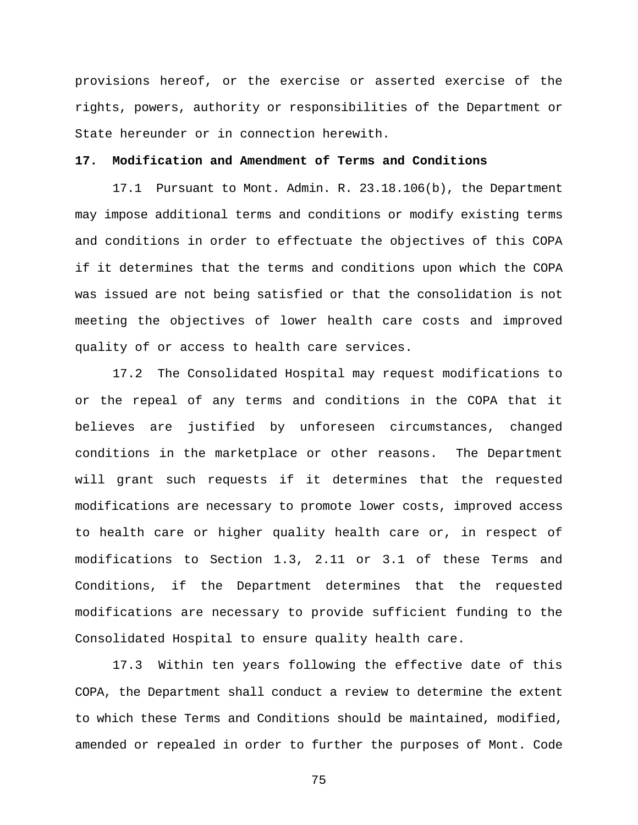provisions hereof, or the exercise or asserted exercise of the rights, powers, authority or responsibilities of the Department or State hereunder or in connection herewith.

## **17. Modification and Amendment of Terms and Conditions**

17.1 Pursuant to Mont. Admin. R. 23.18.106(b), the Department may impose additional terms and conditions or modify existing terms and conditions in order to effectuate the objectives of this COPA if it determines that the terms and conditions upon which the COPA was issued are not being satisfied or that the consolidation is not meeting the objectives of lower health care costs and improved quality of or access to health care services.

17.2 The Consolidated Hospital may request modifications to or the repeal of any terms and conditions in the COPA that it believes are justified by unforeseen circumstances, changed conditions in the marketplace or other reasons. The Department will grant such requests if it determines that the requested modifications are necessary to promote lower costs, improved access to health care or higher quality health care or, in respect of modifications to Section 1.3, 2.11 or 3.1 of these Terms and Conditions, if the Department determines that the requested modifications are necessary to provide sufficient funding to the Consolidated Hospital to ensure quality health care.

17.3 Within ten years following the effective date of this COPA, the Department shall conduct a review to determine the extent to which these Terms and Conditions should be maintained, modified, amended or repealed in order to further the purposes of Mont. Code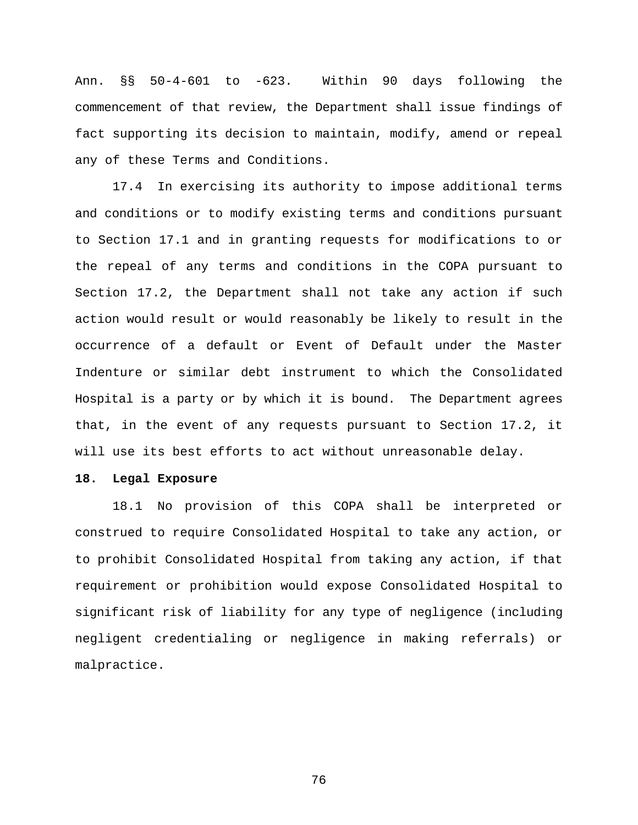Ann. §§ 50-4-601 to -623. Within 90 days following the commencement of that review, the Department shall issue findings of fact supporting its decision to maintain, modify, amend or repeal any of these Terms and Conditions.

17.4 In exercising its authority to impose additional terms and conditions or to modify existing terms and conditions pursuant to Section 17.1 and in granting requests for modifications to or the repeal of any terms and conditions in the COPA pursuant to Section 17.2, the Department shall not take any action if such action would result or would reasonably be likely to result in the occurrence of a default or Event of Default under the Master Indenture or similar debt instrument to which the Consolidated Hospital is a party or by which it is bound. The Department agrees that, in the event of any requests pursuant to Section 17.2, it will use its best efforts to act without unreasonable delay.

## **18. Legal Exposure**

18.1 No provision of this COPA shall be interpreted or construed to require Consolidated Hospital to take any action, or to prohibit Consolidated Hospital from taking any action, if that requirement or prohibition would expose Consolidated Hospital to significant risk of liability for any type of negligence (including negligent credentialing or negligence in making referrals) or malpractice.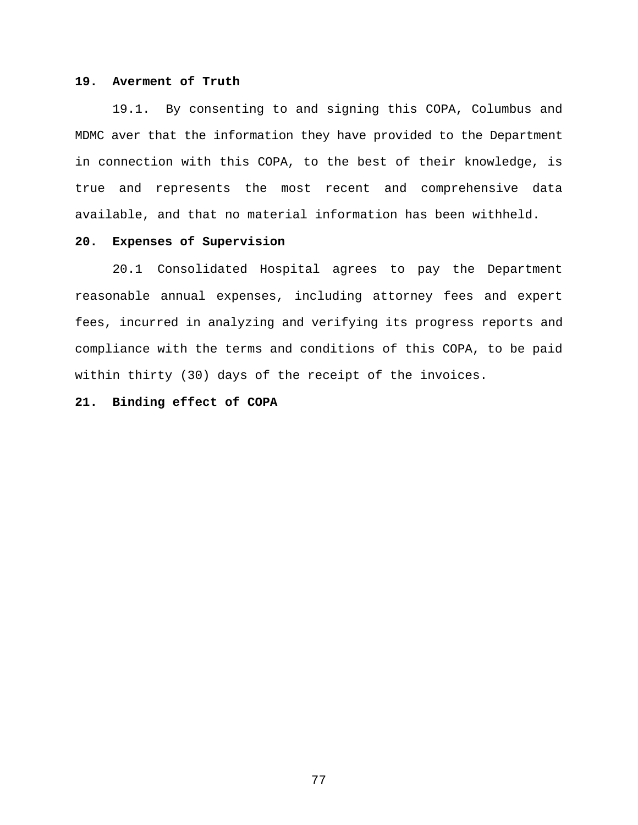## **19. Averment of Truth**

19.1. By consenting to and signing this COPA, Columbus and MDMC aver that the information they have provided to the Department in connection with this COPA, to the best of their knowledge, is true and represents the most recent and comprehensive data available, and that no material information has been withheld.

# **20. Expenses of Supervision**

20.1 Consolidated Hospital agrees to pay the Department reasonable annual expenses, including attorney fees and expert fees, incurred in analyzing and verifying its progress reports and compliance with the terms and conditions of this COPA, to be paid within thirty (30) days of the receipt of the invoices.

## **21. Binding effect of COPA**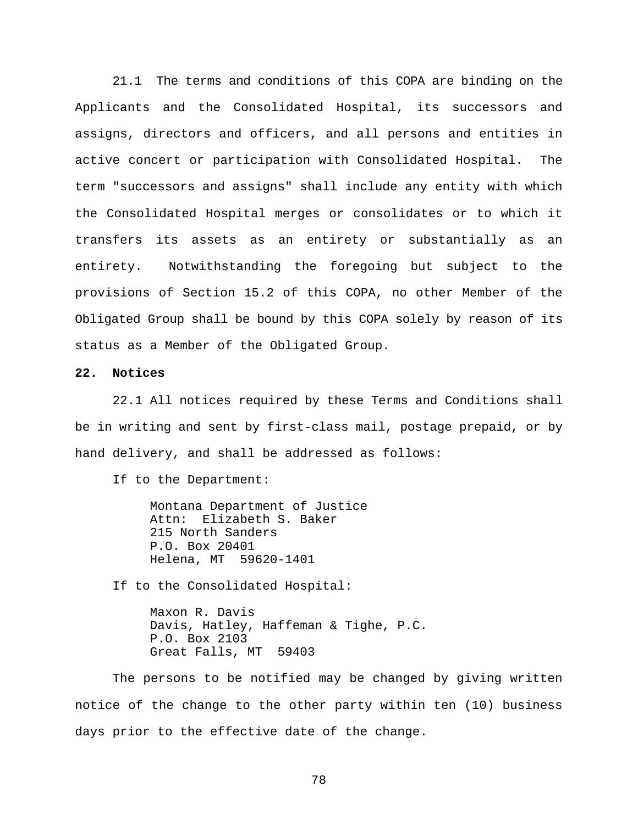21.1 The terms and conditions of this COPA are binding on the Applicants and the Consolidated Hospital, its successors and assigns, directors and officers, and all persons and entities in active concert or participation with Consolidated Hospital. The term "successors and assigns" shall include any entity with which the Consolidated Hospital merges or consolidates or to which it transfers its assets as an entirety or substantially as an entirety. Notwithstanding the foregoing but subject to the provisions of Section 15.2 of this COPA, no other Member of the Obligated Group shall be bound by this COPA solely by reason of its status as a Member of the Obligated Group.

## **22. Notices**

22.1 All notices required by these Terms and Conditions shall be in writing and sent by first-class mail, postage prepaid, or by hand delivery, and shall be addressed as follows:

If to the Department:

Montana Department of Justice Attn: Elizabeth S. Baker 215 North Sanders P.O. Box 20401 Helena, MT 59620-1401

If to the Consolidated Hospital:

Maxon R. Davis Davis, Hatley, Haffeman & Tighe, P.C. P.O. Box 2103 Great Falls, MT 59403

The persons to be notified may be changed by giving written notice of the change to the other party within ten (10) business days prior to the effective date of the change.